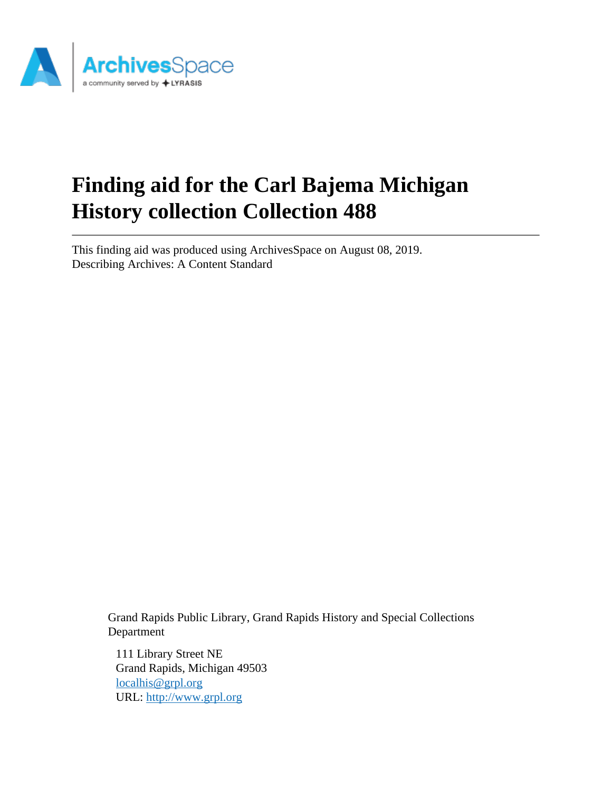

# **Finding aid for the Carl Bajema Michigan History collection Collection 488**

This finding aid was produced using ArchivesSpace on August 08, 2019. Describing Archives: A Content Standard

> Grand Rapids Public Library, Grand Rapids History and Special Collections Department

111 Library Street NE Grand Rapids, Michigan 49503 [localhis@grpl.org](mailto:localhis@grpl.org) URL:<http://www.grpl.org>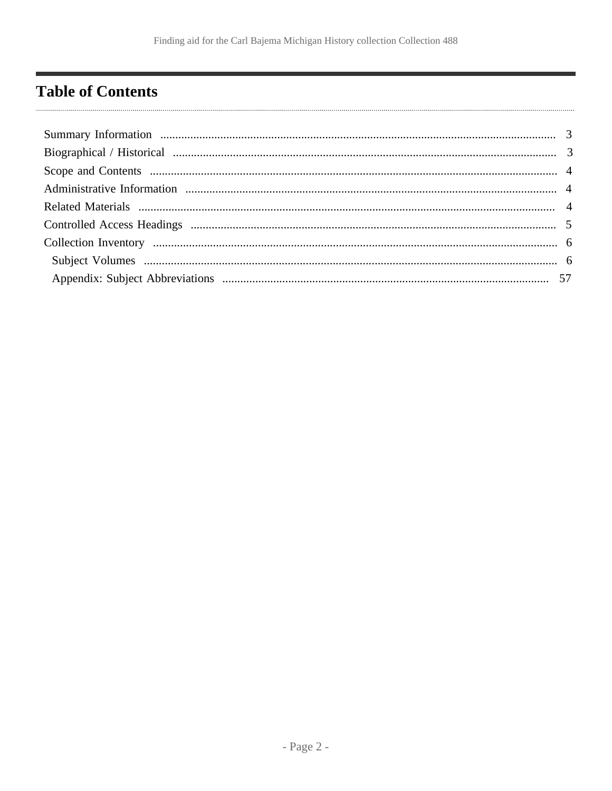# <span id="page-1-0"></span>**Table of Contents**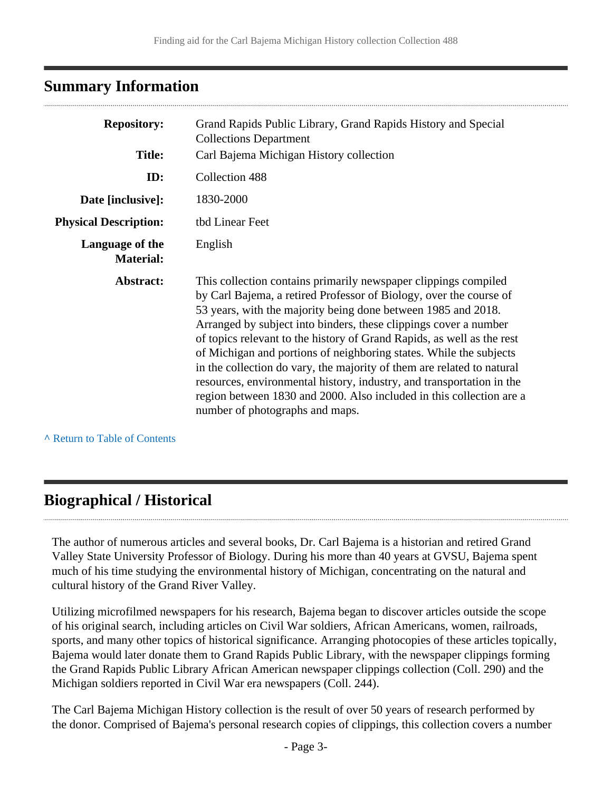### <span id="page-2-0"></span>**Summary Information**

| <b>Repository:</b>                  | Grand Rapids Public Library, Grand Rapids History and Special<br><b>Collections Department</b>                                                                                                                                                                                                                                                                                                                                                                                                                                                                                                                                                                                           |
|-------------------------------------|------------------------------------------------------------------------------------------------------------------------------------------------------------------------------------------------------------------------------------------------------------------------------------------------------------------------------------------------------------------------------------------------------------------------------------------------------------------------------------------------------------------------------------------------------------------------------------------------------------------------------------------------------------------------------------------|
| <b>Title:</b>                       | Carl Bajema Michigan History collection                                                                                                                                                                                                                                                                                                                                                                                                                                                                                                                                                                                                                                                  |
| ID:                                 | Collection 488                                                                                                                                                                                                                                                                                                                                                                                                                                                                                                                                                                                                                                                                           |
| Date [inclusive]:                   | 1830-2000                                                                                                                                                                                                                                                                                                                                                                                                                                                                                                                                                                                                                                                                                |
| <b>Physical Description:</b>        | tbd Linear Feet                                                                                                                                                                                                                                                                                                                                                                                                                                                                                                                                                                                                                                                                          |
| Language of the<br><b>Material:</b> | English                                                                                                                                                                                                                                                                                                                                                                                                                                                                                                                                                                                                                                                                                  |
| Abstract:                           | This collection contains primarily newspaper clippings compiled<br>by Carl Bajema, a retired Professor of Biology, over the course of<br>53 years, with the majority being done between 1985 and 2018.<br>Arranged by subject into binders, these clippings cover a number<br>of topics relevant to the history of Grand Rapids, as well as the rest<br>of Michigan and portions of neighboring states. While the subjects<br>in the collection do vary, the majority of them are related to natural<br>resources, environmental history, industry, and transportation in the<br>region between 1830 and 2000. Also included in this collection are a<br>number of photographs and maps. |

**^** [Return to Table of Contents](#page-1-0)

### <span id="page-2-1"></span>**Biographical / Historical**

The author of numerous articles and several books, Dr. Carl Bajema is a historian and retired Grand Valley State University Professor of Biology. During his more than 40 years at GVSU, Bajema spent much of his time studying the environmental history of Michigan, concentrating on the natural and cultural history of the Grand River Valley.

Utilizing microfilmed newspapers for his research, Bajema began to discover articles outside the scope of his original search, including articles on Civil War soldiers, African Americans, women, railroads, sports, and many other topics of historical significance. Arranging photocopies of these articles topically, Bajema would later donate them to Grand Rapids Public Library, with the newspaper clippings forming the Grand Rapids Public Library African American newspaper clippings collection (Coll. 290) and the Michigan soldiers reported in Civil War era newspapers (Coll. 244).

The Carl Bajema Michigan History collection is the result of over 50 years of research performed by the donor. Comprised of Bajema's personal research copies of clippings, this collection covers a number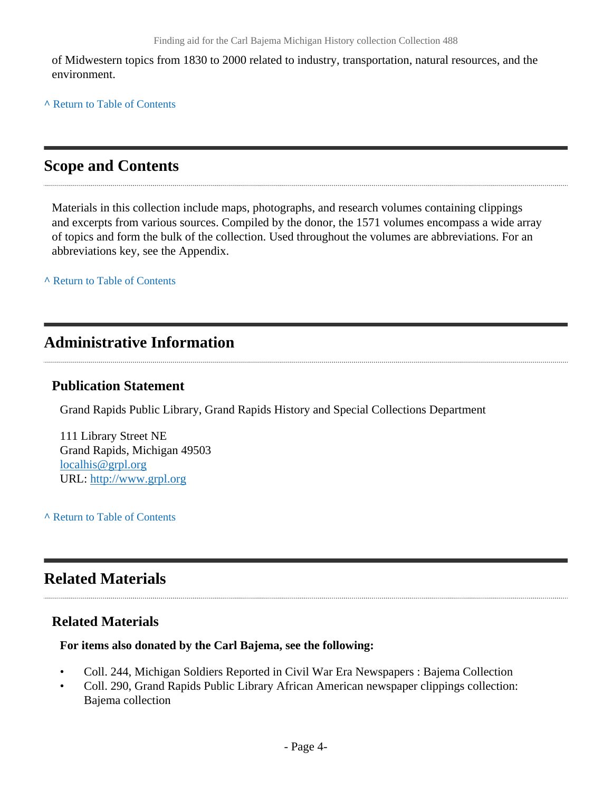of Midwestern topics from 1830 to 2000 related to industry, transportation, natural resources, and the environment.

**^** [Return to Table of Contents](#page-1-0)

### <span id="page-3-0"></span>**Scope and Contents**

Materials in this collection include maps, photographs, and research volumes containing clippings and excerpts from various sources. Compiled by the donor, the 1571 volumes encompass a wide array of topics and form the bulk of the collection. Used throughout the volumes are abbreviations. For an abbreviations key, see the Appendix.

**^** [Return to Table of Contents](#page-1-0)

### <span id="page-3-1"></span>**Administrative Information**

#### **Publication Statement**

Grand Rapids Public Library, Grand Rapids History and Special Collections Department

111 Library Street NE Grand Rapids, Michigan 49503 [localhis@grpl.org](mailto:localhis@grpl.org) URL:<http://www.grpl.org>

**^** [Return to Table of Contents](#page-1-0)

### <span id="page-3-2"></span>**Related Materials**

#### **Related Materials**

#### **For items also donated by the Carl Bajema, see the following:**

- Coll. 244, Michigan Soldiers Reported in Civil War Era Newspapers : Bajema Collection
- Coll. 290, Grand Rapids Public Library African American newspaper clippings collection: Bajema collection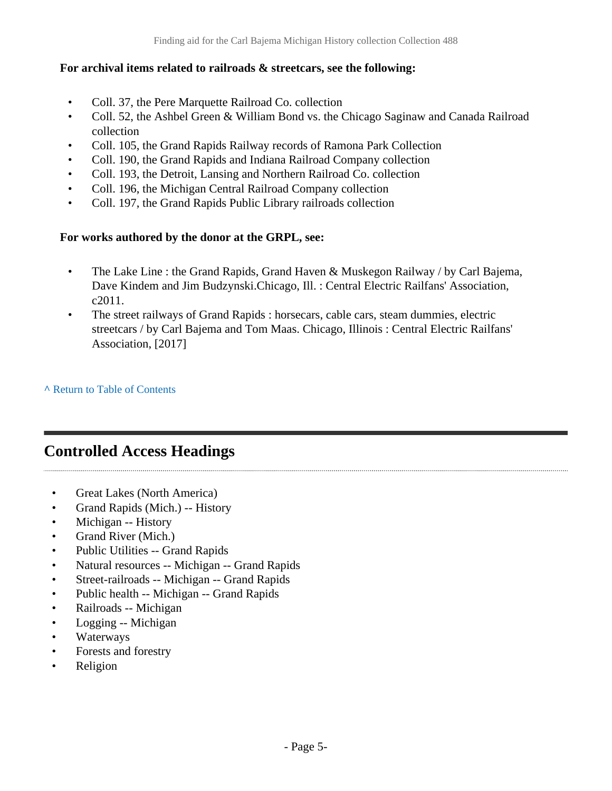#### **For archival items related to railroads & streetcars, see the following:**

- Coll. 37, the Pere Marquette Railroad Co. collection
- Coll. 52, the Ashbel Green & William Bond vs. the Chicago Saginaw and Canada Railroad collection
- Coll. 105, the Grand Rapids Railway records of Ramona Park Collection
- Coll. 190, the Grand Rapids and Indiana Railroad Company collection
- Coll. 193, the Detroit, Lansing and Northern Railroad Co. collection
- Coll. 196, the Michigan Central Railroad Company collection
- Coll. 197, the Grand Rapids Public Library railroads collection

#### **For works authored by the donor at the GRPL, see:**

- The Lake Line : the Grand Rapids, Grand Haven & Muskegon Railway / by Carl Bajema, Dave Kindem and Jim Budzynski.Chicago, Ill. : Central Electric Railfans' Association, c2011.
- The street railways of Grand Rapids : horsecars, cable cars, steam dummies, electric streetcars / by Carl Bajema and Tom Maas. Chicago, Illinois : Central Electric Railfans' Association, [2017]

**^** [Return to Table of Contents](#page-1-0)

### <span id="page-4-0"></span>**Controlled Access Headings**

- Great Lakes (North America)
- Grand Rapids (Mich.) -- History
- Michigan -- History
- Grand River (Mich.)
- Public Utilities -- Grand Rapids
- Natural resources -- Michigan -- Grand Rapids
- Street-railroads -- Michigan -- Grand Rapids
- Public health -- Michigan -- Grand Rapids
- Railroads -- Michigan
- Logging -- Michigan
- **Waterways**
- Forests and forestry
- Religion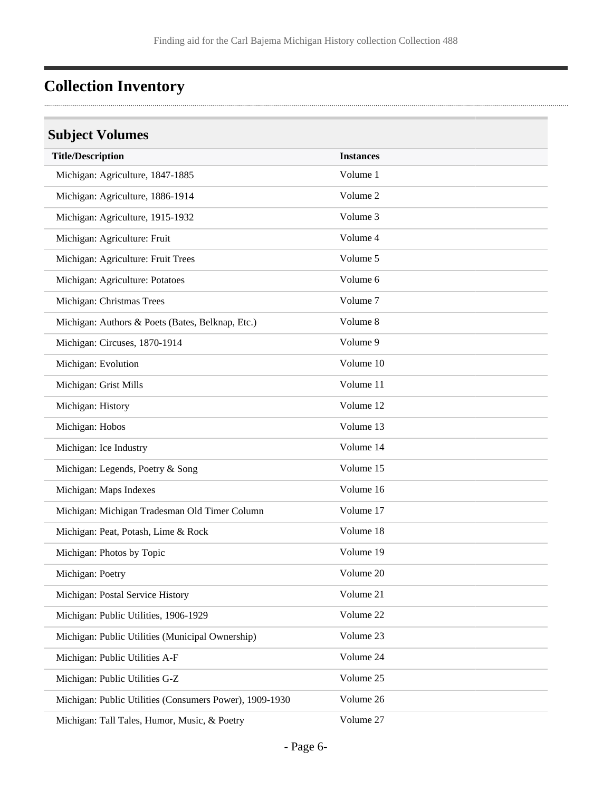# <span id="page-5-0"></span>**Collection Inventory**

### <span id="page-5-1"></span>**Subject Volumes**

| <b>Title/Description</b>                                | <b>Instances</b> |
|---------------------------------------------------------|------------------|
| Michigan: Agriculture, 1847-1885                        | Volume 1         |
| Michigan: Agriculture, 1886-1914                        | Volume 2         |
| Michigan: Agriculture, 1915-1932                        | Volume 3         |
| Michigan: Agriculture: Fruit                            | Volume 4         |
| Michigan: Agriculture: Fruit Trees                      | Volume 5         |
| Michigan: Agriculture: Potatoes                         | Volume 6         |
| Michigan: Christmas Trees                               | Volume 7         |
| Michigan: Authors & Poets (Bates, Belknap, Etc.)        | Volume 8         |
| Michigan: Circuses, 1870-1914                           | Volume 9         |
| Michigan: Evolution                                     | Volume 10        |
| Michigan: Grist Mills                                   | Volume 11        |
| Michigan: History                                       | Volume 12        |
| Michigan: Hobos                                         | Volume 13        |
| Michigan: Ice Industry                                  | Volume 14        |
| Michigan: Legends, Poetry & Song                        | Volume 15        |
| Michigan: Maps Indexes                                  | Volume 16        |
| Michigan: Michigan Tradesman Old Timer Column           | Volume 17        |
| Michigan: Peat, Potash, Lime & Rock                     | Volume 18        |
| Michigan: Photos by Topic                               | Volume 19        |
| Michigan: Poetry                                        | Volume 20        |
| Michigan: Postal Service History                        | Volume 21        |
| Michigan: Public Utilities, 1906-1929                   | Volume 22        |
| Michigan: Public Utilities (Municipal Ownership)        | Volume 23        |
| Michigan: Public Utilities A-F                          | Volume 24        |
| Michigan: Public Utilities G-Z                          | Volume 25        |
| Michigan: Public Utilities (Consumers Power), 1909-1930 | Volume 26        |
| Michigan: Tall Tales, Humor, Music, & Poetry            | Volume 27        |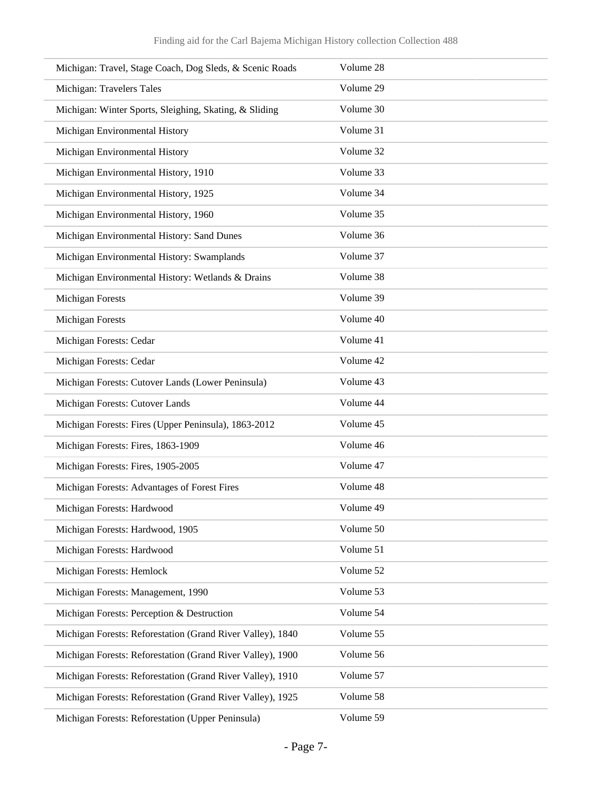| Michigan: Travel, Stage Coach, Dog Sleds, & Scenic Roads   | Volume 28 |
|------------------------------------------------------------|-----------|
| Michigan: Travelers Tales                                  | Volume 29 |
| Michigan: Winter Sports, Sleighing, Skating, & Sliding     | Volume 30 |
| Michigan Environmental History                             | Volume 31 |
| Michigan Environmental History                             | Volume 32 |
| Michigan Environmental History, 1910                       | Volume 33 |
| Michigan Environmental History, 1925                       | Volume 34 |
| Michigan Environmental History, 1960                       | Volume 35 |
| Michigan Environmental History: Sand Dunes                 | Volume 36 |
| Michigan Environmental History: Swamplands                 | Volume 37 |
| Michigan Environmental History: Wetlands & Drains          | Volume 38 |
| <b>Michigan Forests</b>                                    | Volume 39 |
| <b>Michigan Forests</b>                                    | Volume 40 |
| Michigan Forests: Cedar                                    | Volume 41 |
| Michigan Forests: Cedar                                    | Volume 42 |
| Michigan Forests: Cutover Lands (Lower Peninsula)          | Volume 43 |
| Michigan Forests: Cutover Lands                            | Volume 44 |
| Michigan Forests: Fires (Upper Peninsula), 1863-2012       | Volume 45 |
| Michigan Forests: Fires, 1863-1909                         | Volume 46 |
| Michigan Forests: Fires, 1905-2005                         | Volume 47 |
| Michigan Forests: Advantages of Forest Fires               | Volume 48 |
| Michigan Forests: Hardwood                                 | Volume 49 |
| Michigan Forests: Hardwood, 1905                           | Volume 50 |
| Michigan Forests: Hardwood                                 | Volume 51 |
| Michigan Forests: Hemlock                                  | Volume 52 |
| Michigan Forests: Management, 1990                         | Volume 53 |
| Michigan Forests: Perception & Destruction                 | Volume 54 |
| Michigan Forests: Reforestation (Grand River Valley), 1840 | Volume 55 |
| Michigan Forests: Reforestation (Grand River Valley), 1900 | Volume 56 |
| Michigan Forests: Reforestation (Grand River Valley), 1910 | Volume 57 |
| Michigan Forests: Reforestation (Grand River Valley), 1925 | Volume 58 |
| Michigan Forests: Reforestation (Upper Peninsula)          | Volume 59 |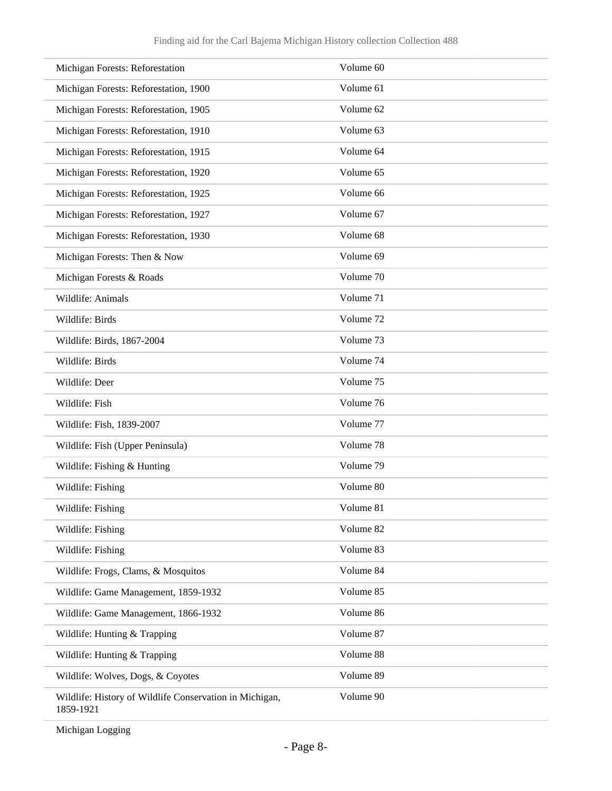| Michigan Forests: Reforestation                                      | Volume 60 |
|----------------------------------------------------------------------|-----------|
| Michigan Forests: Reforestation, 1900                                | Volume 61 |
| Michigan Forests: Reforestation, 1905                                | Volume 62 |
| Michigan Forests: Reforestation, 1910                                | Volume 63 |
| Michigan Forests: Reforestation, 1915                                | Volume 64 |
| Michigan Forests: Reforestation, 1920                                | Volume 65 |
| Michigan Forests: Reforestation, 1925                                | Volume 66 |
| Michigan Forests: Reforestation, 1927                                | Volume 67 |
| Michigan Forests: Reforestation, 1930                                | Volume 68 |
| Michigan Forests: Then & Now                                         | Volume 69 |
| Michigan Forests & Roads                                             | Volume 70 |
| Wildlife: Animals                                                    | Volume 71 |
| Wildlife: Birds                                                      | Volume 72 |
| Wildlife: Birds, 1867-2004                                           | Volume 73 |
| Wildlife: Birds                                                      | Volume 74 |
| Wildlife: Deer                                                       | Volume 75 |
| Wildlife: Fish                                                       | Volume 76 |
| Wildlife: Fish, 1839-2007                                            | Volume 77 |
| Wildlife: Fish (Upper Peninsula)                                     | Volume 78 |
| Wildlife: Fishing & Hunting                                          | Volume 79 |
| Wildlife: Fishing                                                    | Volume 80 |
| Wildlife: Fishing                                                    | Volume 81 |
| Wildlife: Fishing                                                    | Volume 82 |
| Wildlife: Fishing                                                    | Volume 83 |
| Wildlife: Frogs, Clams, & Mosquitos                                  | Volume 84 |
| Wildlife: Game Management, 1859-1932                                 | Volume 85 |
| Wildlife: Game Management, 1866-1932                                 | Volume 86 |
| Wildlife: Hunting & Trapping                                         | Volume 87 |
| Wildlife: Hunting & Trapping                                         | Volume 88 |
| Wildlife: Wolves, Dogs, & Coyotes                                    | Volume 89 |
| Wildlife: History of Wildlife Conservation in Michigan,<br>1859-1921 | Volume 90 |

Michigan Logging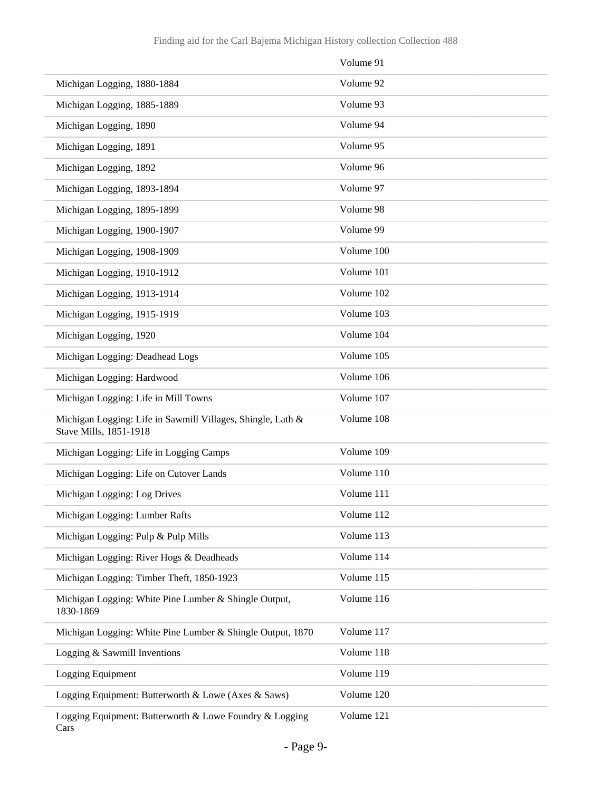|                                                                                       | Volume 91  |
|---------------------------------------------------------------------------------------|------------|
| Michigan Logging, 1880-1884                                                           | Volume 92  |
| Michigan Logging, 1885-1889                                                           | Volume 93  |
| Michigan Logging, 1890                                                                | Volume 94  |
| Michigan Logging, 1891                                                                | Volume 95  |
| Michigan Logging, 1892                                                                | Volume 96  |
| Michigan Logging, 1893-1894                                                           | Volume 97  |
| Michigan Logging, 1895-1899                                                           | Volume 98  |
| Michigan Logging, 1900-1907                                                           | Volume 99  |
| Michigan Logging, 1908-1909                                                           | Volume 100 |
| Michigan Logging, 1910-1912                                                           | Volume 101 |
| Michigan Logging, 1913-1914                                                           | Volume 102 |
| Michigan Logging, 1915-1919                                                           | Volume 103 |
| Michigan Logging, 1920                                                                | Volume 104 |
| Michigan Logging: Deadhead Logs                                                       | Volume 105 |
| Michigan Logging: Hardwood                                                            | Volume 106 |
| Michigan Logging: Life in Mill Towns                                                  | Volume 107 |
| Michigan Logging: Life in Sawmill Villages, Shingle, Lath &<br>Stave Mills, 1851-1918 | Volume 108 |
| Michigan Logging: Life in Logging Camps                                               | Volume 109 |
| Michigan Logging: Life on Cutover Lands                                               | Volume 110 |
| Michigan Logging: Log Drives                                                          | Volume 111 |
| Michigan Logging: Lumber Rafts                                                        | Volume 112 |
| Michigan Logging: Pulp & Pulp Mills                                                   | Volume 113 |
| Michigan Logging: River Hogs & Deadheads                                              | Volume 114 |
| Michigan Logging: Timber Theft, 1850-1923                                             | Volume 115 |
| Michigan Logging: White Pine Lumber & Shingle Output,<br>1830-1869                    | Volume 116 |
| Michigan Logging: White Pine Lumber & Shingle Output, 1870                            | Volume 117 |
| Logging & Sawmill Inventions                                                          | Volume 118 |
| Logging Equipment                                                                     | Volume 119 |
| Logging Equipment: Butterworth & Lowe (Axes & Saws)                                   | Volume 120 |
| Logging Equipment: Butterworth & Lowe Foundry & Logging<br>Cars                       | Volume 121 |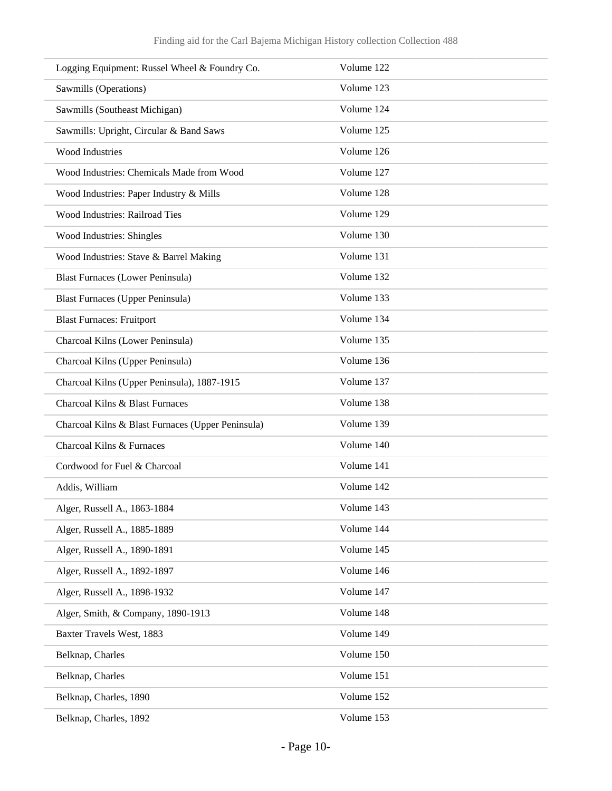| Logging Equipment: Russel Wheel & Foundry Co.     | Volume 122 |
|---------------------------------------------------|------------|
| Sawmills (Operations)                             | Volume 123 |
| Sawmills (Southeast Michigan)                     | Volume 124 |
| Sawmills: Upright, Circular & Band Saws           | Volume 125 |
| Wood Industries                                   | Volume 126 |
| Wood Industries: Chemicals Made from Wood         | Volume 127 |
| Wood Industries: Paper Industry & Mills           | Volume 128 |
| Wood Industries: Railroad Ties                    | Volume 129 |
| Wood Industries: Shingles                         | Volume 130 |
| Wood Industries: Stave & Barrel Making            | Volume 131 |
| <b>Blast Furnaces (Lower Peninsula)</b>           | Volume 132 |
| <b>Blast Furnaces (Upper Peninsula)</b>           | Volume 133 |
| <b>Blast Furnaces: Fruitport</b>                  | Volume 134 |
| Charcoal Kilns (Lower Peninsula)                  | Volume 135 |
| Charcoal Kilns (Upper Peninsula)                  | Volume 136 |
| Charcoal Kilns (Upper Peninsula), 1887-1915       | Volume 137 |
| Charcoal Kilns & Blast Furnaces                   | Volume 138 |
| Charcoal Kilns & Blast Furnaces (Upper Peninsula) | Volume 139 |
| Charcoal Kilns & Furnaces                         | Volume 140 |
| Cordwood for Fuel & Charcoal                      | Volume 141 |
| Addis, William                                    | Volume 142 |
| Alger, Russell A., 1863-1884                      | Volume 143 |
| Alger, Russell A., 1885-1889                      | Volume 144 |
| Alger, Russell A., 1890-1891                      | Volume 145 |
| Alger, Russell A., 1892-1897                      | Volume 146 |
| Alger, Russell A., 1898-1932                      | Volume 147 |
| Alger, Smith, & Company, 1890-1913                | Volume 148 |
| Baxter Travels West, 1883                         | Volume 149 |
| Belknap, Charles                                  | Volume 150 |
| Belknap, Charles                                  | Volume 151 |
| Belknap, Charles, 1890                            | Volume 152 |
| Belknap, Charles, 1892                            | Volume 153 |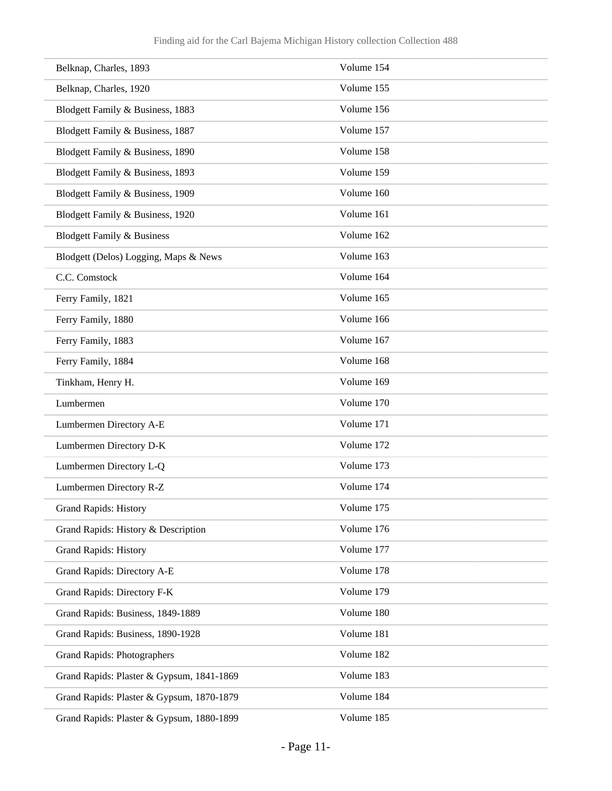| Belknap, Charles, 1893                    | Volume 154 |
|-------------------------------------------|------------|
| Belknap, Charles, 1920                    | Volume 155 |
| Blodgett Family & Business, 1883          | Volume 156 |
| Blodgett Family & Business, 1887          | Volume 157 |
| Blodgett Family & Business, 1890          | Volume 158 |
| Blodgett Family & Business, 1893          | Volume 159 |
| Blodgett Family & Business, 1909          | Volume 160 |
| Blodgett Family & Business, 1920          | Volume 161 |
| <b>Blodgett Family &amp; Business</b>     | Volume 162 |
| Blodgett (Delos) Logging, Maps & News     | Volume 163 |
| C.C. Comstock                             | Volume 164 |
| Ferry Family, 1821                        | Volume 165 |
| Ferry Family, 1880                        | Volume 166 |
| Ferry Family, 1883                        | Volume 167 |
| Ferry Family, 1884                        | Volume 168 |
| Tinkham, Henry H.                         | Volume 169 |
| Lumbermen                                 | Volume 170 |
| Lumbermen Directory A-E                   | Volume 171 |
| Lumbermen Directory D-K                   | Volume 172 |
| Lumbermen Directory L-Q                   | Volume 173 |
| Lumbermen Directory R-Z                   | Volume 174 |
| <b>Grand Rapids: History</b>              | Volume 175 |
| Grand Rapids: History & Description       | Volume 176 |
| <b>Grand Rapids: History</b>              | Volume 177 |
| Grand Rapids: Directory A-E               | Volume 178 |
| Grand Rapids: Directory F-K               | Volume 179 |
| Grand Rapids: Business, 1849-1889         | Volume 180 |
| Grand Rapids: Business, 1890-1928         | Volume 181 |
| <b>Grand Rapids: Photographers</b>        | Volume 182 |
| Grand Rapids: Plaster & Gypsum, 1841-1869 | Volume 183 |
| Grand Rapids: Plaster & Gypsum, 1870-1879 | Volume 184 |
| Grand Rapids: Plaster & Gypsum, 1880-1899 | Volume 185 |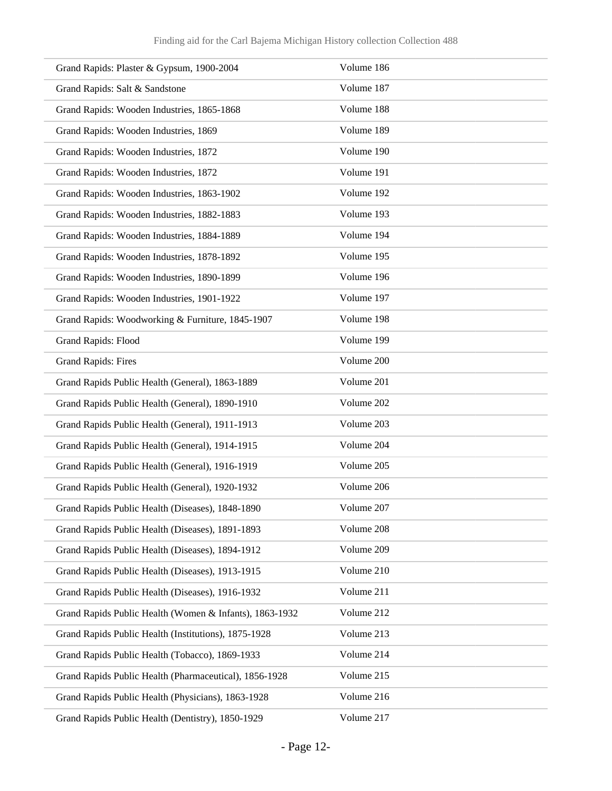| Grand Rapids: Plaster & Gypsum, 1900-2004               | Volume 186 |
|---------------------------------------------------------|------------|
| Grand Rapids: Salt & Sandstone                          | Volume 187 |
| Grand Rapids: Wooden Industries, 1865-1868              | Volume 188 |
| Grand Rapids: Wooden Industries, 1869                   | Volume 189 |
| Grand Rapids: Wooden Industries, 1872                   | Volume 190 |
|                                                         | Volume 191 |
| Grand Rapids: Wooden Industries, 1872                   |            |
| Grand Rapids: Wooden Industries, 1863-1902              | Volume 192 |
| Grand Rapids: Wooden Industries, 1882-1883              | Volume 193 |
| Grand Rapids: Wooden Industries, 1884-1889              | Volume 194 |
| Grand Rapids: Wooden Industries, 1878-1892              | Volume 195 |
| Grand Rapids: Wooden Industries, 1890-1899              | Volume 196 |
| Grand Rapids: Wooden Industries, 1901-1922              | Volume 197 |
| Grand Rapids: Woodworking & Furniture, 1845-1907        | Volume 198 |
| <b>Grand Rapids: Flood</b>                              | Volume 199 |
| <b>Grand Rapids: Fires</b>                              | Volume 200 |
| Grand Rapids Public Health (General), 1863-1889         | Volume 201 |
| Grand Rapids Public Health (General), 1890-1910         | Volume 202 |
| Grand Rapids Public Health (General), 1911-1913         | Volume 203 |
| Grand Rapids Public Health (General), 1914-1915         | Volume 204 |
| Grand Rapids Public Health (General), 1916-1919         | Volume 205 |
| Grand Rapids Public Health (General), 1920-1932         | Volume 206 |
| Grand Rapids Public Health (Diseases), 1848-1890        | Volume 207 |
| Grand Rapids Public Health (Diseases), 1891-1893        | Volume 208 |
| Grand Rapids Public Health (Diseases), 1894-1912        | Volume 209 |
| Grand Rapids Public Health (Diseases), 1913-1915        | Volume 210 |
| Grand Rapids Public Health (Diseases), 1916-1932        | Volume 211 |
| Grand Rapids Public Health (Women & Infants), 1863-1932 | Volume 212 |
| Grand Rapids Public Health (Institutions), 1875-1928    | Volume 213 |
| Grand Rapids Public Health (Tobacco), 1869-1933         | Volume 214 |
| Grand Rapids Public Health (Pharmaceutical), 1856-1928  | Volume 215 |
| Grand Rapids Public Health (Physicians), 1863-1928      | Volume 216 |
| Grand Rapids Public Health (Dentistry), 1850-1929       | Volume 217 |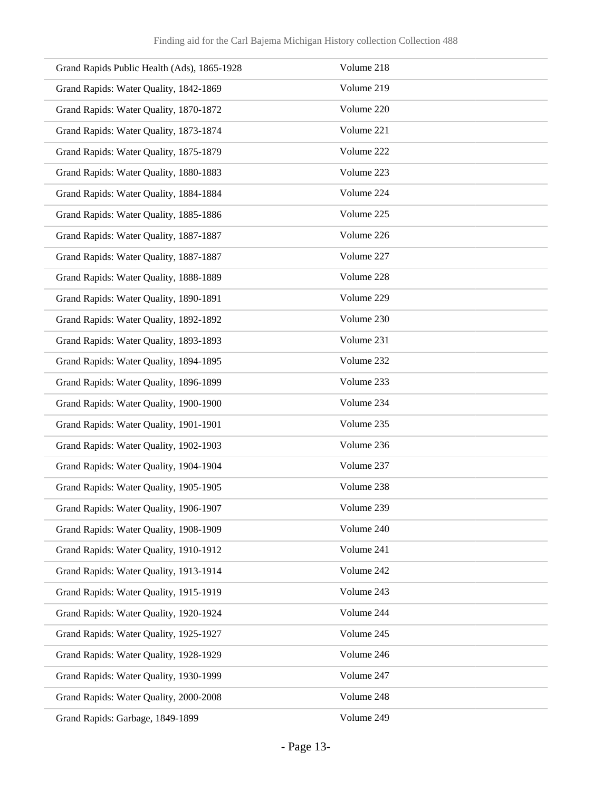| Grand Rapids Public Health (Ads), 1865-1928 | Volume 218 |
|---------------------------------------------|------------|
| Grand Rapids: Water Quality, 1842-1869      | Volume 219 |
| Grand Rapids: Water Quality, 1870-1872      | Volume 220 |
| Grand Rapids: Water Quality, 1873-1874      | Volume 221 |
| Grand Rapids: Water Quality, 1875-1879      | Volume 222 |
| Grand Rapids: Water Quality, 1880-1883      | Volume 223 |
| Grand Rapids: Water Quality, 1884-1884      | Volume 224 |
| Grand Rapids: Water Quality, 1885-1886      | Volume 225 |
| Grand Rapids: Water Quality, 1887-1887      | Volume 226 |
| Grand Rapids: Water Quality, 1887-1887      | Volume 227 |
| Grand Rapids: Water Quality, 1888-1889      | Volume 228 |
| Grand Rapids: Water Quality, 1890-1891      | Volume 229 |
| Grand Rapids: Water Quality, 1892-1892      | Volume 230 |
| Grand Rapids: Water Quality, 1893-1893      | Volume 231 |
| Grand Rapids: Water Quality, 1894-1895      | Volume 232 |
| Grand Rapids: Water Quality, 1896-1899      | Volume 233 |
| Grand Rapids: Water Quality, 1900-1900      | Volume 234 |
| Grand Rapids: Water Quality, 1901-1901      | Volume 235 |
| Grand Rapids: Water Quality, 1902-1903      | Volume 236 |
| Grand Rapids: Water Quality, 1904-1904      | Volume 237 |
| Grand Rapids: Water Quality, 1905-1905      | Volume 238 |
| Grand Rapids: Water Quality, 1906-1907      | Volume 239 |
| Grand Rapids: Water Quality, 1908-1909      | Volume 240 |
| Grand Rapids: Water Quality, 1910-1912      | Volume 241 |
| Grand Rapids: Water Quality, 1913-1914      | Volume 242 |
| Grand Rapids: Water Quality, 1915-1919      | Volume 243 |
| Grand Rapids: Water Quality, 1920-1924      | Volume 244 |
| Grand Rapids: Water Quality, 1925-1927      | Volume 245 |
| Grand Rapids: Water Quality, 1928-1929      | Volume 246 |
| Grand Rapids: Water Quality, 1930-1999      | Volume 247 |
| Grand Rapids: Water Quality, 2000-2008      | Volume 248 |
| Grand Rapids: Garbage, 1849-1899            | Volume 249 |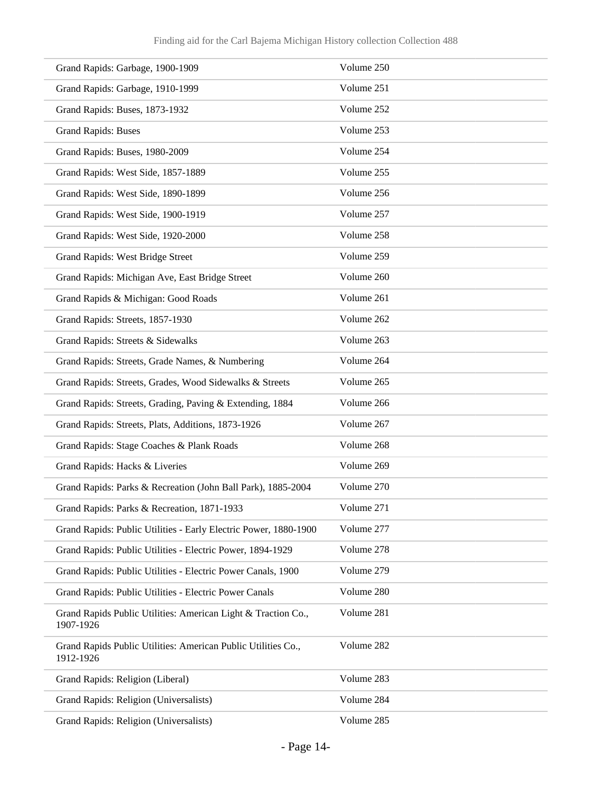| Grand Rapids: Garbage, 1900-1909                                           | Volume 250 |
|----------------------------------------------------------------------------|------------|
| Grand Rapids: Garbage, 1910-1999                                           | Volume 251 |
| Grand Rapids: Buses, 1873-1932                                             | Volume 252 |
| <b>Grand Rapids: Buses</b>                                                 | Volume 253 |
| Grand Rapids: Buses, 1980-2009                                             | Volume 254 |
| Grand Rapids: West Side, 1857-1889                                         | Volume 255 |
| Grand Rapids: West Side, 1890-1899                                         | Volume 256 |
| Grand Rapids: West Side, 1900-1919                                         | Volume 257 |
| Grand Rapids: West Side, 1920-2000                                         | Volume 258 |
| Grand Rapids: West Bridge Street                                           | Volume 259 |
| Grand Rapids: Michigan Ave, East Bridge Street                             | Volume 260 |
| Grand Rapids & Michigan: Good Roads                                        | Volume 261 |
| Grand Rapids: Streets, 1857-1930                                           | Volume 262 |
| Grand Rapids: Streets & Sidewalks                                          | Volume 263 |
| Grand Rapids: Streets, Grade Names, & Numbering                            | Volume 264 |
| Grand Rapids: Streets, Grades, Wood Sidewalks & Streets                    | Volume 265 |
| Grand Rapids: Streets, Grading, Paving & Extending, 1884                   | Volume 266 |
| Grand Rapids: Streets, Plats, Additions, 1873-1926                         | Volume 267 |
| Grand Rapids: Stage Coaches & Plank Roads                                  | Volume 268 |
| Grand Rapids: Hacks & Liveries                                             | Volume 269 |
| Grand Rapids: Parks & Recreation (John Ball Park), 1885-2004               | Volume 270 |
| Grand Rapids: Parks & Recreation, 1871-1933                                | Volume 271 |
| Grand Rapids: Public Utilities - Early Electric Power, 1880-1900           | Volume 277 |
| Grand Rapids: Public Utilities - Electric Power, 1894-1929                 | Volume 278 |
| Grand Rapids: Public Utilities - Electric Power Canals, 1900               | Volume 279 |
| Grand Rapids: Public Utilities - Electric Power Canals                     | Volume 280 |
| Grand Rapids Public Utilities: American Light & Traction Co.,<br>1907-1926 | Volume 281 |
| Grand Rapids Public Utilities: American Public Utilities Co.,<br>1912-1926 | Volume 282 |
| Grand Rapids: Religion (Liberal)                                           | Volume 283 |
| Grand Rapids: Religion (Universalists)                                     | Volume 284 |
| Grand Rapids: Religion (Universalists)                                     | Volume 285 |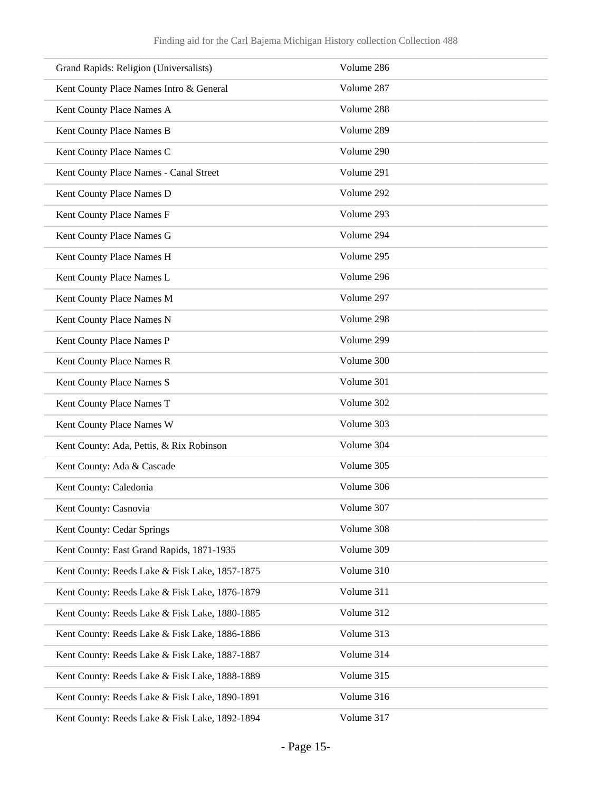| Grand Rapids: Religion (Universalists)         | Volume 286 |
|------------------------------------------------|------------|
| Kent County Place Names Intro & General        | Volume 287 |
| Kent County Place Names A                      | Volume 288 |
| Kent County Place Names B                      | Volume 289 |
| Kent County Place Names C                      | Volume 290 |
| Kent County Place Names - Canal Street         | Volume 291 |
| Kent County Place Names D                      | Volume 292 |
| Kent County Place Names F                      | Volume 293 |
| Kent County Place Names G                      | Volume 294 |
| Kent County Place Names H                      | Volume 295 |
| Kent County Place Names L                      | Volume 296 |
| Kent County Place Names M                      | Volume 297 |
| Kent County Place Names N                      | Volume 298 |
| Kent County Place Names P                      | Volume 299 |
| Kent County Place Names R                      | Volume 300 |
| Kent County Place Names S                      | Volume 301 |
| Kent County Place Names T                      | Volume 302 |
| Kent County Place Names W                      | Volume 303 |
| Kent County: Ada, Pettis, & Rix Robinson       | Volume 304 |
| Kent County: Ada & Cascade                     | Volume 305 |
| Kent County: Caledonia                         | Volume 306 |
| Kent County: Casnovia                          | Volume 307 |
| Kent County: Cedar Springs                     | Volume 308 |
| Kent County: East Grand Rapids, 1871-1935      | Volume 309 |
| Kent County: Reeds Lake & Fisk Lake, 1857-1875 | Volume 310 |
| Kent County: Reeds Lake & Fisk Lake, 1876-1879 | Volume 311 |
| Kent County: Reeds Lake & Fisk Lake, 1880-1885 | Volume 312 |
| Kent County: Reeds Lake & Fisk Lake, 1886-1886 | Volume 313 |
| Kent County: Reeds Lake & Fisk Lake, 1887-1887 | Volume 314 |
| Kent County: Reeds Lake & Fisk Lake, 1888-1889 | Volume 315 |
| Kent County: Reeds Lake & Fisk Lake, 1890-1891 | Volume 316 |
| Kent County: Reeds Lake & Fisk Lake, 1892-1894 | Volume 317 |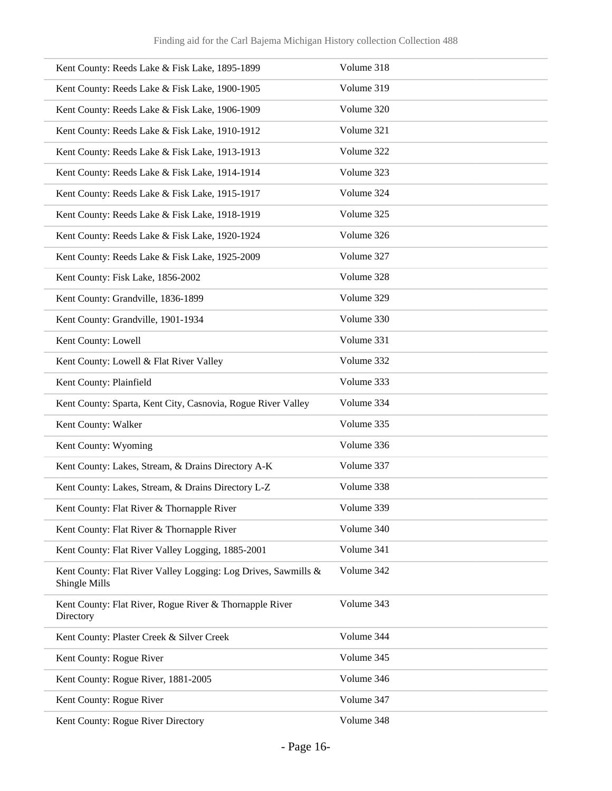| Kent County: Reeds Lake & Fisk Lake, 1895-1899                                  | Volume 318 |
|---------------------------------------------------------------------------------|------------|
| Kent County: Reeds Lake & Fisk Lake, 1900-1905                                  | Volume 319 |
| Kent County: Reeds Lake & Fisk Lake, 1906-1909                                  | Volume 320 |
| Kent County: Reeds Lake & Fisk Lake, 1910-1912                                  | Volume 321 |
| Kent County: Reeds Lake & Fisk Lake, 1913-1913                                  | Volume 322 |
| Kent County: Reeds Lake & Fisk Lake, 1914-1914                                  | Volume 323 |
| Kent County: Reeds Lake & Fisk Lake, 1915-1917                                  | Volume 324 |
| Kent County: Reeds Lake & Fisk Lake, 1918-1919                                  | Volume 325 |
| Kent County: Reeds Lake & Fisk Lake, 1920-1924                                  | Volume 326 |
| Kent County: Reeds Lake & Fisk Lake, 1925-2009                                  | Volume 327 |
| Kent County: Fisk Lake, 1856-2002                                               | Volume 328 |
| Kent County: Grandville, 1836-1899                                              | Volume 329 |
| Kent County: Grandville, 1901-1934                                              | Volume 330 |
| Kent County: Lowell                                                             | Volume 331 |
| Kent County: Lowell & Flat River Valley                                         | Volume 332 |
| Kent County: Plainfield                                                         | Volume 333 |
| Kent County: Sparta, Kent City, Casnovia, Rogue River Valley                    | Volume 334 |
| Kent County: Walker                                                             | Volume 335 |
| Kent County: Wyoming                                                            | Volume 336 |
| Kent County: Lakes, Stream, & Drains Directory A-K                              | Volume 337 |
| Kent County: Lakes, Stream, & Drains Directory L-Z                              | Volume 338 |
| Kent County: Flat River & Thornapple River                                      | Volume 339 |
| Kent County: Flat River & Thornapple River                                      | Volume 340 |
| Kent County: Flat River Valley Logging, 1885-2001                               | Volume 341 |
| Kent County: Flat River Valley Logging: Log Drives, Sawmills &<br>Shingle Mills | Volume 342 |
| Kent County: Flat River, Rogue River & Thornapple River<br>Directory            | Volume 343 |
| Kent County: Plaster Creek & Silver Creek                                       | Volume 344 |
| Kent County: Rogue River                                                        | Volume 345 |
| Kent County: Rogue River, 1881-2005                                             | Volume 346 |
| Kent County: Rogue River                                                        | Volume 347 |
| Kent County: Rogue River Directory                                              | Volume 348 |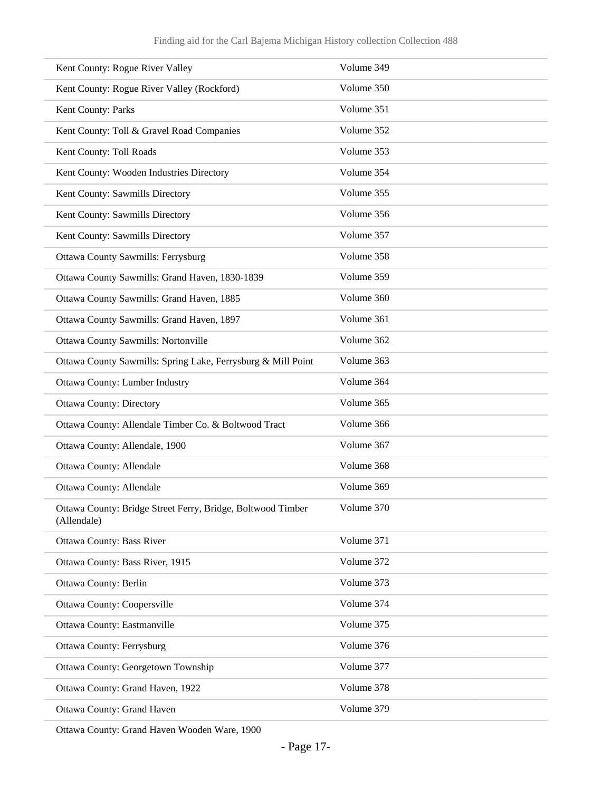| Kent County: Rogue River Valley                                            | Volume 349 |
|----------------------------------------------------------------------------|------------|
| Kent County: Rogue River Valley (Rockford)                                 | Volume 350 |
| Kent County: Parks                                                         | Volume 351 |
| Kent County: Toll & Gravel Road Companies                                  | Volume 352 |
| Kent County: Toll Roads                                                    | Volume 353 |
| Kent County: Wooden Industries Directory                                   | Volume 354 |
| Kent County: Sawmills Directory                                            | Volume 355 |
| Kent County: Sawmills Directory                                            | Volume 356 |
| Kent County: Sawmills Directory                                            | Volume 357 |
| <b>Ottawa County Sawmills: Ferrysburg</b>                                  | Volume 358 |
| Ottawa County Sawmills: Grand Haven, 1830-1839                             | Volume 359 |
| Ottawa County Sawmills: Grand Haven, 1885                                  | Volume 360 |
| Ottawa County Sawmills: Grand Haven, 1897                                  | Volume 361 |
| Ottawa County Sawmills: Nortonville                                        | Volume 362 |
| Ottawa County Sawmills: Spring Lake, Ferrysburg & Mill Point               | Volume 363 |
| Ottawa County: Lumber Industry                                             | Volume 364 |
| <b>Ottawa County: Directory</b>                                            | Volume 365 |
| Ottawa County: Allendale Timber Co. & Boltwood Tract                       | Volume 366 |
| Ottawa County: Allendale, 1900                                             | Volume 367 |
| Ottawa County: Allendale                                                   | Volume 368 |
| Ottawa County: Allendale                                                   | Volume 369 |
| Ottawa County: Bridge Street Ferry, Bridge, Boltwood Timber<br>(Allendale) | Volume 370 |
| Ottawa County: Bass River                                                  | Volume 371 |
| Ottawa County: Bass River, 1915                                            | Volume 372 |
| Ottawa County: Berlin                                                      | Volume 373 |
| <b>Ottawa County: Coopersville</b>                                         | Volume 374 |
| Ottawa County: Eastmanville                                                | Volume 375 |
| <b>Ottawa County: Ferrysburg</b>                                           | Volume 376 |
| Ottawa County: Georgetown Township                                         | Volume 377 |
| Ottawa County: Grand Haven, 1922                                           | Volume 378 |
| Ottawa County: Grand Haven                                                 | Volume 379 |

Ottawa County: Grand Haven Wooden Ware, 1900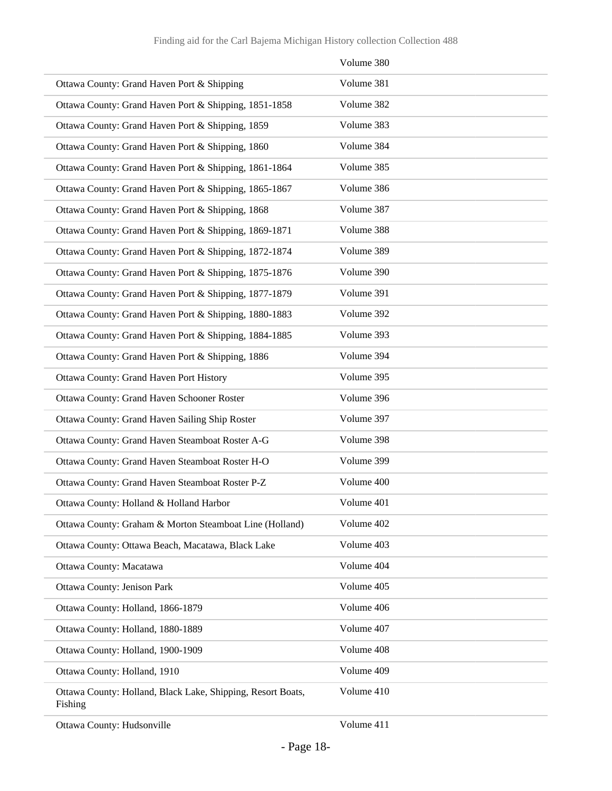|                                                                        | Volume 380 |
|------------------------------------------------------------------------|------------|
| Ottawa County: Grand Haven Port & Shipping                             | Volume 381 |
| Ottawa County: Grand Haven Port & Shipping, 1851-1858                  | Volume 382 |
| Ottawa County: Grand Haven Port & Shipping, 1859                       | Volume 383 |
| Ottawa County: Grand Haven Port & Shipping, 1860                       | Volume 384 |
| Ottawa County: Grand Haven Port & Shipping, 1861-1864                  | Volume 385 |
| Ottawa County: Grand Haven Port & Shipping, 1865-1867                  | Volume 386 |
| Ottawa County: Grand Haven Port & Shipping, 1868                       | Volume 387 |
| Ottawa County: Grand Haven Port & Shipping, 1869-1871                  | Volume 388 |
| Ottawa County: Grand Haven Port & Shipping, 1872-1874                  | Volume 389 |
| Ottawa County: Grand Haven Port & Shipping, 1875-1876                  | Volume 390 |
| Ottawa County: Grand Haven Port & Shipping, 1877-1879                  | Volume 391 |
| Ottawa County: Grand Haven Port & Shipping, 1880-1883                  | Volume 392 |
| Ottawa County: Grand Haven Port & Shipping, 1884-1885                  | Volume 393 |
| Ottawa County: Grand Haven Port & Shipping, 1886                       | Volume 394 |
| Ottawa County: Grand Haven Port History                                | Volume 395 |
| Ottawa County: Grand Haven Schooner Roster                             | Volume 396 |
| Ottawa County: Grand Haven Sailing Ship Roster                         | Volume 397 |
| Ottawa County: Grand Haven Steamboat Roster A-G                        | Volume 398 |
| Ottawa County: Grand Haven Steamboat Roster H-O                        | Volume 399 |
| Ottawa County: Grand Haven Steamboat Roster P-Z                        | Volume 400 |
| Ottawa County: Holland & Holland Harbor                                | Volume 401 |
| Ottawa County: Graham & Morton Steamboat Line (Holland)                | Volume 402 |
| Ottawa County: Ottawa Beach, Macatawa, Black Lake                      | Volume 403 |
| Ottawa County: Macatawa                                                | Volume 404 |
| Ottawa County: Jenison Park                                            | Volume 405 |
| Ottawa County: Holland, 1866-1879                                      | Volume 406 |
| Ottawa County: Holland, 1880-1889                                      | Volume 407 |
| Ottawa County: Holland, 1900-1909                                      | Volume 408 |
| Ottawa County: Holland, 1910                                           | Volume 409 |
| Ottawa County: Holland, Black Lake, Shipping, Resort Boats,<br>Fishing | Volume 410 |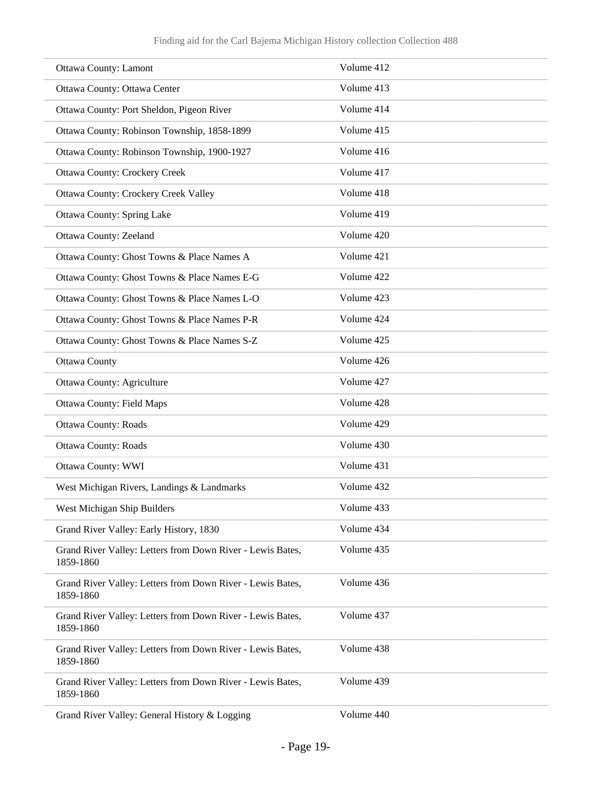| <b>Ottawa County: Lamont</b>                                            | Volume 412 |
|-------------------------------------------------------------------------|------------|
| Ottawa County: Ottawa Center                                            | Volume 413 |
| Ottawa County: Port Sheldon, Pigeon River                               | Volume 414 |
| Ottawa County: Robinson Township, 1858-1899                             | Volume 415 |
| Ottawa County: Robinson Township, 1900-1927                             | Volume 416 |
| <b>Ottawa County: Crockery Creek</b>                                    | Volume 417 |
| <b>Ottawa County: Crockery Creek Valley</b>                             | Volume 418 |
| <b>Ottawa County: Spring Lake</b>                                       | Volume 419 |
| Ottawa County: Zeeland                                                  | Volume 420 |
| Ottawa County: Ghost Towns & Place Names A                              | Volume 421 |
| Ottawa County: Ghost Towns & Place Names E-G                            | Volume 422 |
| Ottawa County: Ghost Towns & Place Names L-O                            | Volume 423 |
| Ottawa County: Ghost Towns & Place Names P-R                            | Volume 424 |
| Ottawa County: Ghost Towns & Place Names S-Z                            | Volume 425 |
| Ottawa County                                                           | Volume 426 |
| <b>Ottawa County: Agriculture</b>                                       | Volume 427 |
| <b>Ottawa County: Field Maps</b>                                        | Volume 428 |
| <b>Ottawa County: Roads</b>                                             | Volume 429 |
| <b>Ottawa County: Roads</b>                                             | Volume 430 |
| Ottawa County: WWI                                                      | Volume 431 |
| West Michigan Rivers, Landings & Landmarks                              | Volume 432 |
| West Michigan Ship Builders                                             | Volume 433 |
| Grand River Valley: Early History, 1830                                 | Volume 434 |
| Grand River Valley: Letters from Down River - Lewis Bates,<br>1859-1860 | Volume 435 |
| Grand River Valley: Letters from Down River - Lewis Bates,<br>1859-1860 | Volume 436 |
| Grand River Valley: Letters from Down River - Lewis Bates,<br>1859-1860 | Volume 437 |
| Grand River Valley: Letters from Down River - Lewis Bates,<br>1859-1860 | Volume 438 |
| Grand River Valley: Letters from Down River - Lewis Bates,<br>1859-1860 | Volume 439 |
| Grand River Valley: General History & Logging                           | Volume 440 |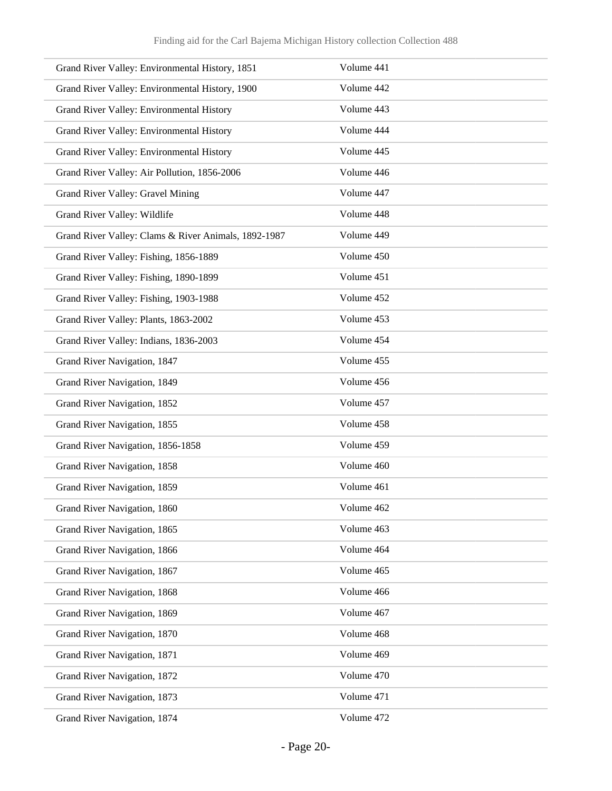| Grand River Valley: Environmental History, 1851      | Volume 441 |
|------------------------------------------------------|------------|
| Grand River Valley: Environmental History, 1900      | Volume 442 |
| Grand River Valley: Environmental History            | Volume 443 |
| Grand River Valley: Environmental History            | Volume 444 |
| Grand River Valley: Environmental History            | Volume 445 |
| Grand River Valley: Air Pollution, 1856-2006         | Volume 446 |
| Grand River Valley: Gravel Mining                    | Volume 447 |
| Grand River Valley: Wildlife                         | Volume 448 |
| Grand River Valley: Clams & River Animals, 1892-1987 | Volume 449 |
| Grand River Valley: Fishing, 1856-1889               | Volume 450 |
| Grand River Valley: Fishing, 1890-1899               | Volume 451 |
| Grand River Valley: Fishing, 1903-1988               | Volume 452 |
| Grand River Valley: Plants, 1863-2002                | Volume 453 |
| Grand River Valley: Indians, 1836-2003               | Volume 454 |
| Grand River Navigation, 1847                         | Volume 455 |
| Grand River Navigation, 1849                         | Volume 456 |
| Grand River Navigation, 1852                         | Volume 457 |
| Grand River Navigation, 1855                         | Volume 458 |
| Grand River Navigation, 1856-1858                    | Volume 459 |
| Grand River Navigation, 1858                         | Volume 460 |
| Grand River Navigation, 1859                         | Volume 461 |
| Grand River Navigation, 1860                         | Volume 462 |
| Grand River Navigation, 1865                         | Volume 463 |
| Grand River Navigation, 1866                         | Volume 464 |
| Grand River Navigation, 1867                         | Volume 465 |
| Grand River Navigation, 1868                         | Volume 466 |
| Grand River Navigation, 1869                         | Volume 467 |
| Grand River Navigation, 1870                         | Volume 468 |
| Grand River Navigation, 1871                         | Volume 469 |
| Grand River Navigation, 1872                         | Volume 470 |
| Grand River Navigation, 1873                         | Volume 471 |
| Grand River Navigation, 1874                         | Volume 472 |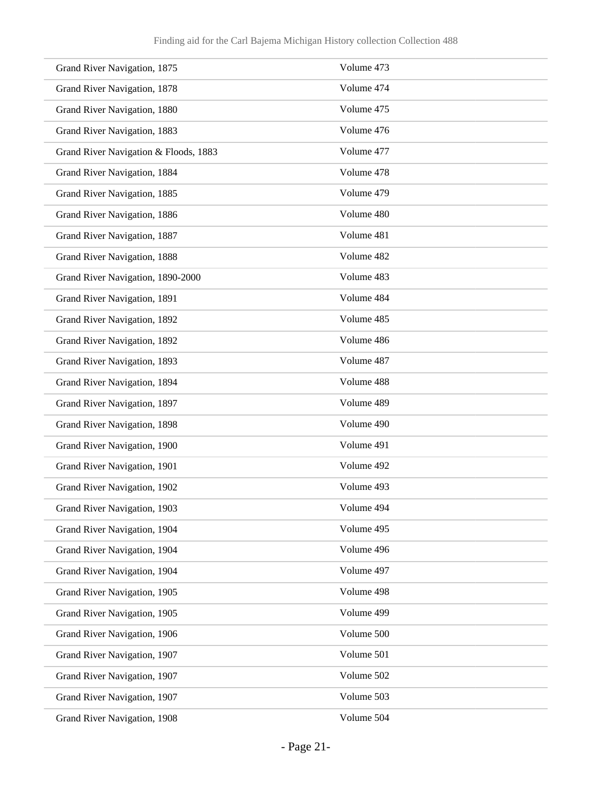| Grand River Navigation, 1875          | Volume 473 |
|---------------------------------------|------------|
| Grand River Navigation, 1878          | Volume 474 |
| Grand River Navigation, 1880          | Volume 475 |
| Grand River Navigation, 1883          | Volume 476 |
| Grand River Navigation & Floods, 1883 | Volume 477 |
| Grand River Navigation, 1884          | Volume 478 |
| Grand River Navigation, 1885          | Volume 479 |
| Grand River Navigation, 1886          | Volume 480 |
| Grand River Navigation, 1887          | Volume 481 |
| Grand River Navigation, 1888          | Volume 482 |
| Grand River Navigation, 1890-2000     | Volume 483 |
| Grand River Navigation, 1891          | Volume 484 |
| Grand River Navigation, 1892          | Volume 485 |
| Grand River Navigation, 1892          | Volume 486 |
| Grand River Navigation, 1893          | Volume 487 |
| Grand River Navigation, 1894          | Volume 488 |
| Grand River Navigation, 1897          | Volume 489 |
| Grand River Navigation, 1898          | Volume 490 |
| Grand River Navigation, 1900          | Volume 491 |
| Grand River Navigation, 1901          | Volume 492 |
| Grand River Navigation, 1902          | Volume 493 |
| Grand River Navigation, 1903          | Volume 494 |
| Grand River Navigation, 1904          | Volume 495 |
| Grand River Navigation, 1904          | Volume 496 |
| Grand River Navigation, 1904          | Volume 497 |
| Grand River Navigation, 1905          | Volume 498 |
| Grand River Navigation, 1905          | Volume 499 |
| Grand River Navigation, 1906          | Volume 500 |
| Grand River Navigation, 1907          | Volume 501 |
| Grand River Navigation, 1907          | Volume 502 |
| Grand River Navigation, 1907          | Volume 503 |
| Grand River Navigation, 1908          | Volume 504 |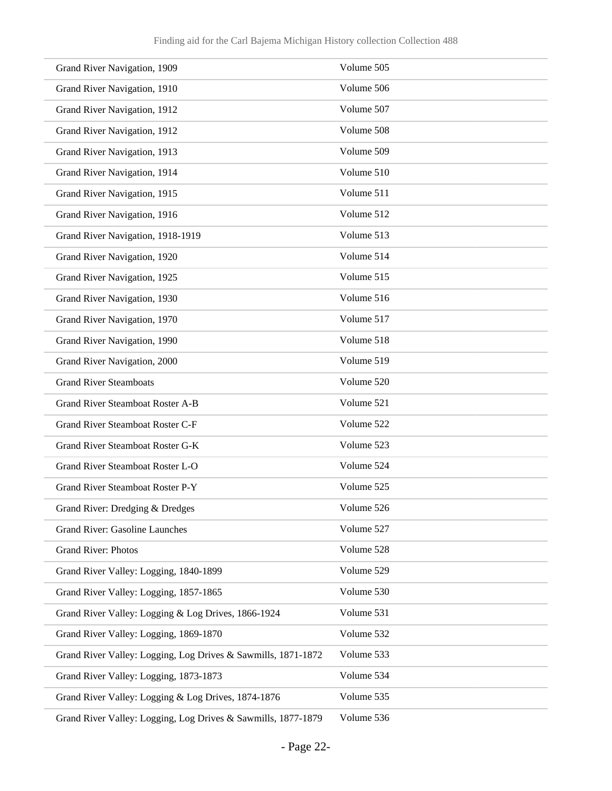| Grand River Navigation, 1909                                  | Volume 505 |
|---------------------------------------------------------------|------------|
| Grand River Navigation, 1910                                  | Volume 506 |
| Grand River Navigation, 1912                                  | Volume 507 |
| Grand River Navigation, 1912                                  | Volume 508 |
| Grand River Navigation, 1913                                  | Volume 509 |
| Grand River Navigation, 1914                                  | Volume 510 |
| Grand River Navigation, 1915                                  | Volume 511 |
| Grand River Navigation, 1916                                  | Volume 512 |
| Grand River Navigation, 1918-1919                             | Volume 513 |
| Grand River Navigation, 1920                                  | Volume 514 |
| Grand River Navigation, 1925                                  | Volume 515 |
| Grand River Navigation, 1930                                  | Volume 516 |
| Grand River Navigation, 1970                                  | Volume 517 |
| Grand River Navigation, 1990                                  | Volume 518 |
| Grand River Navigation, 2000                                  | Volume 519 |
| <b>Grand River Steamboats</b>                                 | Volume 520 |
| <b>Grand River Steamboat Roster A-B</b>                       | Volume 521 |
| Grand River Steamboat Roster C-F                              | Volume 522 |
| Grand River Steamboat Roster G-K                              | Volume 523 |
| Grand River Steamboat Roster L-O                              | Volume 524 |
| Grand River Steamboat Roster P-Y                              | Volume 525 |
| Grand River: Dredging & Dredges                               | Volume 526 |
| <b>Grand River: Gasoline Launches</b>                         | Volume 527 |
| <b>Grand River: Photos</b>                                    | Volume 528 |
| Grand River Valley: Logging, 1840-1899                        | Volume 529 |
| Grand River Valley: Logging, 1857-1865                        | Volume 530 |
| Grand River Valley: Logging & Log Drives, 1866-1924           | Volume 531 |
| Grand River Valley: Logging, 1869-1870                        | Volume 532 |
| Grand River Valley: Logging, Log Drives & Sawmills, 1871-1872 | Volume 533 |
| Grand River Valley: Logging, 1873-1873                        | Volume 534 |
| Grand River Valley: Logging & Log Drives, 1874-1876           | Volume 535 |
| Grand River Valley: Logging, Log Drives & Sawmills, 1877-1879 | Volume 536 |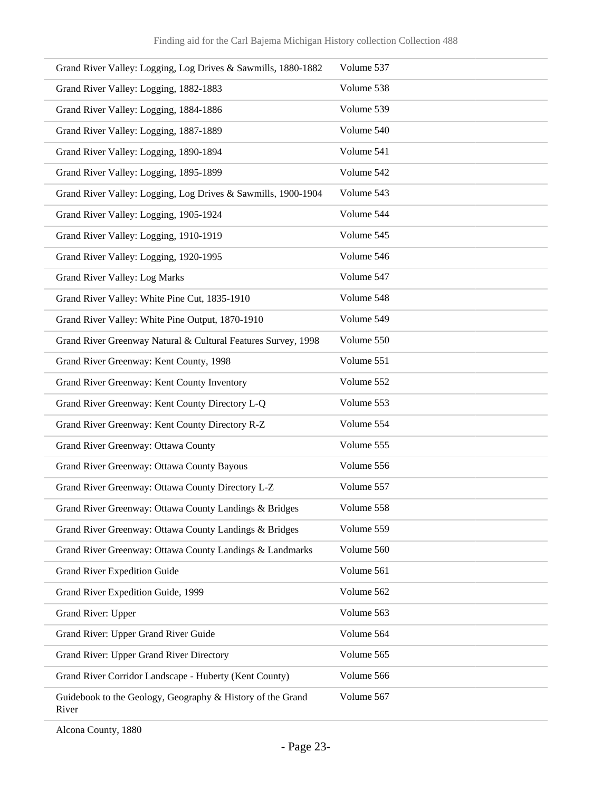| Grand River Valley: Logging, Log Drives & Sawmills, 1880-1882       | Volume 537 |
|---------------------------------------------------------------------|------------|
| Grand River Valley: Logging, 1882-1883                              | Volume 538 |
| Grand River Valley: Logging, 1884-1886                              | Volume 539 |
| Grand River Valley: Logging, 1887-1889                              | Volume 540 |
| Grand River Valley: Logging, 1890-1894                              | Volume 541 |
| Grand River Valley: Logging, 1895-1899                              | Volume 542 |
| Grand River Valley: Logging, Log Drives & Sawmills, 1900-1904       | Volume 543 |
| Grand River Valley: Logging, 1905-1924                              | Volume 544 |
| Grand River Valley: Logging, 1910-1919                              | Volume 545 |
| Grand River Valley: Logging, 1920-1995                              | Volume 546 |
| <b>Grand River Valley: Log Marks</b>                                | Volume 547 |
| Grand River Valley: White Pine Cut, 1835-1910                       | Volume 548 |
| Grand River Valley: White Pine Output, 1870-1910                    | Volume 549 |
| Grand River Greenway Natural & Cultural Features Survey, 1998       | Volume 550 |
| Grand River Greenway: Kent County, 1998                             | Volume 551 |
| Grand River Greenway: Kent County Inventory                         | Volume 552 |
| Grand River Greenway: Kent County Directory L-Q                     | Volume 553 |
| Grand River Greenway: Kent County Directory R-Z                     | Volume 554 |
| Grand River Greenway: Ottawa County                                 | Volume 555 |
| Grand River Greenway: Ottawa County Bayous                          | Volume 556 |
| Grand River Greenway: Ottawa County Directory L-Z                   | Volume 557 |
| Grand River Greenway: Ottawa County Landings & Bridges              | Volume 558 |
| Grand River Greenway: Ottawa County Landings & Bridges              | Volume 559 |
| Grand River Greenway: Ottawa County Landings & Landmarks            | Volume 560 |
| <b>Grand River Expedition Guide</b>                                 | Volume 561 |
| Grand River Expedition Guide, 1999                                  | Volume 562 |
| Grand River: Upper                                                  | Volume 563 |
| Grand River: Upper Grand River Guide                                | Volume 564 |
| Grand River: Upper Grand River Directory                            | Volume 565 |
| Grand River Corridor Landscape - Huberty (Kent County)              | Volume 566 |
| Guidebook to the Geology, Geography & History of the Grand<br>River | Volume 567 |

Alcona County, 1880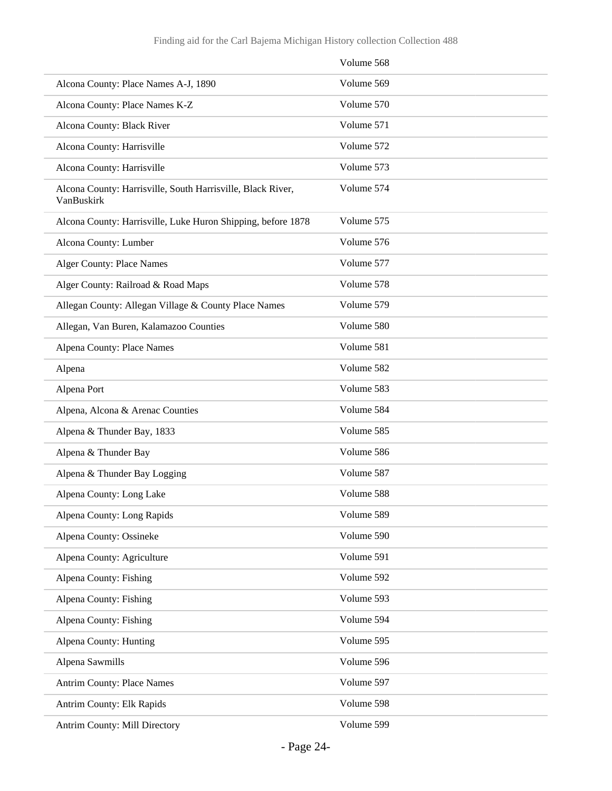|                                                                           | Volume 568 |
|---------------------------------------------------------------------------|------------|
| Alcona County: Place Names A-J, 1890                                      | Volume 569 |
| Alcona County: Place Names K-Z                                            | Volume 570 |
| Alcona County: Black River                                                | Volume 571 |
| Alcona County: Harrisville                                                | Volume 572 |
| Alcona County: Harrisville                                                | Volume 573 |
| Alcona County: Harrisville, South Harrisville, Black River,<br>VanBuskirk | Volume 574 |
| Alcona County: Harrisville, Luke Huron Shipping, before 1878              | Volume 575 |
| Alcona County: Lumber                                                     | Volume 576 |
| <b>Alger County: Place Names</b>                                          | Volume 577 |
| Alger County: Railroad & Road Maps                                        | Volume 578 |
| Allegan County: Allegan Village & County Place Names                      | Volume 579 |
| Allegan, Van Buren, Kalamazoo Counties                                    | Volume 580 |
| Alpena County: Place Names                                                | Volume 581 |
| Alpena                                                                    | Volume 582 |
| Alpena Port                                                               | Volume 583 |
| Alpena, Alcona & Arenac Counties                                          | Volume 584 |
| Alpena & Thunder Bay, 1833                                                | Volume 585 |
| Alpena & Thunder Bay                                                      | Volume 586 |
| Alpena & Thunder Bay Logging                                              | Volume 587 |
| Alpena County: Long Lake                                                  | Volume 588 |
| Alpena County: Long Rapids                                                | Volume 589 |
| Alpena County: Ossineke                                                   | Volume 590 |
| Alpena County: Agriculture                                                | Volume 591 |
| Alpena County: Fishing                                                    | Volume 592 |
| Alpena County: Fishing                                                    | Volume 593 |
| Alpena County: Fishing                                                    | Volume 594 |
| Alpena County: Hunting                                                    | Volume 595 |
| Alpena Sawmills                                                           | Volume 596 |
| <b>Antrim County: Place Names</b>                                         | Volume 597 |
| Antrim County: Elk Rapids                                                 | Volume 598 |
| Antrim County: Mill Directory                                             | Volume 599 |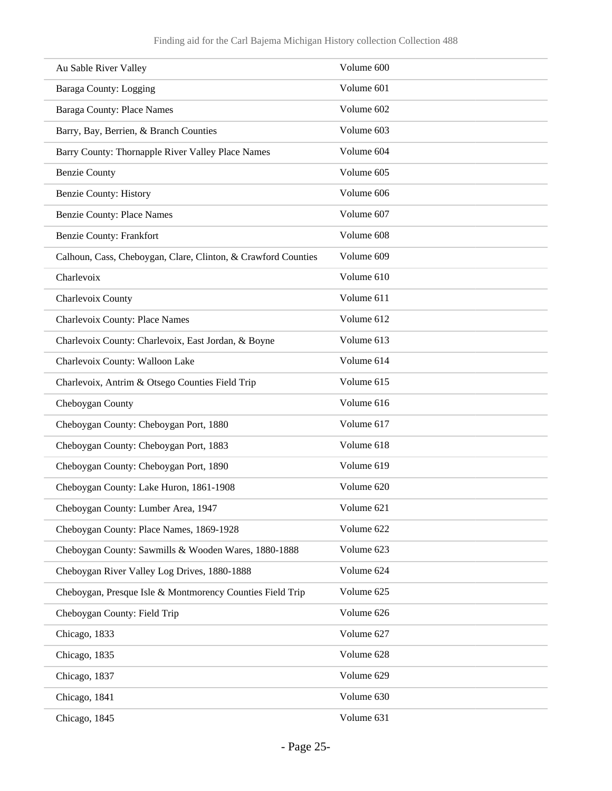| Au Sable River Valley                                         | Volume 600 |
|---------------------------------------------------------------|------------|
| Baraga County: Logging                                        | Volume 601 |
| <b>Baraga County: Place Names</b>                             | Volume 602 |
| Barry, Bay, Berrien, & Branch Counties                        | Volume 603 |
| Barry County: Thornapple River Valley Place Names             | Volume 604 |
| <b>Benzie County</b>                                          | Volume 605 |
| <b>Benzie County: History</b>                                 | Volume 606 |
| <b>Benzie County: Place Names</b>                             | Volume 607 |
| <b>Benzie County: Frankfort</b>                               | Volume 608 |
| Calhoun, Cass, Cheboygan, Clare, Clinton, & Crawford Counties | Volume 609 |
| Charlevoix                                                    | Volume 610 |
| Charlevoix County                                             | Volume 611 |
| Charlevoix County: Place Names                                | Volume 612 |
| Charlevoix County: Charlevoix, East Jordan, & Boyne           | Volume 613 |
| Charlevoix County: Walloon Lake                               | Volume 614 |
| Charlevoix, Antrim & Otsego Counties Field Trip               | Volume 615 |
| Cheboygan County                                              | Volume 616 |
| Cheboygan County: Cheboygan Port, 1880                        | Volume 617 |
| Cheboygan County: Cheboygan Port, 1883                        | Volume 618 |
| Cheboygan County: Cheboygan Port, 1890                        | Volume 619 |
| Cheboygan County: Lake Huron, 1861-1908                       | Volume 620 |
| Cheboygan County: Lumber Area, 1947                           | Volume 621 |
| Cheboygan County: Place Names, 1869-1928                      | Volume 622 |
| Cheboygan County: Sawmills & Wooden Wares, 1880-1888          | Volume 623 |
| Cheboygan River Valley Log Drives, 1880-1888                  | Volume 624 |
| Cheboygan, Presque Isle & Montmorency Counties Field Trip     | Volume 625 |
| Cheboygan County: Field Trip                                  | Volume 626 |
| Chicago, 1833                                                 | Volume 627 |
| Chicago, 1835                                                 | Volume 628 |
| Chicago, 1837                                                 | Volume 629 |
| Chicago, 1841                                                 | Volume 630 |
| Chicago, 1845                                                 | Volume 631 |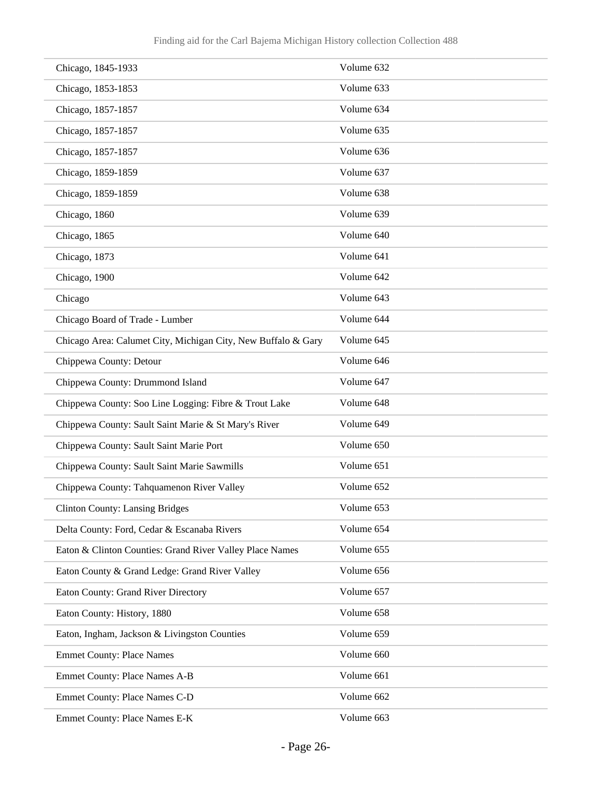| Chicago, 1845-1933                                            | Volume 632 |
|---------------------------------------------------------------|------------|
| Chicago, 1853-1853                                            | Volume 633 |
| Chicago, 1857-1857                                            | Volume 634 |
| Chicago, 1857-1857                                            | Volume 635 |
| Chicago, 1857-1857                                            | Volume 636 |
| Chicago, 1859-1859                                            | Volume 637 |
| Chicago, 1859-1859                                            | Volume 638 |
| Chicago, 1860                                                 | Volume 639 |
| Chicago, 1865                                                 | Volume 640 |
| Chicago, 1873                                                 | Volume 641 |
| Chicago, 1900                                                 | Volume 642 |
| Chicago                                                       | Volume 643 |
| Chicago Board of Trade - Lumber                               | Volume 644 |
| Chicago Area: Calumet City, Michigan City, New Buffalo & Gary | Volume 645 |
| Chippewa County: Detour                                       | Volume 646 |
| Chippewa County: Drummond Island                              | Volume 647 |
| Chippewa County: Soo Line Logging: Fibre & Trout Lake         | Volume 648 |
| Chippewa County: Sault Saint Marie & St Mary's River          | Volume 649 |
| Chippewa County: Sault Saint Marie Port                       | Volume 650 |
| Chippewa County: Sault Saint Marie Sawmills                   | Volume 651 |
| Chippewa County: Tahquamenon River Valley                     | Volume 652 |
| <b>Clinton County: Lansing Bridges</b>                        | Volume 653 |
| Delta County: Ford, Cedar & Escanaba Rivers                   | Volume 654 |
| Eaton & Clinton Counties: Grand River Valley Place Names      | Volume 655 |
| Eaton County & Grand Ledge: Grand River Valley                | Volume 656 |
| Eaton County: Grand River Directory                           | Volume 657 |
| Eaton County: History, 1880                                   | Volume 658 |
| Eaton, Ingham, Jackson & Livingston Counties                  | Volume 659 |
| <b>Emmet County: Place Names</b>                              | Volume 660 |
| Emmet County: Place Names A-B                                 | Volume 661 |
| Emmet County: Place Names C-D                                 | Volume 662 |
| Emmet County: Place Names E-K                                 | Volume 663 |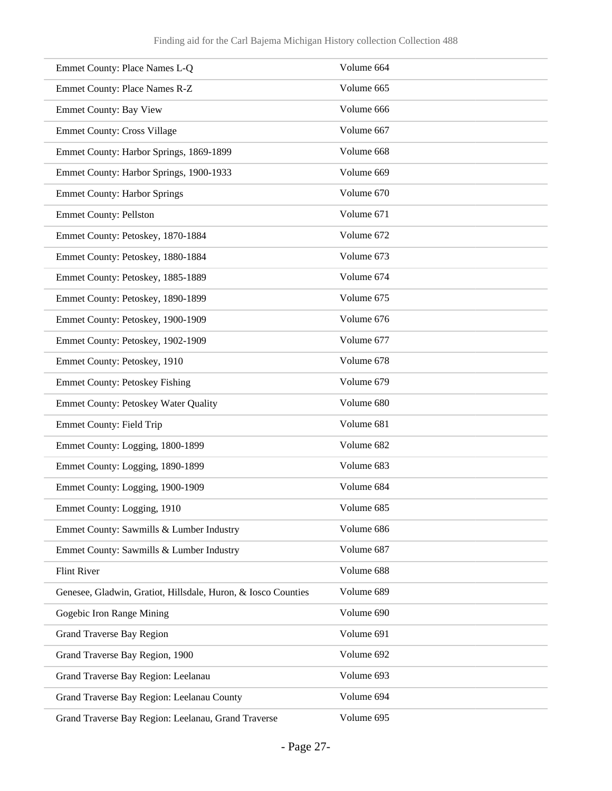| Emmet County: Place Names L-Q                                 | Volume 664 |
|---------------------------------------------------------------|------------|
| Emmet County: Place Names R-Z                                 | Volume 665 |
| <b>Emmet County: Bay View</b>                                 | Volume 666 |
| <b>Emmet County: Cross Village</b>                            | Volume 667 |
| Emmet County: Harbor Springs, 1869-1899                       | Volume 668 |
| Emmet County: Harbor Springs, 1900-1933                       | Volume 669 |
| <b>Emmet County: Harbor Springs</b>                           | Volume 670 |
| <b>Emmet County: Pellston</b>                                 | Volume 671 |
| Emmet County: Petoskey, 1870-1884                             | Volume 672 |
| Emmet County: Petoskey, 1880-1884                             | Volume 673 |
| Emmet County: Petoskey, 1885-1889                             | Volume 674 |
| Emmet County: Petoskey, 1890-1899                             | Volume 675 |
| Emmet County: Petoskey, 1900-1909                             | Volume 676 |
| Emmet County: Petoskey, 1902-1909                             | Volume 677 |
| Emmet County: Petoskey, 1910                                  | Volume 678 |
| <b>Emmet County: Petoskey Fishing</b>                         | Volume 679 |
| Emmet County: Petoskey Water Quality                          | Volume 680 |
| <b>Emmet County: Field Trip</b>                               | Volume 681 |
| Emmet County: Logging, 1800-1899                              | Volume 682 |
| Emmet County: Logging, 1890-1899                              | Volume 683 |
| Emmet County: Logging, 1900-1909                              | Volume 684 |
| Emmet County: Logging, 1910                                   | Volume 685 |
| Emmet County: Sawmills & Lumber Industry                      | Volume 686 |
| Emmet County: Sawmills & Lumber Industry                      | Volume 687 |
| <b>Flint River</b>                                            | Volume 688 |
| Genesee, Gladwin, Gratiot, Hillsdale, Huron, & Iosco Counties | Volume 689 |
| Gogebic Iron Range Mining                                     | Volume 690 |
| <b>Grand Traverse Bay Region</b>                              | Volume 691 |
| Grand Traverse Bay Region, 1900                               | Volume 692 |
| Grand Traverse Bay Region: Leelanau                           | Volume 693 |
| Grand Traverse Bay Region: Leelanau County                    | Volume 694 |
| Grand Traverse Bay Region: Leelanau, Grand Traverse           | Volume 695 |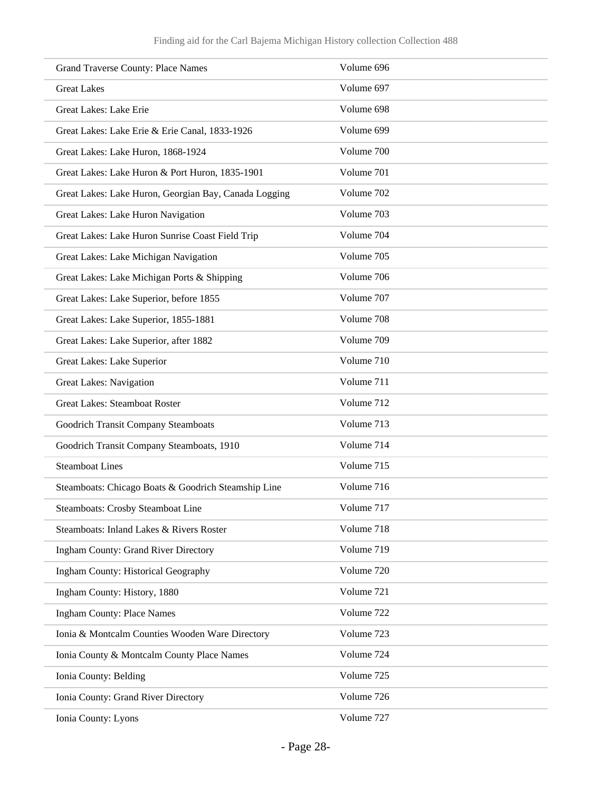| <b>Grand Traverse County: Place Names</b>             | Volume 696 |
|-------------------------------------------------------|------------|
| <b>Great Lakes</b>                                    | Volume 697 |
| Great Lakes: Lake Erie                                | Volume 698 |
| Great Lakes: Lake Erie & Erie Canal, 1833-1926        | Volume 699 |
| Great Lakes: Lake Huron, 1868-1924                    | Volume 700 |
| Great Lakes: Lake Huron & Port Huron, 1835-1901       | Volume 701 |
| Great Lakes: Lake Huron, Georgian Bay, Canada Logging | Volume 702 |
| Great Lakes: Lake Huron Navigation                    | Volume 703 |
| Great Lakes: Lake Huron Sunrise Coast Field Trip      | Volume 704 |
| Great Lakes: Lake Michigan Navigation                 | Volume 705 |
| Great Lakes: Lake Michigan Ports & Shipping           | Volume 706 |
| Great Lakes: Lake Superior, before 1855               | Volume 707 |
| Great Lakes: Lake Superior, 1855-1881                 | Volume 708 |
| Great Lakes: Lake Superior, after 1882                | Volume 709 |
| Great Lakes: Lake Superior                            | Volume 710 |
| <b>Great Lakes: Navigation</b>                        | Volume 711 |
| <b>Great Lakes: Steamboat Roster</b>                  | Volume 712 |
| Goodrich Transit Company Steamboats                   | Volume 713 |
| Goodrich Transit Company Steamboats, 1910             | Volume 714 |
| <b>Steamboat Lines</b>                                | Volume 715 |
| Steamboats: Chicago Boats & Goodrich Steamship Line   | Volume 716 |
| Steamboats: Crosby Steamboat Line                     | Volume 717 |
| Steamboats: Inland Lakes & Rivers Roster              | Volume 718 |
| <b>Ingham County: Grand River Directory</b>           | Volume 719 |
| Ingham County: Historical Geography                   | Volume 720 |
| Ingham County: History, 1880                          | Volume 721 |
| <b>Ingham County: Place Names</b>                     | Volume 722 |
| Ionia & Montcalm Counties Wooden Ware Directory       | Volume 723 |
| Ionia County & Montcalm County Place Names            | Volume 724 |
| Ionia County: Belding                                 | Volume 725 |
| Ionia County: Grand River Directory                   | Volume 726 |
| Ionia County: Lyons                                   | Volume 727 |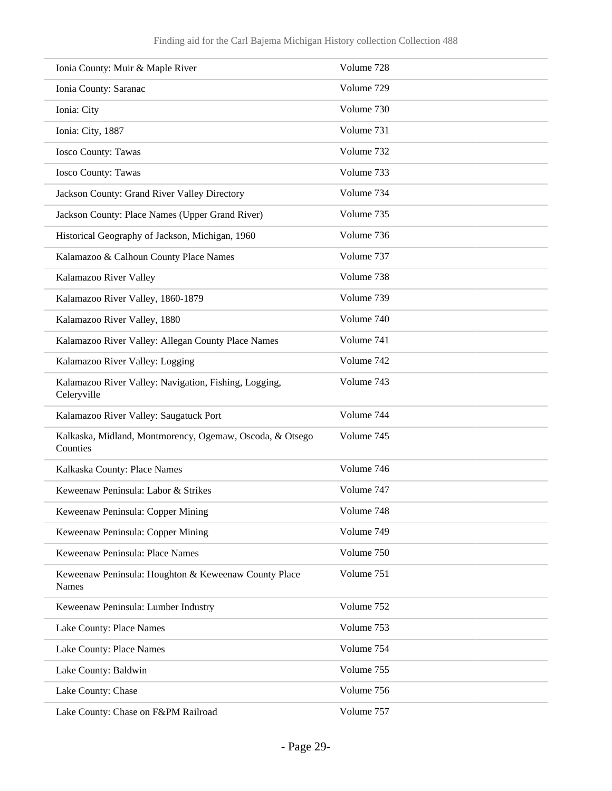| Ionia County: Muir & Maple River                                     | Volume 728 |
|----------------------------------------------------------------------|------------|
| Ionia County: Saranac                                                | Volume 729 |
| Ionia: City                                                          | Volume 730 |
| Ionia: City, 1887                                                    | Volume 731 |
| <b>Iosco County: Tawas</b>                                           | Volume 732 |
| <b>Iosco County: Tawas</b>                                           | Volume 733 |
| Jackson County: Grand River Valley Directory                         | Volume 734 |
| Jackson County: Place Names (Upper Grand River)                      | Volume 735 |
| Historical Geography of Jackson, Michigan, 1960                      | Volume 736 |
| Kalamazoo & Calhoun County Place Names                               | Volume 737 |
| Kalamazoo River Valley                                               | Volume 738 |
| Kalamazoo River Valley, 1860-1879                                    | Volume 739 |
| Kalamazoo River Valley, 1880                                         | Volume 740 |
| Kalamazoo River Valley: Allegan County Place Names                   | Volume 741 |
| Kalamazoo River Valley: Logging                                      | Volume 742 |
| Kalamazoo River Valley: Navigation, Fishing, Logging,<br>Celeryville | Volume 743 |
| Kalamazoo River Valley: Saugatuck Port                               | Volume 744 |
| Kalkaska, Midland, Montmorency, Ogemaw, Oscoda, & Otsego<br>Counties | Volume 745 |
| Kalkaska County: Place Names                                         | Volume 746 |
| Keweenaw Peninsula: Labor & Strikes                                  | Volume 747 |
| Keweenaw Peninsula: Copper Mining                                    | Volume 748 |
| Keweenaw Peninsula: Copper Mining                                    | Volume 749 |
| Keweenaw Peninsula: Place Names                                      | Volume 750 |
| Keweenaw Peninsula: Houghton & Keweenaw County Place<br>Names        | Volume 751 |
| Keweenaw Peninsula: Lumber Industry                                  | Volume 752 |
| Lake County: Place Names                                             | Volume 753 |
| Lake County: Place Names                                             | Volume 754 |
| Lake County: Baldwin                                                 | Volume 755 |
| Lake County: Chase                                                   | Volume 756 |
| Lake County: Chase on F&PM Railroad                                  | Volume 757 |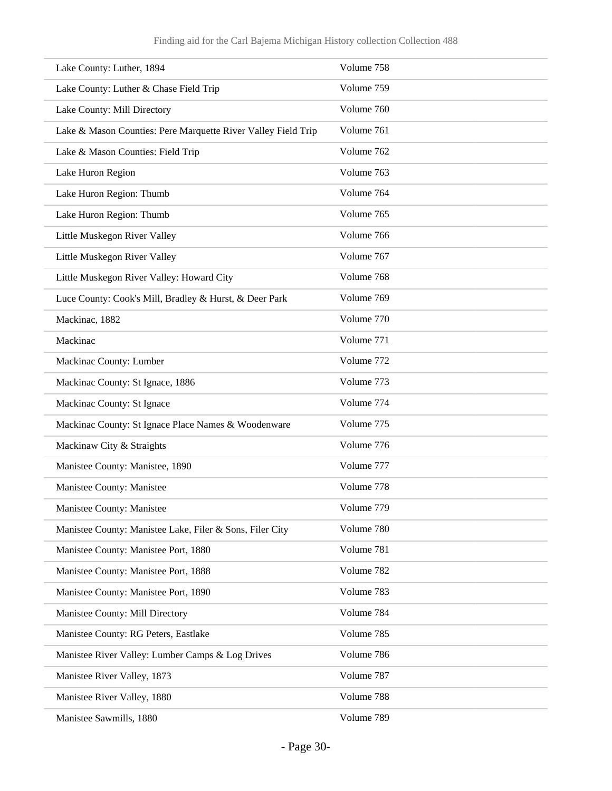| Lake County: Luther, 1894                                     | Volume 758 |
|---------------------------------------------------------------|------------|
| Lake County: Luther & Chase Field Trip                        | Volume 759 |
| Lake County: Mill Directory                                   | Volume 760 |
| Lake & Mason Counties: Pere Marquette River Valley Field Trip | Volume 761 |
| Lake & Mason Counties: Field Trip                             | Volume 762 |
| Lake Huron Region                                             | Volume 763 |
| Lake Huron Region: Thumb                                      | Volume 764 |
| Lake Huron Region: Thumb                                      | Volume 765 |
| Little Muskegon River Valley                                  | Volume 766 |
| Little Muskegon River Valley                                  | Volume 767 |
| Little Muskegon River Valley: Howard City                     | Volume 768 |
| Luce County: Cook's Mill, Bradley & Hurst, & Deer Park        | Volume 769 |
| Mackinac, 1882                                                | Volume 770 |
| Mackinac                                                      | Volume 771 |
| Mackinac County: Lumber                                       | Volume 772 |
| Mackinac County: St Ignace, 1886                              | Volume 773 |
| Mackinac County: St Ignace                                    | Volume 774 |
| Mackinac County: St Ignace Place Names & Woodenware           | Volume 775 |
| Mackinaw City & Straights                                     | Volume 776 |
| Manistee County: Manistee, 1890                               | Volume 777 |
| Manistee County: Manistee                                     | Volume 778 |
| Manistee County: Manistee                                     | Volume 779 |
| Manistee County: Manistee Lake, Filer & Sons, Filer City      | Volume 780 |
| Manistee County: Manistee Port, 1880                          | Volume 781 |
| Manistee County: Manistee Port, 1888                          | Volume 782 |
| Manistee County: Manistee Port, 1890                          | Volume 783 |
| Manistee County: Mill Directory                               | Volume 784 |
| Manistee County: RG Peters, Eastlake                          | Volume 785 |
| Manistee River Valley: Lumber Camps & Log Drives              | Volume 786 |
| Manistee River Valley, 1873                                   | Volume 787 |
| Manistee River Valley, 1880                                   | Volume 788 |
| Manistee Sawmills, 1880                                       | Volume 789 |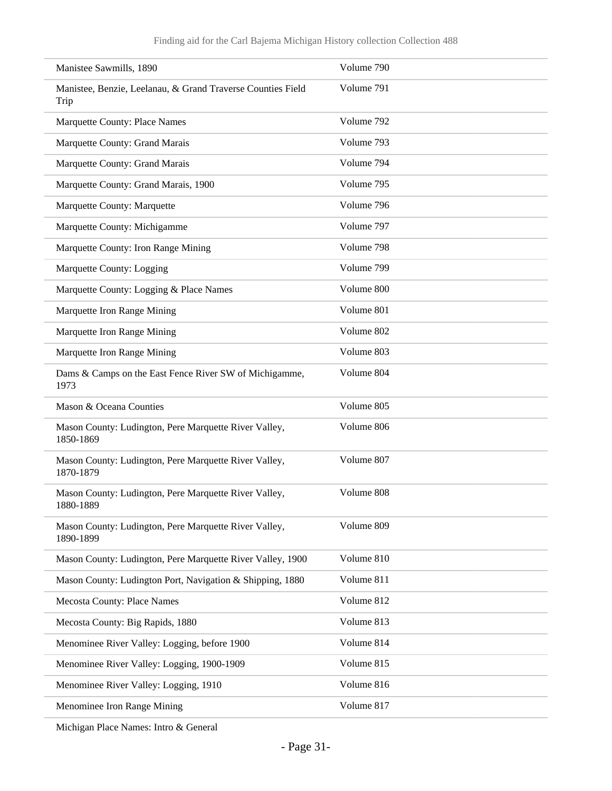| Manistee Sawmills, 1890                                             | Volume 790 |
|---------------------------------------------------------------------|------------|
| Manistee, Benzie, Leelanau, & Grand Traverse Counties Field<br>Trip | Volume 791 |
| <b>Marquette County: Place Names</b>                                | Volume 792 |
| Marquette County: Grand Marais                                      | Volume 793 |
| Marquette County: Grand Marais                                      | Volume 794 |
| Marquette County: Grand Marais, 1900                                | Volume 795 |
| Marquette County: Marquette                                         | Volume 796 |
| Marquette County: Michigamme                                        | Volume 797 |
| Marquette County: Iron Range Mining                                 | Volume 798 |
| Marquette County: Logging                                           | Volume 799 |
| Marquette County: Logging & Place Names                             | Volume 800 |
| Marquette Iron Range Mining                                         | Volume 801 |
| Marquette Iron Range Mining                                         | Volume 802 |
| Marquette Iron Range Mining                                         | Volume 803 |
| Dams & Camps on the East Fence River SW of Michigamme,<br>1973      | Volume 804 |
| Mason & Oceana Counties                                             | Volume 805 |
| Mason County: Ludington, Pere Marquette River Valley,<br>1850-1869  | Volume 806 |
| Mason County: Ludington, Pere Marquette River Valley,<br>1870-1879  | Volume 807 |
| Mason County: Ludington, Pere Marquette River Valley,<br>1880-1889  | Volume 808 |
| Mason County: Ludington, Pere Marquette River Valley,<br>1890-1899  | Volume 809 |
| Mason County: Ludington, Pere Marquette River Valley, 1900          | Volume 810 |
| Mason County: Ludington Port, Navigation & Shipping, 1880           | Volume 811 |
| Mecosta County: Place Names                                         | Volume 812 |
| Mecosta County: Big Rapids, 1880                                    | Volume 813 |
| Menominee River Valley: Logging, before 1900                        | Volume 814 |
| Menominee River Valley: Logging, 1900-1909                          | Volume 815 |
| Menominee River Valley: Logging, 1910                               | Volume 816 |
| Menominee Iron Range Mining                                         | Volume 817 |

Michigan Place Names: Intro & General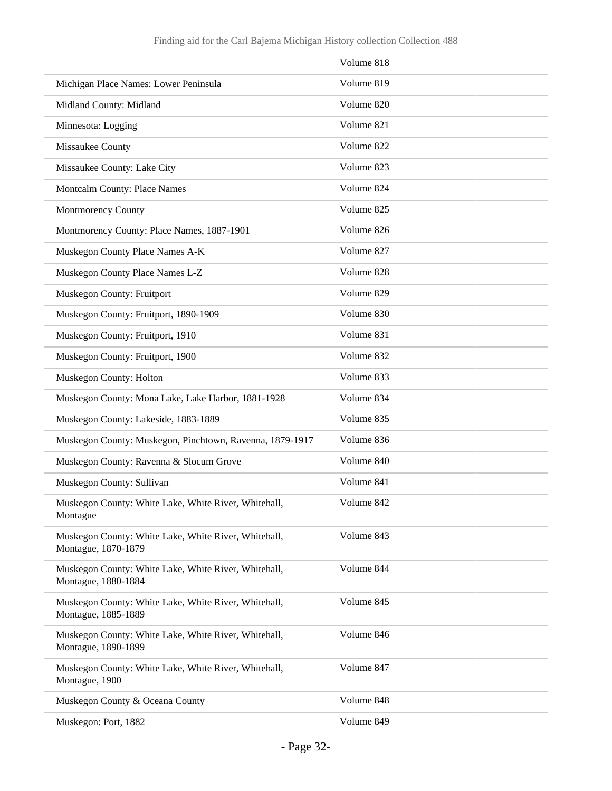|                                                                             | Volume 818 |
|-----------------------------------------------------------------------------|------------|
| Michigan Place Names: Lower Peninsula                                       | Volume 819 |
| Midland County: Midland                                                     | Volume 820 |
| Minnesota: Logging                                                          | Volume 821 |
| Missaukee County                                                            | Volume 822 |
| Missaukee County: Lake City                                                 | Volume 823 |
| Montcalm County: Place Names                                                | Volume 824 |
| Montmorency County                                                          | Volume 825 |
| Montmorency County: Place Names, 1887-1901                                  | Volume 826 |
| Muskegon County Place Names A-K                                             | Volume 827 |
| Muskegon County Place Names L-Z                                             | Volume 828 |
| Muskegon County: Fruitport                                                  | Volume 829 |
| Muskegon County: Fruitport, 1890-1909                                       | Volume 830 |
| Muskegon County: Fruitport, 1910                                            | Volume 831 |
| Muskegon County: Fruitport, 1900                                            | Volume 832 |
| Muskegon County: Holton                                                     | Volume 833 |
| Muskegon County: Mona Lake, Lake Harbor, 1881-1928                          | Volume 834 |
| Muskegon County: Lakeside, 1883-1889                                        | Volume 835 |
| Muskegon County: Muskegon, Pinchtown, Ravenna, 1879-1917                    | Volume 836 |
| Muskegon County: Ravenna & Slocum Grove                                     | Volume 840 |
| Muskegon County: Sullivan                                                   | Volume 841 |
| Muskegon County: White Lake, White River, Whitehall,<br>Montague            | Volume 842 |
| Muskegon County: White Lake, White River, Whitehall,<br>Montague, 1870-1879 | Volume 843 |
| Muskegon County: White Lake, White River, Whitehall,<br>Montague, 1880-1884 | Volume 844 |
| Muskegon County: White Lake, White River, Whitehall,<br>Montague, 1885-1889 | Volume 845 |
| Muskegon County: White Lake, White River, Whitehall,<br>Montague, 1890-1899 | Volume 846 |
| Muskegon County: White Lake, White River, Whitehall,<br>Montague, 1900      | Volume 847 |
| Muskegon County & Oceana County                                             | Volume 848 |
| Muskegon: Port, 1882                                                        | Volume 849 |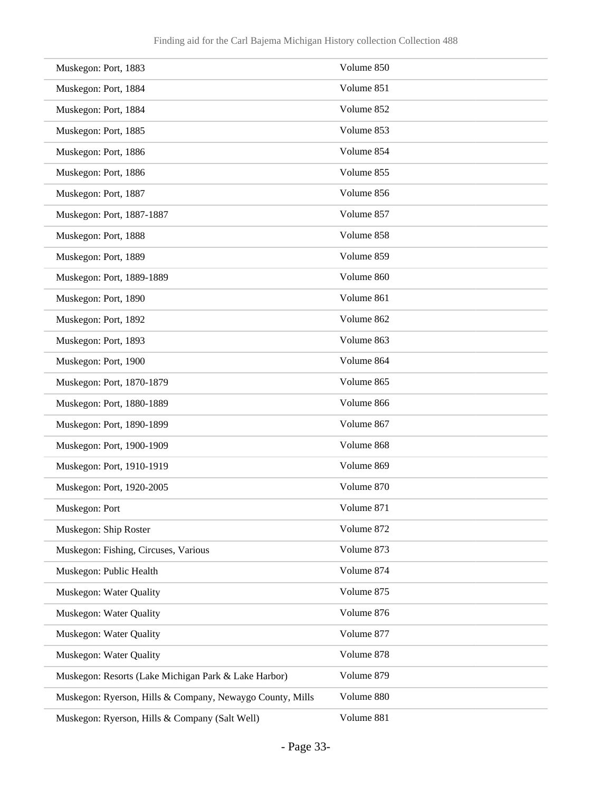| Muskegon: Port, 1883                                      | Volume 850 |
|-----------------------------------------------------------|------------|
| Muskegon: Port, 1884                                      | Volume 851 |
| Muskegon: Port, 1884                                      | Volume 852 |
| Muskegon: Port, 1885                                      | Volume 853 |
| Muskegon: Port, 1886                                      | Volume 854 |
| Muskegon: Port, 1886                                      | Volume 855 |
| Muskegon: Port, 1887                                      | Volume 856 |
| Muskegon: Port, 1887-1887                                 | Volume 857 |
| Muskegon: Port, 1888                                      | Volume 858 |
| Muskegon: Port, 1889                                      | Volume 859 |
| Muskegon: Port, 1889-1889                                 | Volume 860 |
| Muskegon: Port, 1890                                      | Volume 861 |
| Muskegon: Port, 1892                                      | Volume 862 |
| Muskegon: Port, 1893                                      | Volume 863 |
| Muskegon: Port, 1900                                      | Volume 864 |
| Muskegon: Port, 1870-1879                                 | Volume 865 |
| Muskegon: Port, 1880-1889                                 | Volume 866 |
| Muskegon: Port, 1890-1899                                 | Volume 867 |
| Muskegon: Port, 1900-1909                                 | Volume 868 |
| Muskegon: Port, 1910-1919                                 | Volume 869 |
| Muskegon: Port, 1920-2005                                 | Volume 870 |
| Muskegon: Port                                            | Volume 871 |
| Muskegon: Ship Roster                                     | Volume 872 |
| Muskegon: Fishing, Circuses, Various                      | Volume 873 |
| Muskegon: Public Health                                   | Volume 874 |
| Muskegon: Water Quality                                   | Volume 875 |
| Muskegon: Water Quality                                   | Volume 876 |
| Muskegon: Water Quality                                   | Volume 877 |
| Muskegon: Water Quality                                   | Volume 878 |
| Muskegon: Resorts (Lake Michigan Park & Lake Harbor)      | Volume 879 |
| Muskegon: Ryerson, Hills & Company, Newaygo County, Mills | Volume 880 |
| Muskegon: Ryerson, Hills & Company (Salt Well)            | Volume 881 |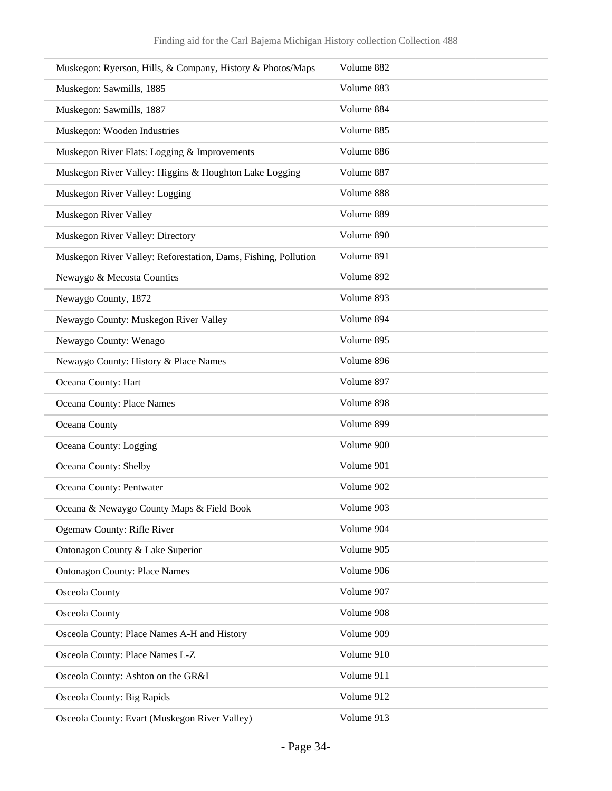| Muskegon: Ryerson, Hills, & Company, History & Photos/Maps     | Volume 882 |
|----------------------------------------------------------------|------------|
| Muskegon: Sawmills, 1885                                       | Volume 883 |
| Muskegon: Sawmills, 1887                                       | Volume 884 |
| Muskegon: Wooden Industries                                    | Volume 885 |
| Muskegon River Flats: Logging & Improvements                   | Volume 886 |
| Muskegon River Valley: Higgins & Houghton Lake Logging         | Volume 887 |
| Muskegon River Valley: Logging                                 | Volume 888 |
| Muskegon River Valley                                          | Volume 889 |
| Muskegon River Valley: Directory                               | Volume 890 |
| Muskegon River Valley: Reforestation, Dams, Fishing, Pollution | Volume 891 |
| Newaygo & Mecosta Counties                                     | Volume 892 |
| Newaygo County, 1872                                           | Volume 893 |
| Newaygo County: Muskegon River Valley                          | Volume 894 |
| Newaygo County: Wenago                                         | Volume 895 |
| Newaygo County: History & Place Names                          | Volume 896 |
| Oceana County: Hart                                            | Volume 897 |
| Oceana County: Place Names                                     | Volume 898 |
| Oceana County                                                  | Volume 899 |
| Oceana County: Logging                                         | Volume 900 |
| Oceana County: Shelby                                          | Volume 901 |
| Oceana County: Pentwater                                       | Volume 902 |
| Oceana & Newaygo County Maps & Field Book                      | Volume 903 |
| Ogemaw County: Rifle River                                     | Volume 904 |
| Ontonagon County & Lake Superior                               | Volume 905 |
| <b>Ontonagon County: Place Names</b>                           | Volume 906 |
| Osceola County                                                 | Volume 907 |
| Osceola County                                                 | Volume 908 |
| Osceola County: Place Names A-H and History                    | Volume 909 |
| Osceola County: Place Names L-Z                                | Volume 910 |
| Osceola County: Ashton on the GR&I                             | Volume 911 |
| Osceola County: Big Rapids                                     | Volume 912 |
| Osceola County: Evart (Muskegon River Valley)                  | Volume 913 |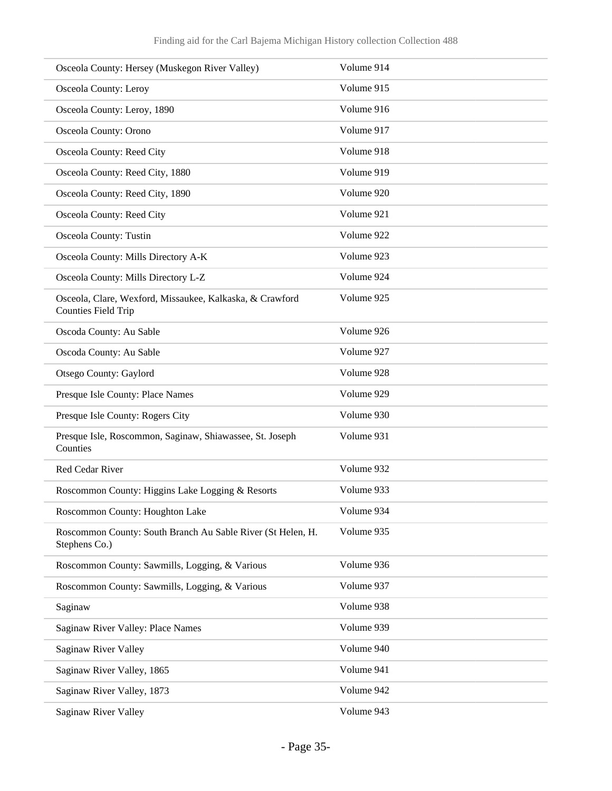| Osceola County: Hersey (Muskegon River Valley)                                         | Volume 914 |
|----------------------------------------------------------------------------------------|------------|
| Osceola County: Leroy                                                                  | Volume 915 |
| Osceola County: Leroy, 1890                                                            | Volume 916 |
| Osceola County: Orono                                                                  | Volume 917 |
| Osceola County: Reed City                                                              | Volume 918 |
| Osceola County: Reed City, 1880                                                        | Volume 919 |
| Osceola County: Reed City, 1890                                                        | Volume 920 |
| Osceola County: Reed City                                                              | Volume 921 |
| Osceola County: Tustin                                                                 | Volume 922 |
| Osceola County: Mills Directory A-K                                                    | Volume 923 |
| Osceola County: Mills Directory L-Z                                                    | Volume 924 |
| Osceola, Clare, Wexford, Missaukee, Kalkaska, & Crawford<br><b>Counties Field Trip</b> | Volume 925 |
| Oscoda County: Au Sable                                                                | Volume 926 |
| Oscoda County: Au Sable                                                                | Volume 927 |
| Otsego County: Gaylord                                                                 | Volume 928 |
| Presque Isle County: Place Names                                                       | Volume 929 |
| Presque Isle County: Rogers City                                                       | Volume 930 |
| Presque Isle, Roscommon, Saginaw, Shiawassee, St. Joseph<br>Counties                   | Volume 931 |
| Red Cedar River                                                                        | Volume 932 |
| Roscommon County: Higgins Lake Logging & Resorts                                       | Volume 933 |
| Roscommon County: Houghton Lake                                                        | Volume 934 |
| Roscommon County: South Branch Au Sable River (St Helen, H.<br>Stephens Co.)           | Volume 935 |
| Roscommon County: Sawmills, Logging, & Various                                         | Volume 936 |
| Roscommon County: Sawmills, Logging, & Various                                         | Volume 937 |
| Saginaw                                                                                | Volume 938 |
| Saginaw River Valley: Place Names                                                      | Volume 939 |
| Saginaw River Valley                                                                   | Volume 940 |
| Saginaw River Valley, 1865                                                             | Volume 941 |
| Saginaw River Valley, 1873                                                             | Volume 942 |
| Saginaw River Valley                                                                   | Volume 943 |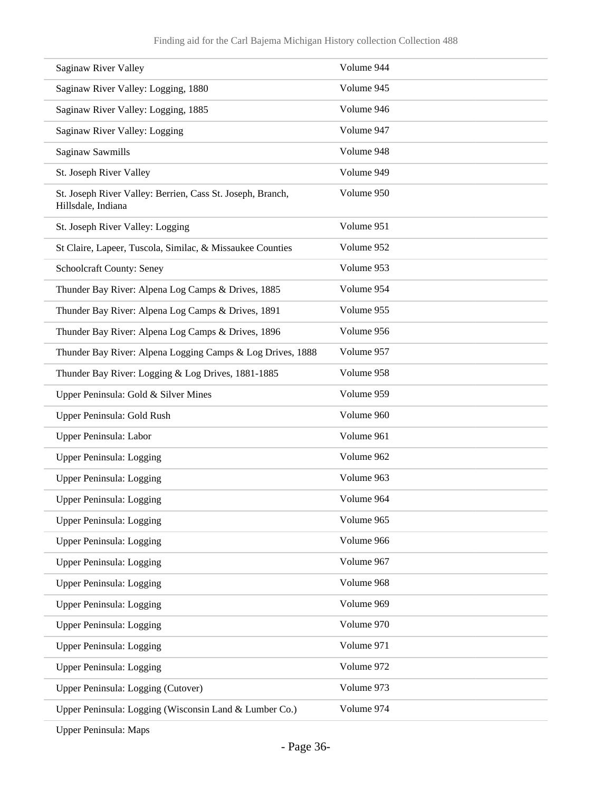| Saginaw River Valley                                                             | Volume 944 |
|----------------------------------------------------------------------------------|------------|
| Saginaw River Valley: Logging, 1880                                              | Volume 945 |
| Saginaw River Valley: Logging, 1885                                              | Volume 946 |
| Saginaw River Valley: Logging                                                    | Volume 947 |
| Saginaw Sawmills                                                                 | Volume 948 |
| St. Joseph River Valley                                                          | Volume 949 |
| St. Joseph River Valley: Berrien, Cass St. Joseph, Branch,<br>Hillsdale, Indiana | Volume 950 |
| St. Joseph River Valley: Logging                                                 | Volume 951 |
| St Claire, Lapeer, Tuscola, Similac, & Missaukee Counties                        | Volume 952 |
| Schoolcraft County: Seney                                                        | Volume 953 |
| Thunder Bay River: Alpena Log Camps & Drives, 1885                               | Volume 954 |
| Thunder Bay River: Alpena Log Camps & Drives, 1891                               | Volume 955 |
| Thunder Bay River: Alpena Log Camps & Drives, 1896                               | Volume 956 |
| Thunder Bay River: Alpena Logging Camps & Log Drives, 1888                       | Volume 957 |
| Thunder Bay River: Logging & Log Drives, 1881-1885                               | Volume 958 |
| Upper Peninsula: Gold & Silver Mines                                             | Volume 959 |
| Upper Peninsula: Gold Rush                                                       | Volume 960 |
| Upper Peninsula: Labor                                                           | Volume 961 |
| Upper Peninsula: Logging                                                         | Volume 962 |
| <b>Upper Peninsula: Logging</b>                                                  | Volume 963 |
| <b>Upper Peninsula: Logging</b>                                                  | Volume 964 |
| Upper Peninsula: Logging                                                         | Volume 965 |
| Upper Peninsula: Logging                                                         | Volume 966 |
| Upper Peninsula: Logging                                                         | Volume 967 |
| Upper Peninsula: Logging                                                         | Volume 968 |
| Upper Peninsula: Logging                                                         | Volume 969 |
| Upper Peninsula: Logging                                                         | Volume 970 |
| Upper Peninsula: Logging                                                         | Volume 971 |
| Upper Peninsula: Logging                                                         | Volume 972 |
| Upper Peninsula: Logging (Cutover)                                               | Volume 973 |
| Upper Peninsula: Logging (Wisconsin Land & Lumber Co.)                           | Volume 974 |

Upper Peninsula: Maps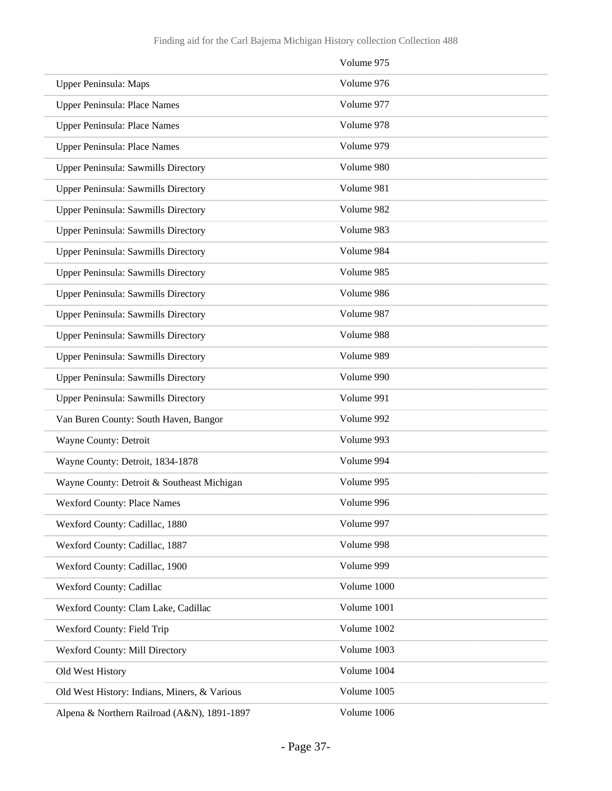|                                              | Volume 975  |
|----------------------------------------------|-------------|
| Upper Peninsula: Maps                        | Volume 976  |
| Upper Peninsula: Place Names                 | Volume 977  |
| Upper Peninsula: Place Names                 | Volume 978  |
| Upper Peninsula: Place Names                 | Volume 979  |
| Upper Peninsula: Sawmills Directory          | Volume 980  |
| Upper Peninsula: Sawmills Directory          | Volume 981  |
| Upper Peninsula: Sawmills Directory          | Volume 982  |
| Upper Peninsula: Sawmills Directory          | Volume 983  |
| <b>Upper Peninsula: Sawmills Directory</b>   | Volume 984  |
| Upper Peninsula: Sawmills Directory          | Volume 985  |
| Upper Peninsula: Sawmills Directory          | Volume 986  |
| Upper Peninsula: Sawmills Directory          | Volume 987  |
| Upper Peninsula: Sawmills Directory          | Volume 988  |
| Upper Peninsula: Sawmills Directory          | Volume 989  |
| Upper Peninsula: Sawmills Directory          | Volume 990  |
| Upper Peninsula: Sawmills Directory          | Volume 991  |
| Van Buren County: South Haven, Bangor        | Volume 992  |
| Wayne County: Detroit                        | Volume 993  |
| Wayne County: Detroit, 1834-1878             | Volume 994  |
| Wayne County: Detroit & Southeast Michigan   | Volume 995  |
| <b>Wexford County: Place Names</b>           | Volume 996  |
| Wexford County: Cadillac, 1880               | Volume 997  |
| Wexford County: Cadillac, 1887               | Volume 998  |
| Wexford County: Cadillac, 1900               | Volume 999  |
| Wexford County: Cadillac                     | Volume 1000 |
| Wexford County: Clam Lake, Cadillac          | Volume 1001 |
| Wexford County: Field Trip                   | Volume 1002 |
| Wexford County: Mill Directory               | Volume 1003 |
| Old West History                             | Volume 1004 |
| Old West History: Indians, Miners, & Various | Volume 1005 |
| Alpena & Northern Railroad (A&N), 1891-1897  | Volume 1006 |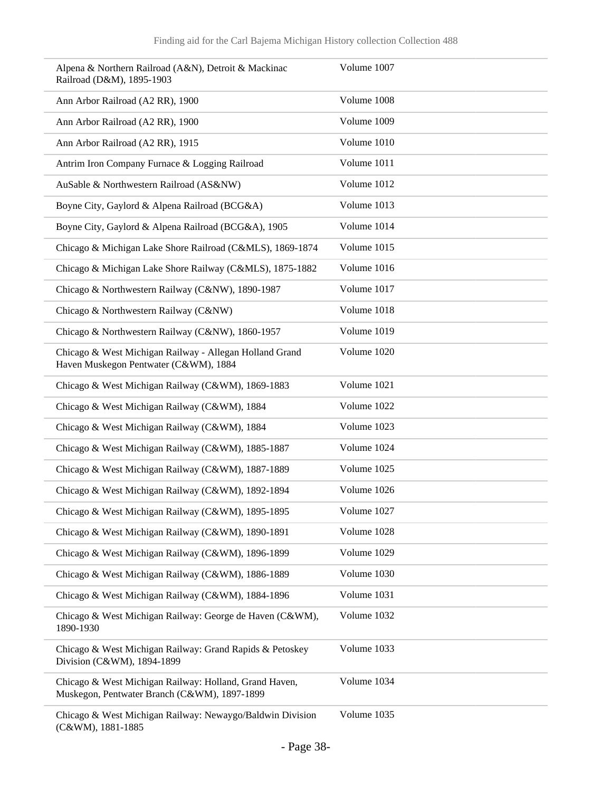| Alpena & Northern Railroad (A&N), Detroit & Mackinac<br>Railroad (D&M), 1895-1903                      | Volume 1007 |
|--------------------------------------------------------------------------------------------------------|-------------|
| Ann Arbor Railroad (A2 RR), 1900                                                                       | Volume 1008 |
| Ann Arbor Railroad (A2 RR), 1900                                                                       | Volume 1009 |
| Ann Arbor Railroad (A2 RR), 1915                                                                       | Volume 1010 |
| Antrim Iron Company Furnace & Logging Railroad                                                         | Volume 1011 |
| AuSable & Northwestern Railroad (AS&NW)                                                                | Volume 1012 |
| Boyne City, Gaylord & Alpena Railroad (BCG&A)                                                          | Volume 1013 |
| Boyne City, Gaylord & Alpena Railroad (BCG&A), 1905                                                    | Volume 1014 |
| Chicago & Michigan Lake Shore Railroad (C&MLS), 1869-1874                                              | Volume 1015 |
| Chicago & Michigan Lake Shore Railway (C&MLS), 1875-1882                                               | Volume 1016 |
| Chicago & Northwestern Railway (C&NW), 1890-1987                                                       | Volume 1017 |
| Chicago & Northwestern Railway (C&NW)                                                                  | Volume 1018 |
| Chicago & Northwestern Railway (C&NW), 1860-1957                                                       | Volume 1019 |
| Chicago & West Michigan Railway - Allegan Holland Grand<br>Haven Muskegon Pentwater (C&WM), 1884       | Volume 1020 |
| Chicago & West Michigan Railway (C&WM), 1869-1883                                                      | Volume 1021 |
| Chicago & West Michigan Railway (C&WM), 1884                                                           | Volume 1022 |
| Chicago & West Michigan Railway (C&WM), 1884                                                           | Volume 1023 |
| Chicago & West Michigan Railway (C&WM), 1885-1887                                                      | Volume 1024 |
| Chicago & West Michigan Railway (C&WM), 1887-1889                                                      | Volume 1025 |
| Chicago & West Michigan Railway (C&WM), 1892-1894                                                      | Volume 1026 |
| Chicago & West Michigan Railway (C&WM), 1895-1895                                                      | Volume 1027 |
| Chicago & West Michigan Railway (C&WM), 1890-1891                                                      | Volume 1028 |
| Chicago & West Michigan Railway (C&WM), 1896-1899                                                      | Volume 1029 |
| Chicago & West Michigan Railway (C&WM), 1886-1889                                                      | Volume 1030 |
| Chicago & West Michigan Railway (C&WM), 1884-1896                                                      | Volume 1031 |
| Chicago & West Michigan Railway: George de Haven (C&WM),<br>1890-1930                                  | Volume 1032 |
| Chicago & West Michigan Railway: Grand Rapids & Petoskey<br>Division (C&WM), 1894-1899                 | Volume 1033 |
| Chicago & West Michigan Railway: Holland, Grand Haven,<br>Muskegon, Pentwater Branch (C&WM), 1897-1899 | Volume 1034 |
| Chicago & West Michigan Railway: Newaygo/Baldwin Division<br>(C&WM), 1881-1885                         | Volume 1035 |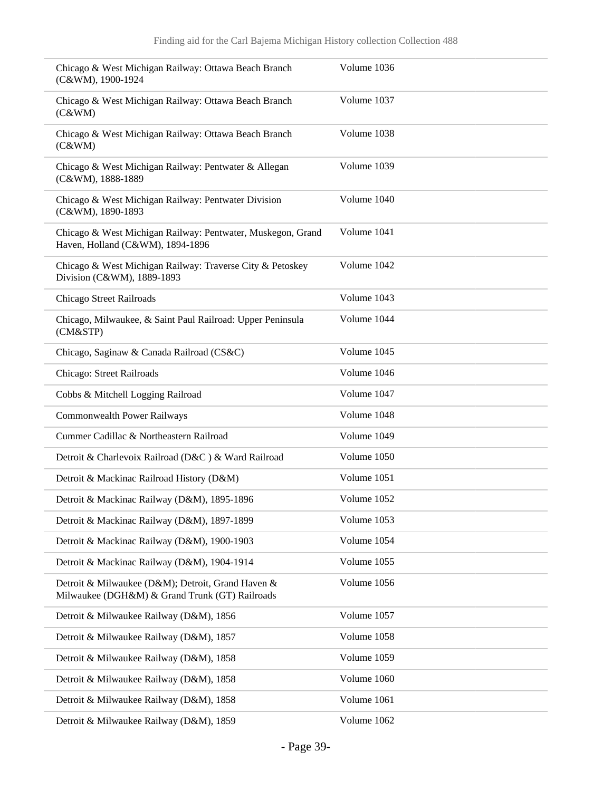| Chicago & West Michigan Railway: Ottawa Beach Branch<br>(C&WM), 1900-1924                           | Volume 1036 |
|-----------------------------------------------------------------------------------------------------|-------------|
| Chicago & West Michigan Railway: Ottawa Beach Branch<br>(C&WM)                                      | Volume 1037 |
| Chicago & West Michigan Railway: Ottawa Beach Branch<br>(C&WM)                                      | Volume 1038 |
| Chicago & West Michigan Railway: Pentwater & Allegan<br>(C&WM), 1888-1889                           | Volume 1039 |
| Chicago & West Michigan Railway: Pentwater Division<br>(C&WM), 1890-1893                            | Volume 1040 |
| Chicago & West Michigan Railway: Pentwater, Muskegon, Grand<br>Haven, Holland (C&WM), 1894-1896     | Volume 1041 |
| Chicago & West Michigan Railway: Traverse City & Petoskey<br>Division (C&WM), 1889-1893             | Volume 1042 |
| Chicago Street Railroads                                                                            | Volume 1043 |
| Chicago, Milwaukee, & Saint Paul Railroad: Upper Peninsula<br>(CM&STP)                              | Volume 1044 |
| Chicago, Saginaw & Canada Railroad (CS&C)                                                           | Volume 1045 |
| Chicago: Street Railroads                                                                           | Volume 1046 |
| Cobbs & Mitchell Logging Railroad                                                                   | Volume 1047 |
| <b>Commonwealth Power Railways</b>                                                                  | Volume 1048 |
| Cummer Cadillac & Northeastern Railroad                                                             | Volume 1049 |
| Detroit & Charlevoix Railroad (D&C) & Ward Railroad                                                 | Volume 1050 |
| Detroit & Mackinac Railroad History (D&M)                                                           | Volume 1051 |
| Detroit & Mackinac Railway (D&M), 1895-1896                                                         | Volume 1052 |
| Detroit & Mackinac Railway (D&M), 1897-1899                                                         | Volume 1053 |
| Detroit & Mackinac Railway (D&M), 1900-1903                                                         | Volume 1054 |
| Detroit & Mackinac Railway (D&M), 1904-1914                                                         | Volume 1055 |
| Detroit & Milwaukee (D&M); Detroit, Grand Haven &<br>Milwaukee (DGH&M) & Grand Trunk (GT) Railroads | Volume 1056 |
| Detroit & Milwaukee Railway (D&M), 1856                                                             | Volume 1057 |
| Detroit & Milwaukee Railway (D&M), 1857                                                             | Volume 1058 |
| Detroit & Milwaukee Railway (D&M), 1858                                                             | Volume 1059 |
| Detroit & Milwaukee Railway (D&M), 1858                                                             | Volume 1060 |
| Detroit & Milwaukee Railway (D&M), 1858                                                             | Volume 1061 |
| Detroit & Milwaukee Railway (D&M), 1859                                                             | Volume 1062 |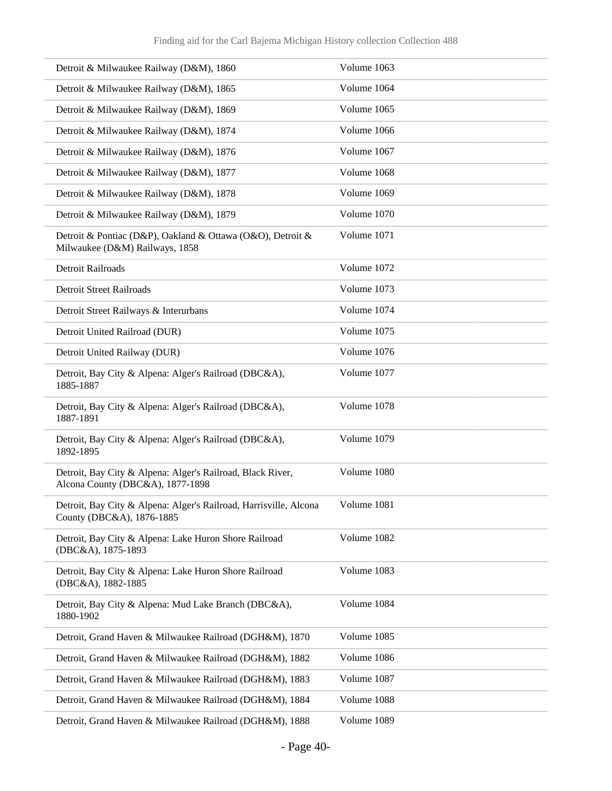| Detroit & Milwaukee Railway (D&M), 1860                                                        | Volume 1063 |
|------------------------------------------------------------------------------------------------|-------------|
| Detroit & Milwaukee Railway (D&M), 1865                                                        | Volume 1064 |
| Detroit & Milwaukee Railway (D&M), 1869                                                        | Volume 1065 |
| Detroit & Milwaukee Railway (D&M), 1874                                                        | Volume 1066 |
| Detroit & Milwaukee Railway (D&M), 1876                                                        | Volume 1067 |
| Detroit & Milwaukee Railway (D&M), 1877                                                        | Volume 1068 |
| Detroit & Milwaukee Railway (D&M), 1878                                                        | Volume 1069 |
| Detroit & Milwaukee Railway (D&M), 1879                                                        | Volume 1070 |
| Detroit & Pontiac (D&P), Oakland & Ottawa (O&O), Detroit &<br>Milwaukee (D&M) Railways, 1858   | Volume 1071 |
| <b>Detroit Railroads</b>                                                                       | Volume 1072 |
| <b>Detroit Street Railroads</b>                                                                | Volume 1073 |
| Detroit Street Railways & Interurbans                                                          | Volume 1074 |
| Detroit United Railroad (DUR)                                                                  | Volume 1075 |
| Detroit United Railway (DUR)                                                                   | Volume 1076 |
| Detroit, Bay City & Alpena: Alger's Railroad (DBC&A),<br>1885-1887                             | Volume 1077 |
| Detroit, Bay City & Alpena: Alger's Railroad (DBC&A),<br>1887-1891                             | Volume 1078 |
| Detroit, Bay City & Alpena: Alger's Railroad (DBC&A),<br>1892-1895                             | Volume 1079 |
| Detroit, Bay City & Alpena: Alger's Railroad, Black River,<br>Alcona County (DBC&A), 1877-1898 | Volume 1080 |
| Detroit, Bay City & Alpena: Alger's Railroad, Harrisville, Alcona<br>County (DBC&A), 1876-1885 | Volume 1081 |
| Detroit, Bay City & Alpena: Lake Huron Shore Railroad<br>(DBC&A), 1875-1893                    | Volume 1082 |
| Detroit, Bay City & Alpena: Lake Huron Shore Railroad<br>(DBC&A), 1882-1885                    | Volume 1083 |
| Detroit, Bay City & Alpena: Mud Lake Branch (DBC&A),<br>1880-1902                              | Volume 1084 |
| Detroit, Grand Haven & Milwaukee Railroad (DGH&M), 1870                                        | Volume 1085 |
| Detroit, Grand Haven & Milwaukee Railroad (DGH&M), 1882                                        | Volume 1086 |
| Detroit, Grand Haven & Milwaukee Railroad (DGH&M), 1883                                        | Volume 1087 |
| Detroit, Grand Haven & Milwaukee Railroad (DGH&M), 1884                                        | Volume 1088 |
| Detroit, Grand Haven & Milwaukee Railroad (DGH&M), 1888                                        | Volume 1089 |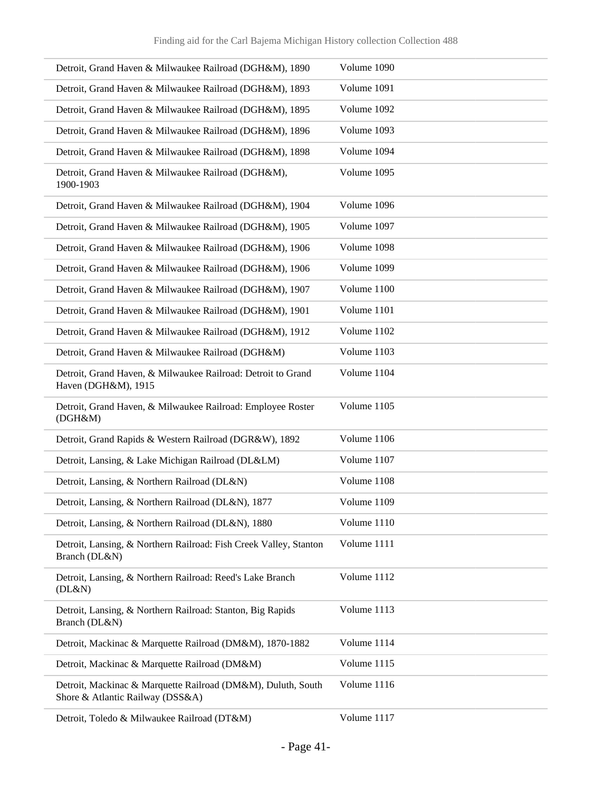| Detroit, Grand Haven & Milwaukee Railroad (DGH&M), 1890                                          | Volume 1090 |
|--------------------------------------------------------------------------------------------------|-------------|
| Detroit, Grand Haven & Milwaukee Railroad (DGH&M), 1893                                          | Volume 1091 |
| Detroit, Grand Haven & Milwaukee Railroad (DGH&M), 1895                                          | Volume 1092 |
| Detroit, Grand Haven & Milwaukee Railroad (DGH&M), 1896                                          | Volume 1093 |
| Detroit, Grand Haven & Milwaukee Railroad (DGH&M), 1898                                          | Volume 1094 |
| Detroit, Grand Haven & Milwaukee Railroad (DGH&M),<br>1900-1903                                  | Volume 1095 |
| Detroit, Grand Haven & Milwaukee Railroad (DGH&M), 1904                                          | Volume 1096 |
| Detroit, Grand Haven & Milwaukee Railroad (DGH&M), 1905                                          | Volume 1097 |
| Detroit, Grand Haven & Milwaukee Railroad (DGH&M), 1906                                          | Volume 1098 |
| Detroit, Grand Haven & Milwaukee Railroad (DGH&M), 1906                                          | Volume 1099 |
| Detroit, Grand Haven & Milwaukee Railroad (DGH&M), 1907                                          | Volume 1100 |
| Detroit, Grand Haven & Milwaukee Railroad (DGH&M), 1901                                          | Volume 1101 |
| Detroit, Grand Haven & Milwaukee Railroad (DGH&M), 1912                                          | Volume 1102 |
| Detroit, Grand Haven & Milwaukee Railroad (DGH&M)                                                | Volume 1103 |
| Detroit, Grand Haven, & Milwaukee Railroad: Detroit to Grand<br>Haven (DGH&M), 1915              | Volume 1104 |
| Detroit, Grand Haven, & Milwaukee Railroad: Employee Roster<br>(DGH&M)                           | Volume 1105 |
| Detroit, Grand Rapids & Western Railroad (DGR&W), 1892                                           | Volume 1106 |
| Detroit, Lansing, & Lake Michigan Railroad (DL&LM)                                               | Volume 1107 |
| Detroit, Lansing, & Northern Railroad (DL&N)                                                     | Volume 1108 |
| Detroit, Lansing, & Northern Railroad (DL&N), 1877                                               | Volume 1109 |
| Detroit, Lansing, & Northern Railroad (DL&N), 1880                                               | Volume 1110 |
| Detroit, Lansing, & Northern Railroad: Fish Creek Valley, Stanton<br>Branch (DL&N)               | Volume 1111 |
| Detroit, Lansing, & Northern Railroad: Reed's Lake Branch<br>(DL&N)                              | Volume 1112 |
| Detroit, Lansing, & Northern Railroad: Stanton, Big Rapids<br>Branch (DL&N)                      | Volume 1113 |
| Detroit, Mackinac & Marquette Railroad (DM&M), 1870-1882                                         | Volume 1114 |
| Detroit, Mackinac & Marquette Railroad (DM&M)                                                    | Volume 1115 |
| Detroit, Mackinac & Marquette Railroad (DM&M), Duluth, South<br>Shore & Atlantic Railway (DSS&A) | Volume 1116 |
| Detroit, Toledo & Milwaukee Railroad (DT&M)                                                      | Volume 1117 |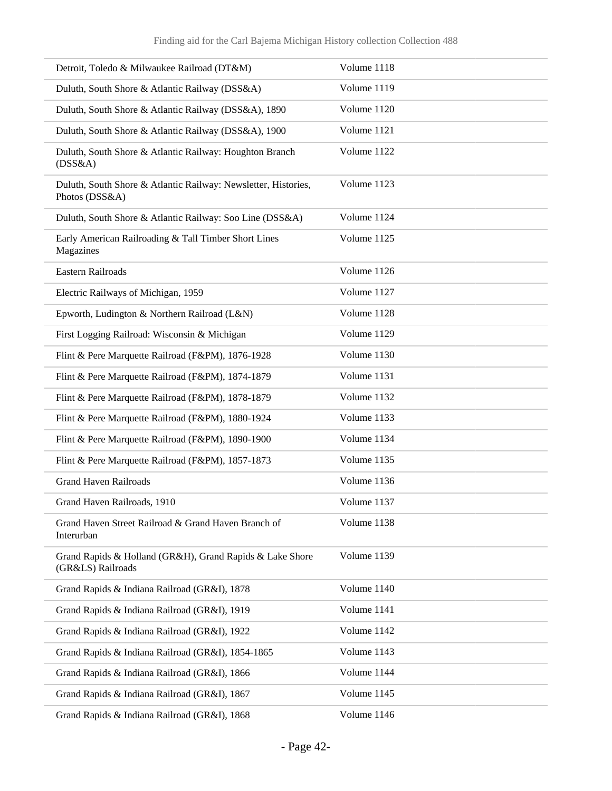| Detroit, Toledo & Milwaukee Railroad (DT&M)                                      | Volume 1118 |
|----------------------------------------------------------------------------------|-------------|
| Duluth, South Shore & Atlantic Railway (DSS&A)                                   | Volume 1119 |
| Duluth, South Shore & Atlantic Railway (DSS&A), 1890                             | Volume 1120 |
| Duluth, South Shore & Atlantic Railway (DSS&A), 1900                             | Volume 1121 |
| Duluth, South Shore & Atlantic Railway: Houghton Branch<br>(DSS&A)               | Volume 1122 |
| Duluth, South Shore & Atlantic Railway: Newsletter, Histories,<br>Photos (DSS&A) | Volume 1123 |
| Duluth, South Shore & Atlantic Railway: Soo Line (DSS&A)                         | Volume 1124 |
| Early American Railroading & Tall Timber Short Lines<br>Magazines                | Volume 1125 |
| <b>Eastern Railroads</b>                                                         | Volume 1126 |
| Electric Railways of Michigan, 1959                                              | Volume 1127 |
| Epworth, Ludington & Northern Railroad (L&N)                                     | Volume 1128 |
| First Logging Railroad: Wisconsin & Michigan                                     | Volume 1129 |
| Flint & Pere Marquette Railroad (F&PM), 1876-1928                                | Volume 1130 |
| Flint & Pere Marquette Railroad (F&PM), 1874-1879                                | Volume 1131 |
| Flint & Pere Marquette Railroad (F&PM), 1878-1879                                | Volume 1132 |
| Flint & Pere Marquette Railroad (F&PM), 1880-1924                                | Volume 1133 |
| Flint & Pere Marquette Railroad (F&PM), 1890-1900                                | Volume 1134 |
| Flint & Pere Marquette Railroad (F&PM), 1857-1873                                | Volume 1135 |
| <b>Grand Haven Railroads</b>                                                     | Volume 1136 |
| Grand Haven Railroads. 1910                                                      | Volume 1137 |
| Grand Haven Street Railroad & Grand Haven Branch of<br>Interurban                | Volume 1138 |
| Grand Rapids & Holland (GR&H), Grand Rapids & Lake Shore<br>(GR&LS) Railroads    | Volume 1139 |
| Grand Rapids & Indiana Railroad (GR&I), 1878                                     | Volume 1140 |
| Grand Rapids & Indiana Railroad (GR&I), 1919                                     | Volume 1141 |
| Grand Rapids & Indiana Railroad (GR&I), 1922                                     | Volume 1142 |
| Grand Rapids & Indiana Railroad (GR&I), 1854-1865                                | Volume 1143 |
| Grand Rapids & Indiana Railroad (GR&I), 1866                                     | Volume 1144 |
| Grand Rapids & Indiana Railroad (GR&I), 1867                                     | Volume 1145 |
| Grand Rapids & Indiana Railroad (GR&I), 1868                                     | Volume 1146 |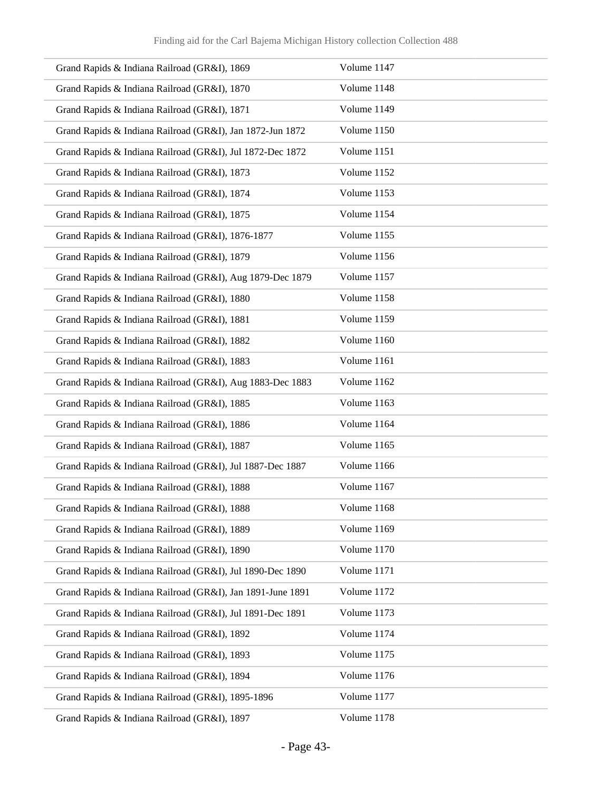| Grand Rapids & Indiana Railroad (GR&I), 1869               | Volume 1147 |
|------------------------------------------------------------|-------------|
| Grand Rapids & Indiana Railroad (GR&I), 1870               | Volume 1148 |
| Grand Rapids & Indiana Railroad (GR&I), 1871               | Volume 1149 |
| Grand Rapids & Indiana Railroad (GR&I), Jan 1872-Jun 1872  | Volume 1150 |
| Grand Rapids & Indiana Railroad (GR&I), Jul 1872-Dec 1872  | Volume 1151 |
| Grand Rapids & Indiana Railroad (GR&I), 1873               | Volume 1152 |
| Grand Rapids & Indiana Railroad (GR&I), 1874               | Volume 1153 |
| Grand Rapids & Indiana Railroad (GR&I), 1875               | Volume 1154 |
| Grand Rapids & Indiana Railroad (GR&I), 1876-1877          | Volume 1155 |
| Grand Rapids & Indiana Railroad (GR&I), 1879               | Volume 1156 |
| Grand Rapids & Indiana Railroad (GR&I), Aug 1879-Dec 1879  | Volume 1157 |
| Grand Rapids & Indiana Railroad (GR&I), 1880               | Volume 1158 |
| Grand Rapids & Indiana Railroad (GR&I), 1881               | Volume 1159 |
| Grand Rapids & Indiana Railroad (GR&I), 1882               | Volume 1160 |
| Grand Rapids & Indiana Railroad (GR&I), 1883               | Volume 1161 |
| Grand Rapids & Indiana Railroad (GR&I), Aug 1883-Dec 1883  | Volume 1162 |
| Grand Rapids & Indiana Railroad (GR&I), 1885               | Volume 1163 |
| Grand Rapids & Indiana Railroad (GR&I), 1886               | Volume 1164 |
| Grand Rapids & Indiana Railroad (GR&I), 1887               | Volume 1165 |
| Grand Rapids & Indiana Railroad (GR&I), Jul 1887-Dec 1887  | Volume 1166 |
| Grand Rapids & Indiana Railroad (GR&I), 1888               | Volume 1167 |
| Grand Rapids & Indiana Railroad (GR&I), 1888               | Volume 1168 |
| Grand Rapids & Indiana Railroad (GR&I), 1889               | Volume 1169 |
| Grand Rapids & Indiana Railroad (GR&I), 1890               | Volume 1170 |
| Grand Rapids & Indiana Railroad (GR&I), Jul 1890-Dec 1890  | Volume 1171 |
| Grand Rapids & Indiana Railroad (GR&I), Jan 1891-June 1891 | Volume 1172 |
| Grand Rapids & Indiana Railroad (GR&I), Jul 1891-Dec 1891  | Volume 1173 |
| Grand Rapids & Indiana Railroad (GR&I), 1892               | Volume 1174 |
| Grand Rapids & Indiana Railroad (GR&I), 1893               | Volume 1175 |
| Grand Rapids & Indiana Railroad (GR&I), 1894               | Volume 1176 |
| Grand Rapids & Indiana Railroad (GR&I), 1895-1896          | Volume 1177 |
| Grand Rapids & Indiana Railroad (GR&I), 1897               | Volume 1178 |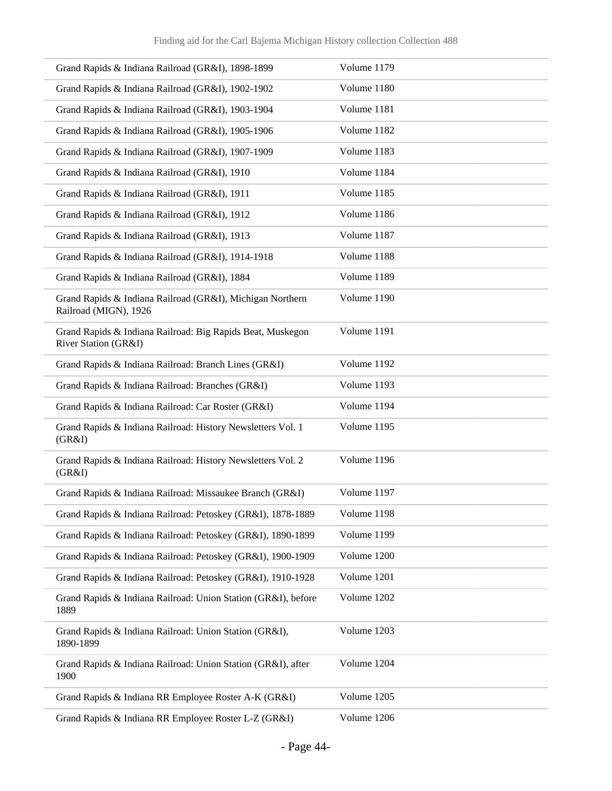| Grand Rapids & Indiana Railroad (GR&I), 1898-1899                                  | Volume 1179 |
|------------------------------------------------------------------------------------|-------------|
| Grand Rapids & Indiana Railroad (GR&I), 1902-1902                                  | Volume 1180 |
| Grand Rapids & Indiana Railroad (GR&I), 1903-1904                                  | Volume 1181 |
| Grand Rapids & Indiana Railroad (GR&I), 1905-1906                                  | Volume 1182 |
| Grand Rapids & Indiana Railroad (GR&I), 1907-1909                                  | Volume 1183 |
| Grand Rapids & Indiana Railroad (GR&I), 1910                                       | Volume 1184 |
| Grand Rapids & Indiana Railroad (GR&I), 1911                                       | Volume 1185 |
| Grand Rapids & Indiana Railroad (GR&I), 1912                                       | Volume 1186 |
| Grand Rapids & Indiana Railroad (GR&I), 1913                                       | Volume 1187 |
| Grand Rapids & Indiana Railroad (GR&I), 1914-1918                                  | Volume 1188 |
| Grand Rapids & Indiana Railroad (GR&I), 1884                                       | Volume 1189 |
| Grand Rapids & Indiana Railroad (GR&I), Michigan Northern<br>Railroad (MIGN), 1926 | Volume 1190 |
| Grand Rapids & Indiana Railroad: Big Rapids Beat, Muskegon<br>River Station (GR&I) | Volume 1191 |
| Grand Rapids & Indiana Railroad: Branch Lines (GR&I)                               | Volume 1192 |
| Grand Rapids & Indiana Railroad: Branches (GR&I)                                   | Volume 1193 |
| Grand Rapids & Indiana Railroad: Car Roster (GR&I)                                 | Volume 1194 |
| Grand Rapids & Indiana Railroad: History Newsletters Vol. 1<br>(GR&I)              | Volume 1195 |
| Grand Rapids & Indiana Railroad: History Newsletters Vol. 2<br>(GR&I)              | Volume 1196 |
| Grand Rapids & Indiana Railroad: Missaukee Branch (GR&I)                           | Volume 1197 |
| Grand Rapids & Indiana Railroad: Petoskey (GR&I), 1878-1889                        | Volume 1198 |
| Grand Rapids & Indiana Railroad: Petoskey (GR&I), 1890-1899                        | Volume 1199 |
| Grand Rapids & Indiana Railroad: Petoskey (GR&I), 1900-1909                        | Volume 1200 |
| Grand Rapids & Indiana Railroad: Petoskey (GR&I), 1910-1928                        | Volume 1201 |
| Grand Rapids & Indiana Railroad: Union Station (GR&I), before<br>1889              | Volume 1202 |
| Grand Rapids & Indiana Railroad: Union Station (GR&I),<br>1890-1899                | Volume 1203 |
| Grand Rapids & Indiana Railroad: Union Station (GR&I), after<br>1900               | Volume 1204 |
| Grand Rapids & Indiana RR Employee Roster A-K (GR&I)                               | Volume 1205 |
| Grand Rapids & Indiana RR Employee Roster L-Z (GR&I)                               | Volume 1206 |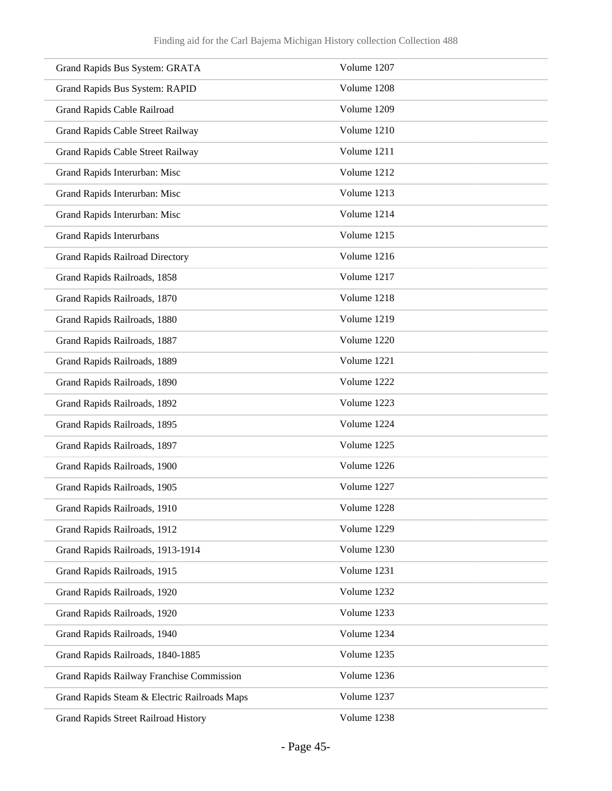| Grand Rapids Bus System: GRATA               | Volume 1207 |
|----------------------------------------------|-------------|
| Grand Rapids Bus System: RAPID               | Volume 1208 |
| Grand Rapids Cable Railroad                  | Volume 1209 |
| Grand Rapids Cable Street Railway            | Volume 1210 |
| Grand Rapids Cable Street Railway            | Volume 1211 |
| Grand Rapids Interurban: Misc                | Volume 1212 |
| Grand Rapids Interurban: Misc                | Volume 1213 |
| Grand Rapids Interurban: Misc                | Volume 1214 |
| <b>Grand Rapids Interurbans</b>              | Volume 1215 |
| <b>Grand Rapids Railroad Directory</b>       | Volume 1216 |
| Grand Rapids Railroads, 1858                 | Volume 1217 |
| Grand Rapids Railroads, 1870                 | Volume 1218 |
| Grand Rapids Railroads, 1880                 | Volume 1219 |
| Grand Rapids Railroads, 1887                 | Volume 1220 |
| Grand Rapids Railroads, 1889                 | Volume 1221 |
| Grand Rapids Railroads, 1890                 | Volume 1222 |
| Grand Rapids Railroads, 1892                 | Volume 1223 |
| Grand Rapids Railroads, 1895                 | Volume 1224 |
| Grand Rapids Railroads, 1897                 | Volume 1225 |
| Grand Rapids Railroads, 1900                 | Volume 1226 |
| Grand Rapids Railroads, 1905                 | Volume 1227 |
| Grand Rapids Railroads, 1910                 | Volume 1228 |
| Grand Rapids Railroads, 1912                 | Volume 1229 |
| Grand Rapids Railroads, 1913-1914            | Volume 1230 |
| Grand Rapids Railroads, 1915                 | Volume 1231 |
| Grand Rapids Railroads, 1920                 | Volume 1232 |
| Grand Rapids Railroads, 1920                 | Volume 1233 |
| Grand Rapids Railroads, 1940                 | Volume 1234 |
| Grand Rapids Railroads, 1840-1885            | Volume 1235 |
| Grand Rapids Railway Franchise Commission    | Volume 1236 |
| Grand Rapids Steam & Electric Railroads Maps | Volume 1237 |
| <b>Grand Rapids Street Railroad History</b>  | Volume 1238 |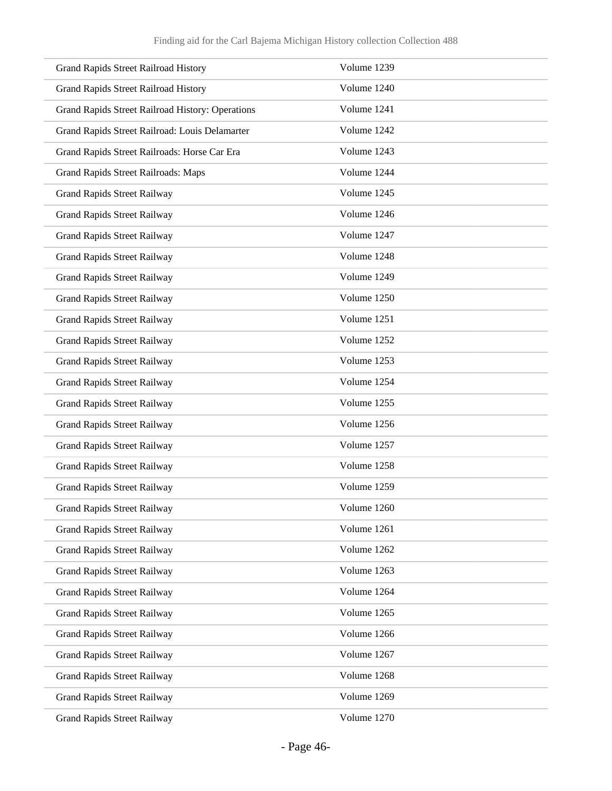| <b>Grand Rapids Street Railroad History</b>      | Volume 1239 |
|--------------------------------------------------|-------------|
| <b>Grand Rapids Street Railroad History</b>      | Volume 1240 |
| Grand Rapids Street Railroad History: Operations | Volume 1241 |
| Grand Rapids Street Railroad: Louis Delamarter   | Volume 1242 |
| Grand Rapids Street Railroads: Horse Car Era     | Volume 1243 |
| Grand Rapids Street Railroads: Maps              | Volume 1244 |
| <b>Grand Rapids Street Railway</b>               | Volume 1245 |
| <b>Grand Rapids Street Railway</b>               | Volume 1246 |
| <b>Grand Rapids Street Railway</b>               | Volume 1247 |
| <b>Grand Rapids Street Railway</b>               | Volume 1248 |
| <b>Grand Rapids Street Railway</b>               | Volume 1249 |
| <b>Grand Rapids Street Railway</b>               | Volume 1250 |
| <b>Grand Rapids Street Railway</b>               | Volume 1251 |
| <b>Grand Rapids Street Railway</b>               | Volume 1252 |
| <b>Grand Rapids Street Railway</b>               | Volume 1253 |
| <b>Grand Rapids Street Railway</b>               | Volume 1254 |
| <b>Grand Rapids Street Railway</b>               | Volume 1255 |
| <b>Grand Rapids Street Railway</b>               | Volume 1256 |
| <b>Grand Rapids Street Railway</b>               | Volume 1257 |
| <b>Grand Rapids Street Railway</b>               | Volume 1258 |
| <b>Grand Rapids Street Railway</b>               | Volume 1259 |
| <b>Grand Rapids Street Railway</b>               | Volume 1260 |
| <b>Grand Rapids Street Railway</b>               | Volume 1261 |
| <b>Grand Rapids Street Railway</b>               | Volume 1262 |
| <b>Grand Rapids Street Railway</b>               | Volume 1263 |
| <b>Grand Rapids Street Railway</b>               | Volume 1264 |
| <b>Grand Rapids Street Railway</b>               | Volume 1265 |
| <b>Grand Rapids Street Railway</b>               | Volume 1266 |
| <b>Grand Rapids Street Railway</b>               | Volume 1267 |
| <b>Grand Rapids Street Railway</b>               | Volume 1268 |
| <b>Grand Rapids Street Railway</b>               | Volume 1269 |
| <b>Grand Rapids Street Railway</b>               | Volume 1270 |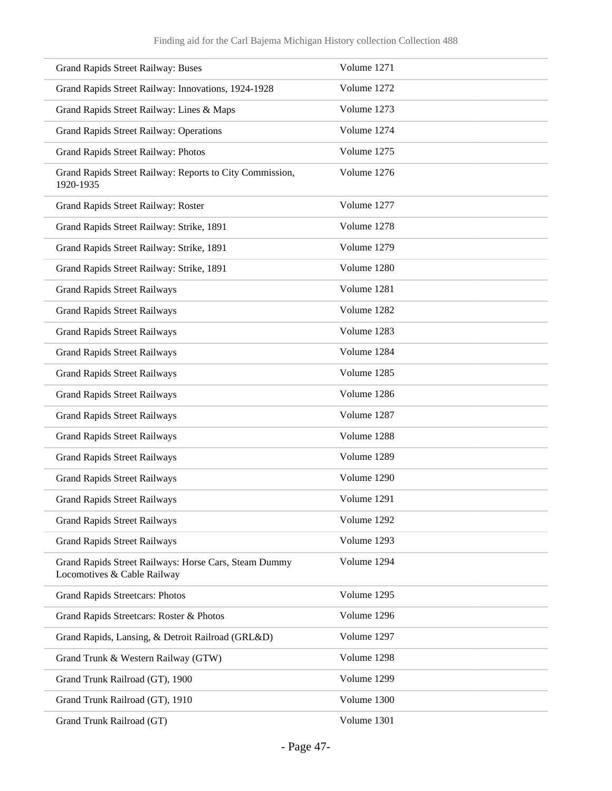| <b>Grand Rapids Street Railway: Buses</b>                                            | Volume 1271 |
|--------------------------------------------------------------------------------------|-------------|
| Grand Rapids Street Railway: Innovations, 1924-1928                                  | Volume 1272 |
| Grand Rapids Street Railway: Lines & Maps                                            | Volume 1273 |
| Grand Rapids Street Railway: Operations                                              | Volume 1274 |
| Grand Rapids Street Railway: Photos                                                  | Volume 1275 |
| Grand Rapids Street Railway: Reports to City Commission,<br>1920-1935                | Volume 1276 |
| Grand Rapids Street Railway: Roster                                                  | Volume 1277 |
| Grand Rapids Street Railway: Strike, 1891                                            | Volume 1278 |
| Grand Rapids Street Railway: Strike, 1891                                            | Volume 1279 |
| Grand Rapids Street Railway: Strike, 1891                                            | Volume 1280 |
| <b>Grand Rapids Street Railways</b>                                                  | Volume 1281 |
| <b>Grand Rapids Street Railways</b>                                                  | Volume 1282 |
| <b>Grand Rapids Street Railways</b>                                                  | Volume 1283 |
| <b>Grand Rapids Street Railways</b>                                                  | Volume 1284 |
| <b>Grand Rapids Street Railways</b>                                                  | Volume 1285 |
| <b>Grand Rapids Street Railways</b>                                                  | Volume 1286 |
| <b>Grand Rapids Street Railways</b>                                                  | Volume 1287 |
| <b>Grand Rapids Street Railways</b>                                                  | Volume 1288 |
| <b>Grand Rapids Street Railways</b>                                                  | Volume 1289 |
| <b>Grand Rapids Street Railways</b>                                                  | Volume 1290 |
| <b>Grand Rapids Street Railways</b>                                                  | Volume 1291 |
| <b>Grand Rapids Street Railways</b>                                                  | Volume 1292 |
| <b>Grand Rapids Street Railways</b>                                                  | Volume 1293 |
| Grand Rapids Street Railways: Horse Cars, Steam Dummy<br>Locomotives & Cable Railway | Volume 1294 |
| <b>Grand Rapids Streetcars: Photos</b>                                               | Volume 1295 |
| Grand Rapids Streetcars: Roster & Photos                                             | Volume 1296 |
| Grand Rapids, Lansing, & Detroit Railroad (GRL&D)                                    | Volume 1297 |
| Grand Trunk & Western Railway (GTW)                                                  | Volume 1298 |
| Grand Trunk Railroad (GT), 1900                                                      | Volume 1299 |
| Grand Trunk Railroad (GT), 1910                                                      | Volume 1300 |
| Grand Trunk Railroad (GT)                                                            | Volume 1301 |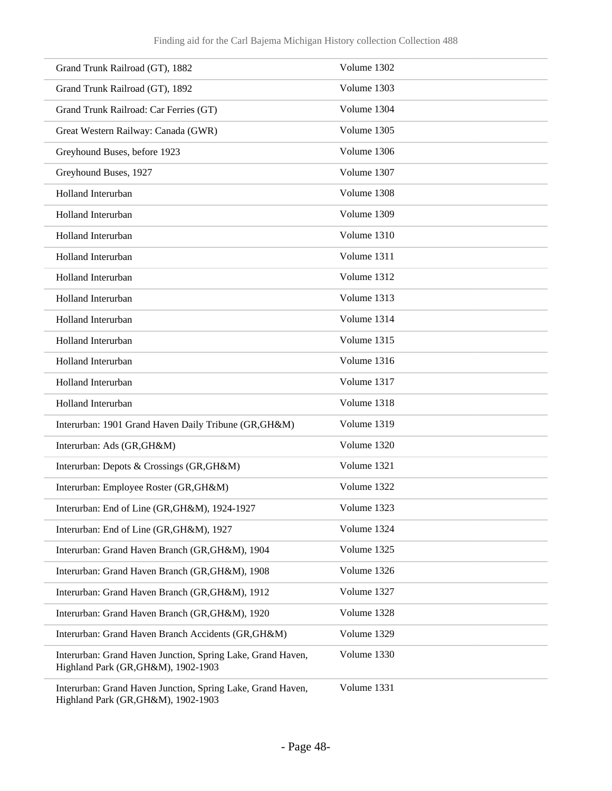| Grand Trunk Railroad (GT), 1882                                                                    | Volume 1302 |
|----------------------------------------------------------------------------------------------------|-------------|
| Grand Trunk Railroad (GT), 1892                                                                    | Volume 1303 |
| Grand Trunk Railroad: Car Ferries (GT)                                                             | Volume 1304 |
| Great Western Railway: Canada (GWR)                                                                | Volume 1305 |
| Greyhound Buses, before 1923                                                                       | Volume 1306 |
| Greyhound Buses, 1927                                                                              | Volume 1307 |
| Holland Interurban                                                                                 | Volume 1308 |
| Holland Interurban                                                                                 | Volume 1309 |
| Holland Interurban                                                                                 | Volume 1310 |
| Holland Interurban                                                                                 | Volume 1311 |
| Holland Interurban                                                                                 | Volume 1312 |
| Holland Interurban                                                                                 | Volume 1313 |
| Holland Interurban                                                                                 | Volume 1314 |
| Holland Interurban                                                                                 | Volume 1315 |
| Holland Interurban                                                                                 | Volume 1316 |
| Holland Interurban                                                                                 | Volume 1317 |
| Holland Interurban                                                                                 | Volume 1318 |
| Interurban: 1901 Grand Haven Daily Tribune (GR, GH&M)                                              | Volume 1319 |
| Interurban: Ads (GR, GH&M)                                                                         | Volume 1320 |
| Interurban: Depots & Crossings (GR,GH&M)                                                           | Volume 1321 |
| Interurban: Employee Roster (GR,GH&M)                                                              | Volume 1322 |
| Interurban: End of Line (GR, GH&M), 1924-1927                                                      | Volume 1323 |
| Interurban: End of Line (GR, GH&M), 1927                                                           | Volume 1324 |
| Interurban: Grand Haven Branch (GR, GH&M), 1904                                                    | Volume 1325 |
| Interurban: Grand Haven Branch (GR, GH&M), 1908                                                    | Volume 1326 |
| Interurban: Grand Haven Branch (GR, GH&M), 1912                                                    | Volume 1327 |
| Interurban: Grand Haven Branch (GR, GH&M), 1920                                                    | Volume 1328 |
| Interurban: Grand Haven Branch Accidents (GR, GH&M)                                                | Volume 1329 |
| Interurban: Grand Haven Junction, Spring Lake, Grand Haven,<br>Highland Park (GR, GH&M), 1902-1903 | Volume 1330 |
| Interurban: Grand Haven Junction, Spring Lake, Grand Haven,                                        | Volume 1331 |

Highland Park (GR,GH&M), 1902-1903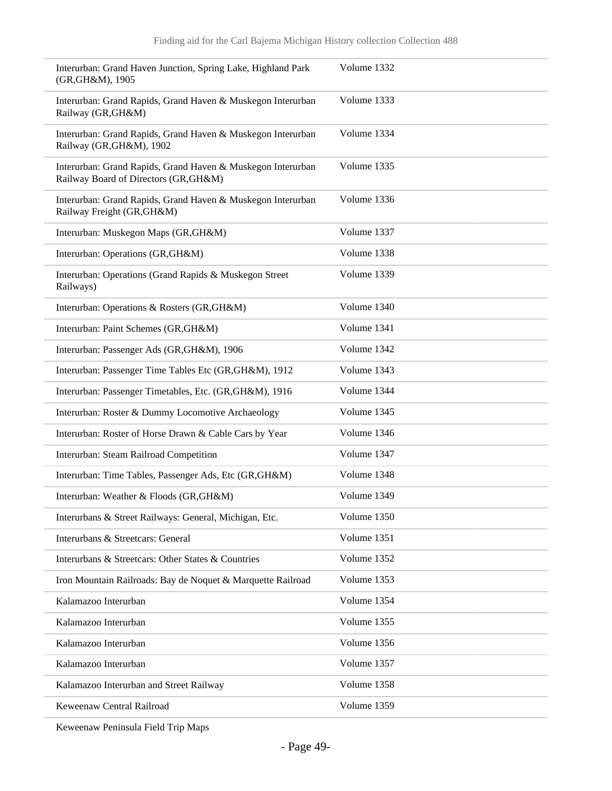| Interurban: Grand Haven Junction, Spring Lake, Highland Park<br>(GR, GH&M), 1905                     | Volume 1332 |
|------------------------------------------------------------------------------------------------------|-------------|
| Interurban: Grand Rapids, Grand Haven & Muskegon Interurban<br>Railway (GR, GH&M)                    | Volume 1333 |
| Interurban: Grand Rapids, Grand Haven & Muskegon Interurban<br>Railway (GR, GH&M), 1902              | Volume 1334 |
| Interurban: Grand Rapids, Grand Haven & Muskegon Interurban<br>Railway Board of Directors (GR, GH&M) | Volume 1335 |
| Interurban: Grand Rapids, Grand Haven & Muskegon Interurban<br>Railway Freight (GR, GH&M)            | Volume 1336 |
| Interurban: Muskegon Maps (GR, GH&M)                                                                 | Volume 1337 |
| Interurban: Operations (GR, GH&M)                                                                    | Volume 1338 |
| Interurban: Operations (Grand Rapids & Muskegon Street<br>Railways)                                  | Volume 1339 |
| Interurban: Operations & Rosters (GR,GH&M)                                                           | Volume 1340 |
| Interurban: Paint Schemes (GR, GH&M)                                                                 | Volume 1341 |
| Interurban: Passenger Ads (GR, GH&M), 1906                                                           | Volume 1342 |
| Interurban: Passenger Time Tables Etc (GR, GH&M), 1912                                               | Volume 1343 |
| Interurban: Passenger Timetables, Etc. (GR, GH&M), 1916                                              | Volume 1344 |
| Interurban: Roster & Dummy Locomotive Archaeology                                                    | Volume 1345 |
| Interurban: Roster of Horse Drawn & Cable Cars by Year                                               | Volume 1346 |
| Interurban: Steam Railroad Competition                                                               | Volume 1347 |
| Interurban: Time Tables, Passenger Ads, Etc (GR, GH&M)                                               | Volume 1348 |
| Interurban: Weather & Floods (GR, GH&M)                                                              | Volume 1349 |
| Interurbans & Street Railways: General, Michigan, Etc.                                               | Volume 1350 |
| Interurbans & Streetcars: General                                                                    | Volume 1351 |
| Interurbans & Streetcars: Other States & Countries                                                   | Volume 1352 |
| Iron Mountain Railroads: Bay de Noquet & Marquette Railroad                                          | Volume 1353 |
| Kalamazoo Interurban                                                                                 | Volume 1354 |
| Kalamazoo Interurban                                                                                 | Volume 1355 |
| Kalamazoo Interurban                                                                                 | Volume 1356 |
| Kalamazoo Interurban                                                                                 | Volume 1357 |
| Kalamazoo Interurban and Street Railway                                                              | Volume 1358 |
| Keweenaw Central Railroad                                                                            | Volume 1359 |

Keweenaw Peninsula Field Trip Maps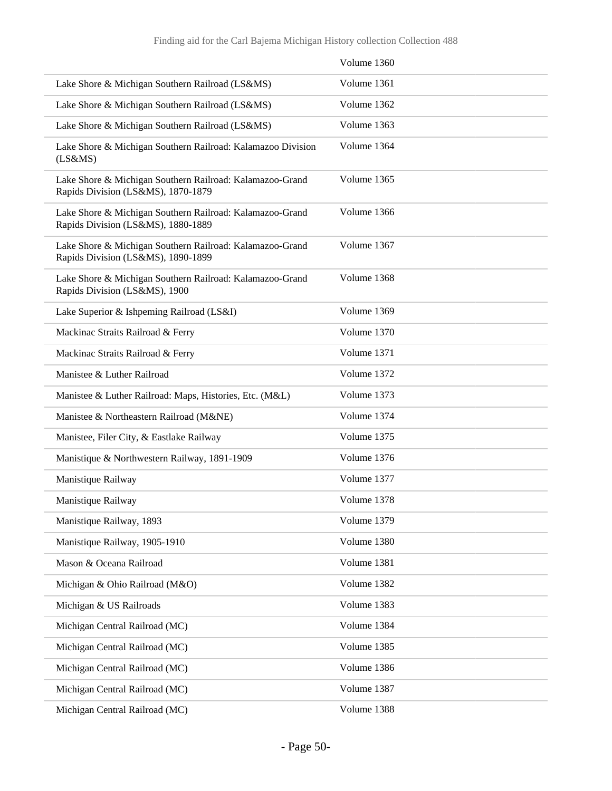|                                                                                                | Volume 1360 |
|------------------------------------------------------------------------------------------------|-------------|
| Lake Shore & Michigan Southern Railroad (LS&MS)                                                | Volume 1361 |
| Lake Shore & Michigan Southern Railroad (LS&MS)                                                | Volume 1362 |
| Lake Shore & Michigan Southern Railroad (LS&MS)                                                | Volume 1363 |
| Lake Shore & Michigan Southern Railroad: Kalamazoo Division<br>$(LS\&MS)$                      | Volume 1364 |
| Lake Shore & Michigan Southern Railroad: Kalamazoo-Grand<br>Rapids Division (LS&MS), 1870-1879 | Volume 1365 |
| Lake Shore & Michigan Southern Railroad: Kalamazoo-Grand<br>Rapids Division (LS&MS), 1880-1889 | Volume 1366 |
| Lake Shore & Michigan Southern Railroad: Kalamazoo-Grand<br>Rapids Division (LS&MS), 1890-1899 | Volume 1367 |
| Lake Shore & Michigan Southern Railroad: Kalamazoo-Grand<br>Rapids Division (LS&MS), 1900      | Volume 1368 |
| Lake Superior & Ishpeming Railroad (LS&I)                                                      | Volume 1369 |
| Mackinac Straits Railroad & Ferry                                                              | Volume 1370 |
| Mackinac Straits Railroad & Ferry                                                              | Volume 1371 |
| Manistee & Luther Railroad                                                                     | Volume 1372 |
| Manistee & Luther Railroad: Maps, Histories, Etc. (M&L)                                        | Volume 1373 |
| Manistee & Northeastern Railroad (M&NE)                                                        | Volume 1374 |
| Manistee, Filer City, & Eastlake Railway                                                       | Volume 1375 |
| Manistique & Northwestern Railway, 1891-1909                                                   | Volume 1376 |
| Manistique Railway                                                                             | Volume 1377 |
| Manistique Railway                                                                             | Volume 1378 |
| Manistique Railway, 1893                                                                       | Volume 1379 |
| Manistique Railway, 1905-1910                                                                  | Volume 1380 |
| Mason & Oceana Railroad                                                                        | Volume 1381 |
| Michigan & Ohio Railroad (M&O)                                                                 | Volume 1382 |
| Michigan & US Railroads                                                                        | Volume 1383 |
| Michigan Central Railroad (MC)                                                                 | Volume 1384 |
| Michigan Central Railroad (MC)                                                                 | Volume 1385 |
| Michigan Central Railroad (MC)                                                                 | Volume 1386 |
| Michigan Central Railroad (MC)                                                                 | Volume 1387 |
| Michigan Central Railroad (MC)                                                                 | Volume 1388 |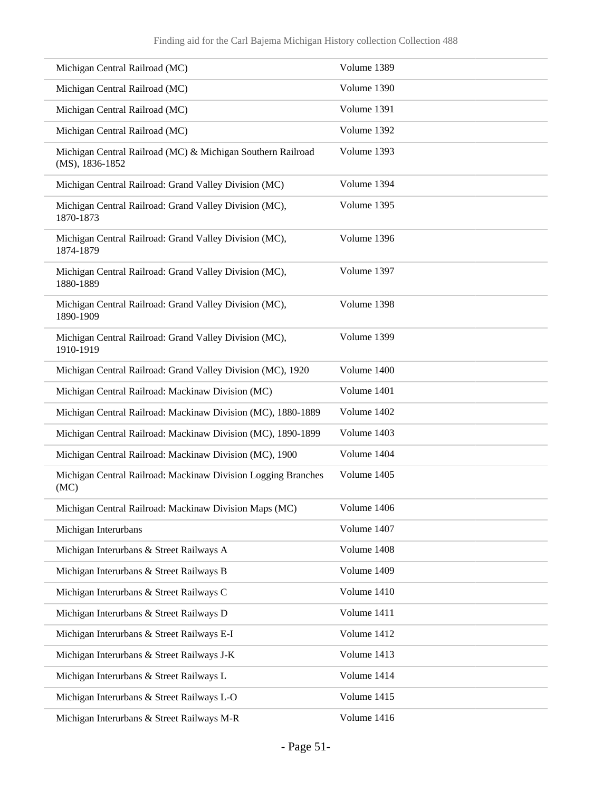| Michigan Central Railroad (MC)                                                 | Volume 1389 |
|--------------------------------------------------------------------------------|-------------|
| Michigan Central Railroad (MC)                                                 | Volume 1390 |
| Michigan Central Railroad (MC)                                                 | Volume 1391 |
| Michigan Central Railroad (MC)                                                 | Volume 1392 |
| Michigan Central Railroad (MC) & Michigan Southern Railroad<br>(MS), 1836-1852 | Volume 1393 |
| Michigan Central Railroad: Grand Valley Division (MC)                          | Volume 1394 |
| Michigan Central Railroad: Grand Valley Division (MC),<br>1870-1873            | Volume 1395 |
| Michigan Central Railroad: Grand Valley Division (MC),<br>1874-1879            | Volume 1396 |
| Michigan Central Railroad: Grand Valley Division (MC),<br>1880-1889            | Volume 1397 |
| Michigan Central Railroad: Grand Valley Division (MC),<br>1890-1909            | Volume 1398 |
| Michigan Central Railroad: Grand Valley Division (MC),<br>1910-1919            | Volume 1399 |
| Michigan Central Railroad: Grand Valley Division (MC), 1920                    | Volume 1400 |
| Michigan Central Railroad: Mackinaw Division (MC)                              | Volume 1401 |
| Michigan Central Railroad: Mackinaw Division (MC), 1880-1889                   | Volume 1402 |
| Michigan Central Railroad: Mackinaw Division (MC), 1890-1899                   | Volume 1403 |
| Michigan Central Railroad: Mackinaw Division (MC), 1900                        | Volume 1404 |
| Michigan Central Railroad: Mackinaw Division Logging Branches<br>(MC)          | Volume 1405 |
| Michigan Central Railroad: Mackinaw Division Maps (MC)                         | Volume 1406 |
| Michigan Interurbans                                                           | Volume 1407 |
| Michigan Interurbans & Street Railways A                                       | Volume 1408 |
| Michigan Interurbans & Street Railways B                                       | Volume 1409 |
| Michigan Interurbans & Street Railways C                                       | Volume 1410 |
| Michigan Interurbans & Street Railways D                                       | Volume 1411 |
| Michigan Interurbans & Street Railways E-I                                     | Volume 1412 |
| Michigan Interurbans & Street Railways J-K                                     | Volume 1413 |
| Michigan Interurbans & Street Railways L                                       | Volume 1414 |
| Michigan Interurbans & Street Railways L-O                                     | Volume 1415 |
| Michigan Interurbans & Street Railways M-R                                     | Volume 1416 |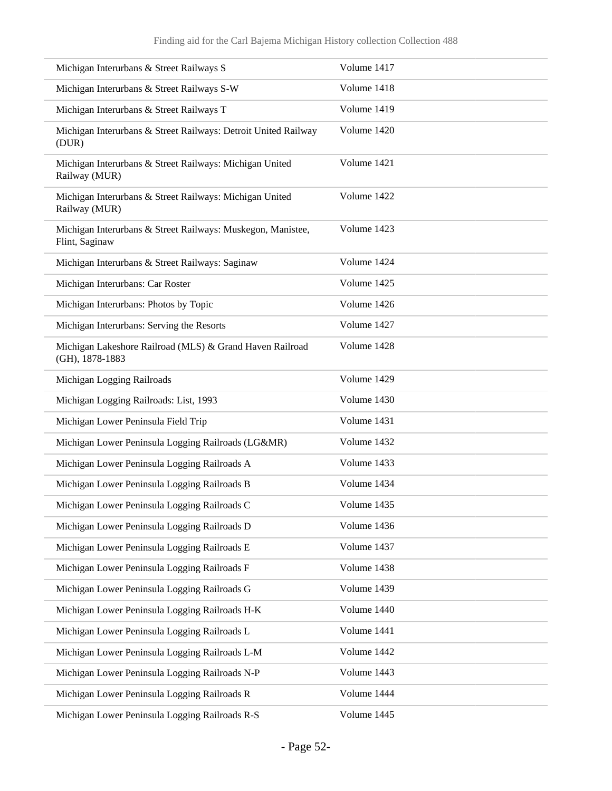| Michigan Interurbans & Street Railways S                                      | Volume 1417 |
|-------------------------------------------------------------------------------|-------------|
| Michigan Interurbans & Street Railways S-W                                    | Volume 1418 |
| Michigan Interurbans & Street Railways T                                      | Volume 1419 |
| Michigan Interurbans & Street Railways: Detroit United Railway<br>(DUR)       | Volume 1420 |
| Michigan Interurbans & Street Railways: Michigan United<br>Railway (MUR)      | Volume 1421 |
| Michigan Interurbans & Street Railways: Michigan United<br>Railway (MUR)      | Volume 1422 |
| Michigan Interurbans & Street Railways: Muskegon, Manistee,<br>Flint, Saginaw | Volume 1423 |
| Michigan Interurbans & Street Railways: Saginaw                               | Volume 1424 |
| Michigan Interurbans: Car Roster                                              | Volume 1425 |
| Michigan Interurbans: Photos by Topic                                         | Volume 1426 |
| Michigan Interurbans: Serving the Resorts                                     | Volume 1427 |
| Michigan Lakeshore Railroad (MLS) & Grand Haven Railroad<br>(GH), 1878-1883   | Volume 1428 |
| Michigan Logging Railroads                                                    | Volume 1429 |
| Michigan Logging Railroads: List, 1993                                        | Volume 1430 |
| Michigan Lower Peninsula Field Trip                                           | Volume 1431 |
| Michigan Lower Peninsula Logging Railroads (LG&MR)                            | Volume 1432 |
| Michigan Lower Peninsula Logging Railroads A                                  | Volume 1433 |
| Michigan Lower Peninsula Logging Railroads B                                  | Volume 1434 |
| Michigan Lower Peninsula Logging Railroads C                                  | Volume 1435 |
| Michigan Lower Peninsula Logging Railroads D                                  | Volume 1436 |
| Michigan Lower Peninsula Logging Railroads E                                  | Volume 1437 |
| Michigan Lower Peninsula Logging Railroads F                                  | Volume 1438 |
| Michigan Lower Peninsula Logging Railroads G                                  | Volume 1439 |
| Michigan Lower Peninsula Logging Railroads H-K                                | Volume 1440 |
| Michigan Lower Peninsula Logging Railroads L                                  | Volume 1441 |
| Michigan Lower Peninsula Logging Railroads L-M                                | Volume 1442 |
| Michigan Lower Peninsula Logging Railroads N-P                                | Volume 1443 |
| Michigan Lower Peninsula Logging Railroads R                                  | Volume 1444 |
| Michigan Lower Peninsula Logging Railroads R-S                                | Volume 1445 |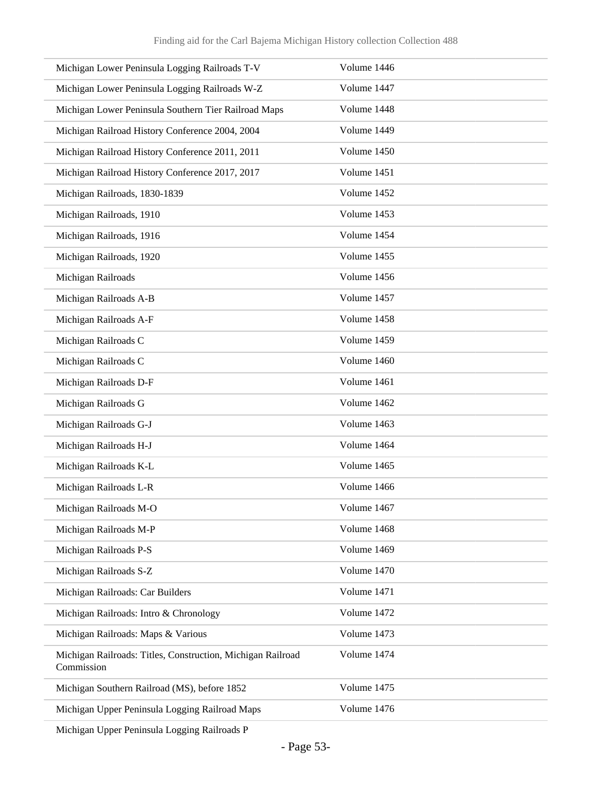| Michigan Lower Peninsula Logging Railroads T-V                            | Volume 1446 |
|---------------------------------------------------------------------------|-------------|
| Michigan Lower Peninsula Logging Railroads W-Z                            | Volume 1447 |
| Michigan Lower Peninsula Southern Tier Railroad Maps                      | Volume 1448 |
| Michigan Railroad History Conference 2004, 2004                           | Volume 1449 |
| Michigan Railroad History Conference 2011, 2011                           | Volume 1450 |
| Michigan Railroad History Conference 2017, 2017                           | Volume 1451 |
| Michigan Railroads, 1830-1839                                             | Volume 1452 |
| Michigan Railroads, 1910                                                  | Volume 1453 |
| Michigan Railroads, 1916                                                  | Volume 1454 |
| Michigan Railroads, 1920                                                  | Volume 1455 |
| Michigan Railroads                                                        | Volume 1456 |
| Michigan Railroads A-B                                                    | Volume 1457 |
| Michigan Railroads A-F                                                    | Volume 1458 |
| Michigan Railroads C                                                      | Volume 1459 |
| Michigan Railroads C                                                      | Volume 1460 |
| Michigan Railroads D-F                                                    | Volume 1461 |
| Michigan Railroads G                                                      | Volume 1462 |
| Michigan Railroads G-J                                                    | Volume 1463 |
| Michigan Railroads H-J                                                    | Volume 1464 |
| Michigan Railroads K-L                                                    | Volume 1465 |
| Michigan Railroads L-R                                                    | Volume 1466 |
| Michigan Railroads M-O                                                    | Volume 1467 |
| Michigan Railroads M-P                                                    | Volume 1468 |
| Michigan Railroads P-S                                                    | Volume 1469 |
| Michigan Railroads S-Z                                                    | Volume 1470 |
| Michigan Railroads: Car Builders                                          | Volume 1471 |
| Michigan Railroads: Intro & Chronology                                    | Volume 1472 |
| Michigan Railroads: Maps & Various                                        | Volume 1473 |
| Michigan Railroads: Titles, Construction, Michigan Railroad<br>Commission | Volume 1474 |
| Michigan Southern Railroad (MS), before 1852                              | Volume 1475 |
| Michigan Upper Peninsula Logging Railroad Maps                            | Volume 1476 |

Michigan Upper Peninsula Logging Railroads P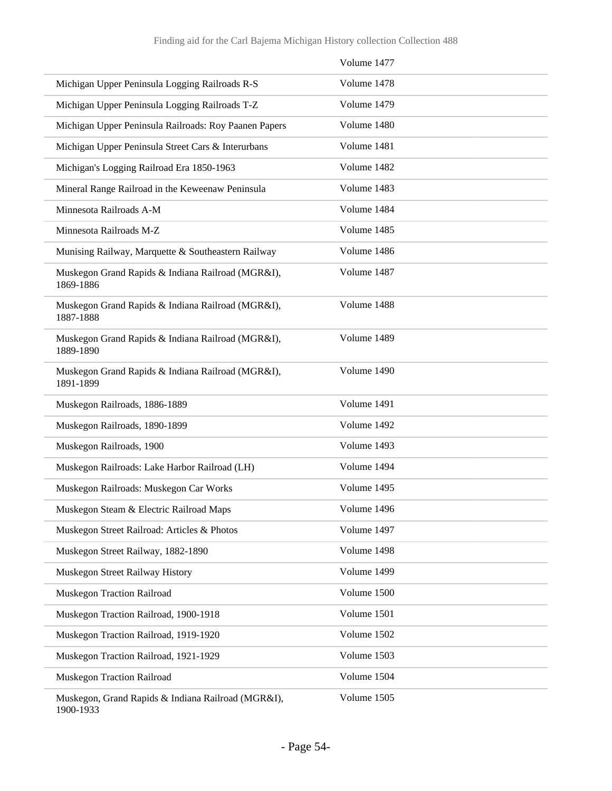|                                                                 | Volume 1477 |
|-----------------------------------------------------------------|-------------|
| Michigan Upper Peninsula Logging Railroads R-S                  | Volume 1478 |
| Michigan Upper Peninsula Logging Railroads T-Z                  | Volume 1479 |
| Michigan Upper Peninsula Railroads: Roy Paanen Papers           | Volume 1480 |
| Michigan Upper Peninsula Street Cars & Interurbans              | Volume 1481 |
| Michigan's Logging Railroad Era 1850-1963                       | Volume 1482 |
| Mineral Range Railroad in the Keweenaw Peninsula                | Volume 1483 |
| Minnesota Railroads A-M                                         | Volume 1484 |
| Minnesota Railroads M-Z                                         | Volume 1485 |
| Munising Railway, Marquette & Southeastern Railway              | Volume 1486 |
| Muskegon Grand Rapids & Indiana Railroad (MGR&I),<br>1869-1886  | Volume 1487 |
| Muskegon Grand Rapids & Indiana Railroad (MGR&I),<br>1887-1888  | Volume 1488 |
| Muskegon Grand Rapids & Indiana Railroad (MGR&I),<br>1889-1890  | Volume 1489 |
| Muskegon Grand Rapids & Indiana Railroad (MGR&I),<br>1891-1899  | Volume 1490 |
| Muskegon Railroads, 1886-1889                                   | Volume 1491 |
| Muskegon Railroads, 1890-1899                                   | Volume 1492 |
| Muskegon Railroads, 1900                                        | Volume 1493 |
| Muskegon Railroads: Lake Harbor Railroad (LH)                   | Volume 1494 |
| Muskegon Railroads: Muskegon Car Works                          | Volume 1495 |
| Muskegon Steam & Electric Railroad Maps                         | Volume 1496 |
| Muskegon Street Railroad: Articles & Photos                     | Volume 1497 |
| Muskegon Street Railway, 1882-1890                              | Volume 1498 |
| Muskegon Street Railway History                                 | Volume 1499 |
| Muskegon Traction Railroad                                      | Volume 1500 |
| Muskegon Traction Railroad, 1900-1918                           | Volume 1501 |
| Muskegon Traction Railroad, 1919-1920                           | Volume 1502 |
| Muskegon Traction Railroad, 1921-1929                           | Volume 1503 |
| Muskegon Traction Railroad                                      | Volume 1504 |
| Muskegon, Grand Rapids & Indiana Railroad (MGR&I),<br>1900-1933 | Volume 1505 |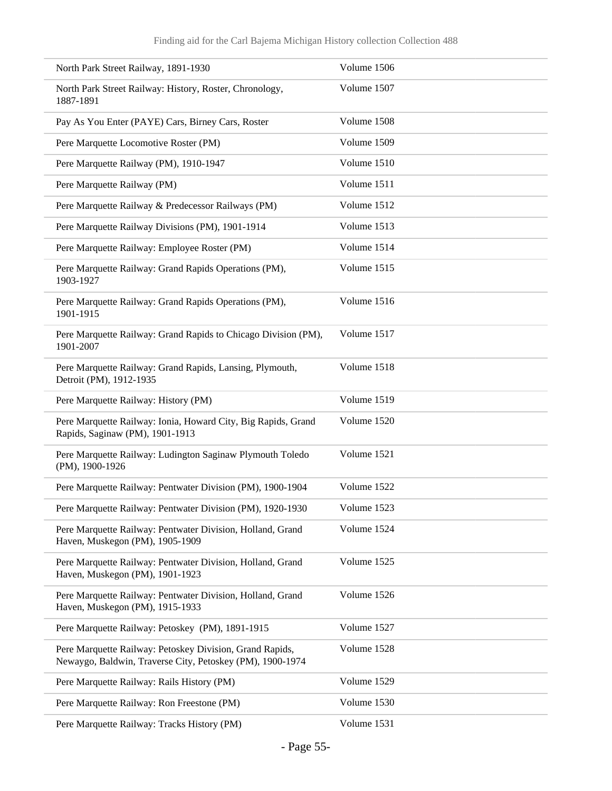| North Park Street Railway, 1891-1930                                                                                  | Volume 1506 |
|-----------------------------------------------------------------------------------------------------------------------|-------------|
| North Park Street Railway: History, Roster, Chronology,<br>1887-1891                                                  | Volume 1507 |
| Pay As You Enter (PAYE) Cars, Birney Cars, Roster                                                                     | Volume 1508 |
| Pere Marquette Locomotive Roster (PM)                                                                                 | Volume 1509 |
| Pere Marquette Railway (PM), 1910-1947                                                                                | Volume 1510 |
| Pere Marquette Railway (PM)                                                                                           | Volume 1511 |
| Pere Marquette Railway & Predecessor Railways (PM)                                                                    | Volume 1512 |
| Pere Marquette Railway Divisions (PM), 1901-1914                                                                      | Volume 1513 |
| Pere Marquette Railway: Employee Roster (PM)                                                                          | Volume 1514 |
| Pere Marquette Railway: Grand Rapids Operations (PM),<br>1903-1927                                                    | Volume 1515 |
| Pere Marquette Railway: Grand Rapids Operations (PM),<br>1901-1915                                                    | Volume 1516 |
| Pere Marquette Railway: Grand Rapids to Chicago Division (PM),<br>1901-2007                                           | Volume 1517 |
| Pere Marquette Railway: Grand Rapids, Lansing, Plymouth,<br>Detroit (PM), 1912-1935                                   | Volume 1518 |
| Pere Marquette Railway: History (PM)                                                                                  | Volume 1519 |
| Pere Marquette Railway: Ionia, Howard City, Big Rapids, Grand<br>Rapids, Saginaw (PM), 1901-1913                      | Volume 1520 |
| Pere Marquette Railway: Ludington Saginaw Plymouth Toledo<br>(PM), 1900-1926                                          | Volume 1521 |
| Pere Marquette Railway: Pentwater Division (PM), 1900-1904                                                            | Volume 1522 |
| Pere Marquette Railway: Pentwater Division (PM), 1920-1930                                                            | Volume 1523 |
| Pere Marquette Railway: Pentwater Division, Holland, Grand<br>Haven, Muskegon (PM), 1905-1909                         | Volume 1524 |
| Pere Marquette Railway: Pentwater Division, Holland, Grand<br>Haven, Muskegon (PM), 1901-1923                         | Volume 1525 |
| Pere Marquette Railway: Pentwater Division, Holland, Grand<br>Haven, Muskegon (PM), 1915-1933                         | Volume 1526 |
| Pere Marquette Railway: Petoskey (PM), 1891-1915                                                                      | Volume 1527 |
| Pere Marquette Railway: Petoskey Division, Grand Rapids,<br>Newaygo, Baldwin, Traverse City, Petoskey (PM), 1900-1974 | Volume 1528 |
| Pere Marquette Railway: Rails History (PM)                                                                            | Volume 1529 |
| Pere Marquette Railway: Ron Freestone (PM)                                                                            | Volume 1530 |
| Pere Marquette Railway: Tracks History (PM)                                                                           | Volume 1531 |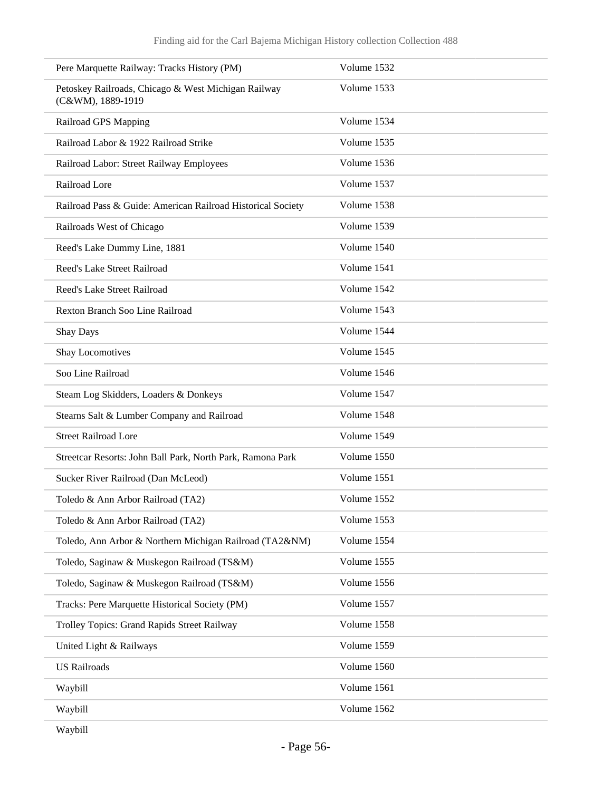| Pere Marquette Railway: Tracks History (PM)                              | Volume 1532 |
|--------------------------------------------------------------------------|-------------|
| Petoskey Railroads, Chicago & West Michigan Railway<br>(C&WM), 1889-1919 | Volume 1533 |
| Railroad GPS Mapping                                                     | Volume 1534 |
| Railroad Labor & 1922 Railroad Strike                                    | Volume 1535 |
| Railroad Labor: Street Railway Employees                                 | Volume 1536 |
| Railroad Lore                                                            | Volume 1537 |
| Railroad Pass & Guide: American Railroad Historical Society              | Volume 1538 |
| Railroads West of Chicago                                                | Volume 1539 |
| Reed's Lake Dummy Line, 1881                                             | Volume 1540 |
| Reed's Lake Street Railroad                                              | Volume 1541 |
| Reed's Lake Street Railroad                                              | Volume 1542 |
| Rexton Branch Soo Line Railroad                                          | Volume 1543 |
| <b>Shay Days</b>                                                         | Volume 1544 |
| Shay Locomotives                                                         | Volume 1545 |
| Soo Line Railroad                                                        | Volume 1546 |
| Steam Log Skidders, Loaders & Donkeys                                    | Volume 1547 |
| Stearns Salt & Lumber Company and Railroad                               | Volume 1548 |
| <b>Street Railroad Lore</b>                                              | Volume 1549 |
| Streetcar Resorts: John Ball Park, North Park, Ramona Park               | Volume 1550 |
| Sucker River Railroad (Dan McLeod)                                       | Volume 1551 |
| Toledo & Ann Arbor Railroad (TA2)                                        | Volume 1552 |
| Toledo & Ann Arbor Railroad (TA2)                                        | Volume 1553 |
| Toledo, Ann Arbor & Northern Michigan Railroad (TA2&NM)                  | Volume 1554 |
| Toledo, Saginaw & Muskegon Railroad (TS&M)                               | Volume 1555 |
| Toledo, Saginaw & Muskegon Railroad (TS&M)                               | Volume 1556 |
| Tracks: Pere Marquette Historical Society (PM)                           | Volume 1557 |
| Trolley Topics: Grand Rapids Street Railway                              | Volume 1558 |
| United Light & Railways                                                  | Volume 1559 |
| <b>US Railroads</b>                                                      | Volume 1560 |
| Waybill                                                                  | Volume 1561 |
| Waybill                                                                  | Volume 1562 |
|                                                                          |             |

Waybill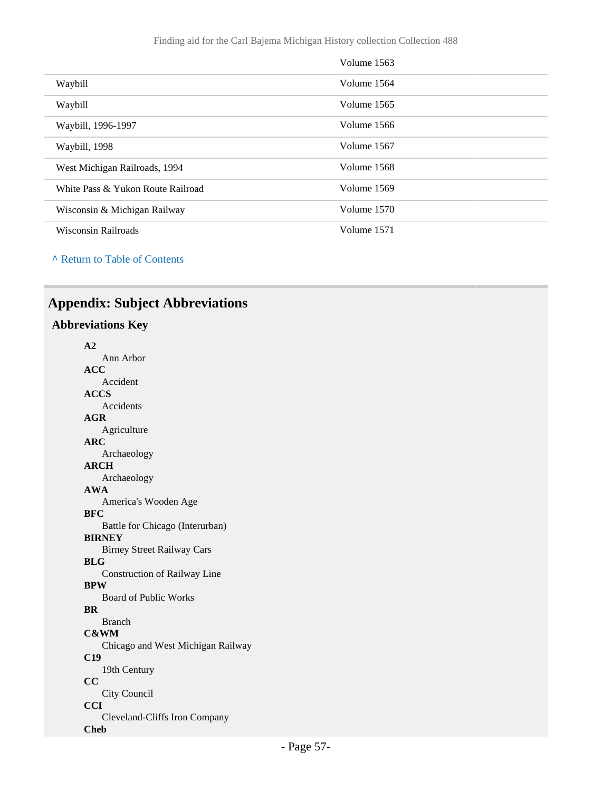|                                   | Volume 1563 |
|-----------------------------------|-------------|
| Waybill                           | Volume 1564 |
| Waybill                           | Volume 1565 |
| Waybill, 1996-1997                | Volume 1566 |
| Waybill, 1998                     | Volume 1567 |
| West Michigan Railroads, 1994     | Volume 1568 |
| White Pass & Yukon Route Railroad | Volume 1569 |
| Wisconsin & Michigan Railway      | Volume 1570 |
| <b>Wisconsin Railroads</b>        | Volume 1571 |

**^** [Return to Table of Contents](#page-1-0)

## <span id="page-56-0"></span>**Appendix: Subject Abbreviations**

### **Abbreviations Key**

| A <sub>2</sub>                    |
|-----------------------------------|
| Ann Arbor                         |
| <b>ACC</b>                        |
| Accident                          |
| <b>ACCS</b>                       |
| Accidents                         |
| AGR                               |
| Agriculture                       |
| <b>ARC</b>                        |
| Archaeology                       |
| <b>ARCH</b>                       |
| Archaeology                       |
| <b>AWA</b>                        |
| America's Wooden Age              |
| <b>BFC</b>                        |
| Battle for Chicago (Interurban)   |
| <b>BIRNEY</b>                     |
| <b>Birney Street Railway Cars</b> |
| <b>BLG</b>                        |
| Construction of Railway Line      |
| <b>BPW</b>                        |
| <b>Board of Public Works</b>      |
| <b>RR</b>                         |
| <b>Branch</b>                     |
| <b>C&amp;WM</b>                   |
| Chicago and West Michigan Railway |
| C19                               |
| 19th Century                      |
| $\overline{\mathbf{C}}$           |
| City Council                      |
| CCI                               |
| Cleveland-Cliffs Iron Company     |
| <b>Cheb</b>                       |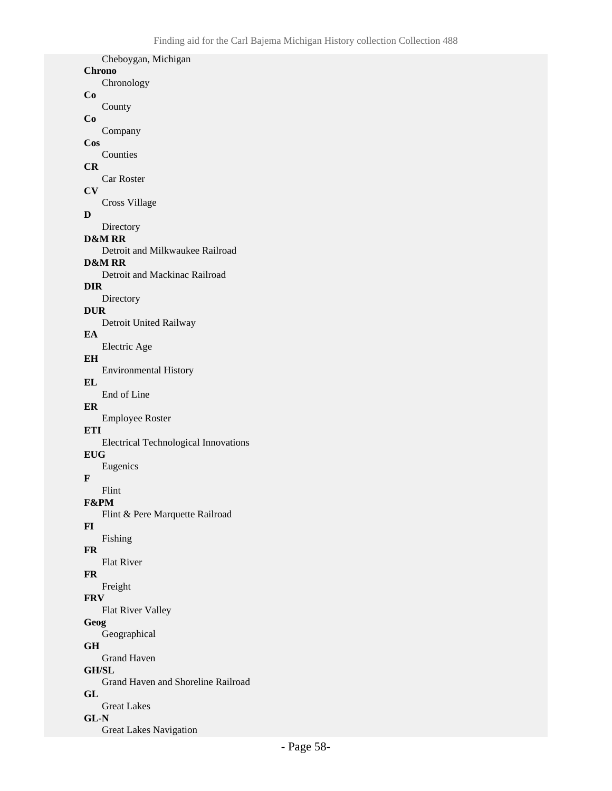| Cheboygan, Michigan                                |
|----------------------------------------------------|
| <b>Chrono</b><br>Chronology                        |
|                                                    |
| County                                             |
|                                                    |
| Company                                            |
| Counties                                           |
|                                                    |
| Car Roster                                         |
| <b>Cross Village</b>                               |
|                                                    |
| Directory                                          |
| <b>D&amp;M RR</b>                                  |
| Detroit and Milkwaukee Railroad<br>D&M RR          |
| Detroit and Mackinac Railroad                      |
| DIR .                                              |
| Directory                                          |
| <b>DUR</b><br>Detroit United Railway               |
|                                                    |
| Electric Age                                       |
| EH                                                 |
| <b>Environmental History</b>                       |
| End of Line                                        |
|                                                    |
| <b>Employee Roster</b>                             |
| ETI<br><b>Electrical Technological Innovations</b> |
| EUG                                                |
| Eugenics                                           |
|                                                    |
| Flint<br>F&PM                                      |
| Flint & Pere Marquette Railroad                    |
|                                                    |
| Fishing                                            |
| <b>Flat River</b>                                  |
|                                                    |
| Freight                                            |
| <b>FRV</b>                                         |
| <b>Flat River Valley</b><br>Geog                   |
| Geographical                                       |
| GH                                                 |
| <b>Grand Haven</b>                                 |
| <b>GH/SL</b><br>Grand Haven and Shoreline Railroad |
|                                                    |
| <b>Great Lakes</b>                                 |
| GL-N                                               |
| Cos<br>CR                                          |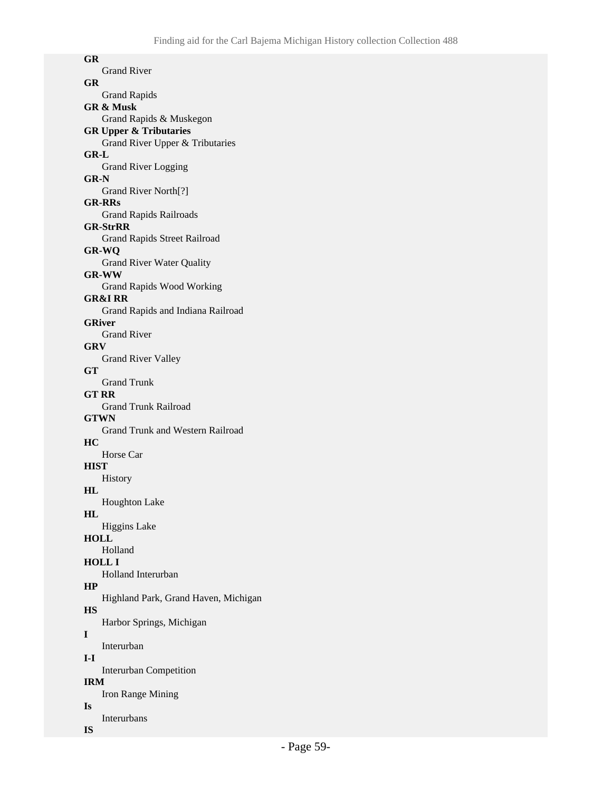**GR** Grand River **GR** Grand Rapids **GR & Musk** Grand Rapids & Muskegon **GR Upper & Tributaries** Grand River Upper & Tributaries **GR-L** Grand River Logging **GR-N** Grand River North[?] **GR-RRs** Grand Rapids Railroads **GR-StrRR** Grand Rapids Street Railroad **GR-WQ** Grand River Water Quality **GR-WW** Grand Rapids Wood Working **GR&I RR** Grand Rapids and Indiana Railroad **GRiver** Grand River **GRV** Grand River Valley **GT** Grand Trunk **GT RR** Grand Trunk Railroad **GTWN** Grand Trunk and Western Railroad **HC** Horse Car **HIST** History **HL** Houghton Lake **HL** Higgins Lake **HOLL** Holland **HOLL I** Holland Interurban **HP** Highland Park, Grand Haven, Michigan **HS** Harbor Springs, Michigan **I** Interurban **I-I** Interurban Competition **IRM** Iron Range Mining **Is** Interurbans

#### **IS**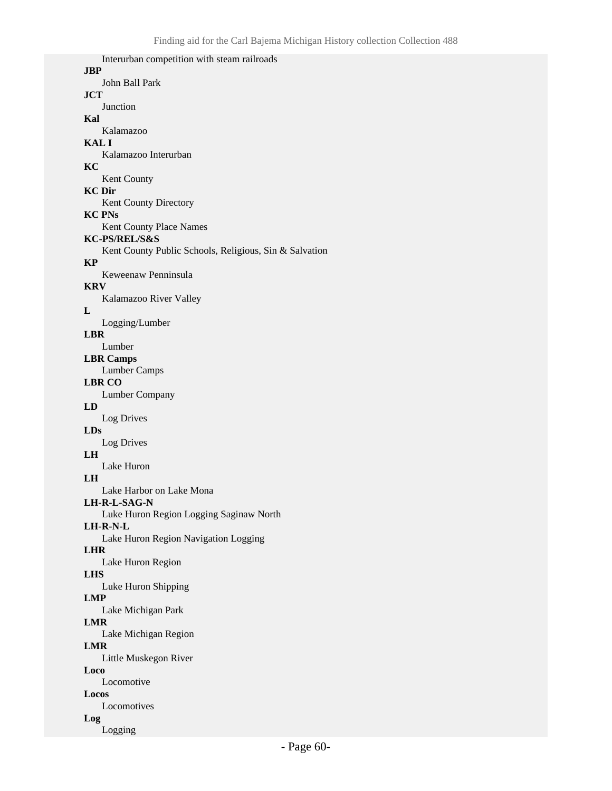Interurban competition with steam railroads **JBP** John Ball Park **JCT Junction Kal** Kalamazoo **KAL I** Kalamazoo Interurban **KC** Kent County **KC Dir** Kent County Directory **KC PNs** Kent County Place Names **KC-PS/REL/S&S** Kent County Public Schools, Religious, Sin & Salvation **KP** Keweenaw Penninsula **KRV** Kalamazoo River Valley **L** Logging/Lumber **LBR** Lumber **LBR Camps** Lumber Camps **LBR CO** Lumber Company **LD** Log Drives **LDs** Log Drives **LH** Lake Huron **LH** Lake Harbor on Lake Mona **LH-R-L-SAG-N** Luke Huron Region Logging Saginaw North **LH-R-N-L** Lake Huron Region Navigation Logging **LHR** Lake Huron Region **LHS** Luke Huron Shipping **LMP** Lake Michigan Park **LMR** Lake Michigan Region **LMR** Little Muskegon River **Loco** Locomotive **Locos** Locomotives **Log**

Logging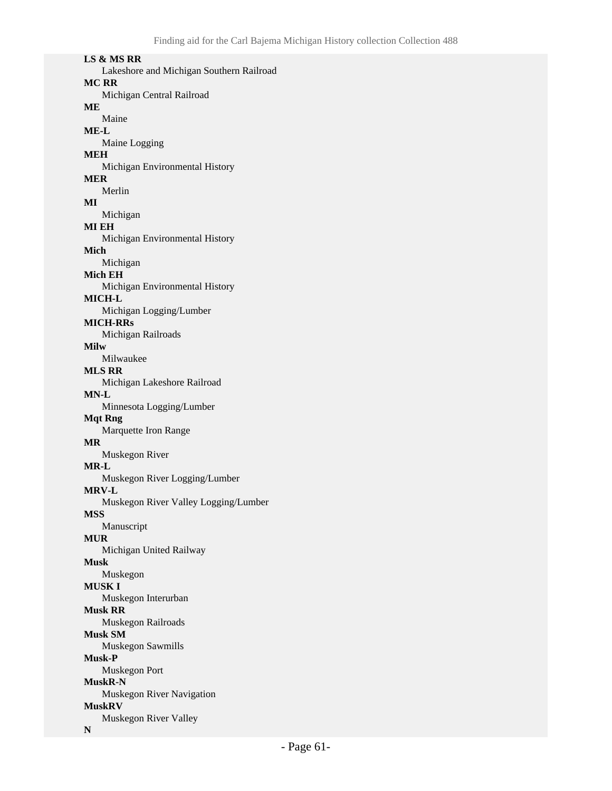#### **LS & MS RR**

Lakeshore and Michigan Southern Railroad **MC RR** Michigan Central Railroad **ME** Maine **ME-L** Maine Logging **MEH** Michigan Environmental History **MER** Merlin **MI** Michigan **MI EH** Michigan Environmental History **Mich** Michigan **Mich EH** Michigan Environmental History **MICH-L** Michigan Logging/Lumber **MICH-RRs** Michigan Railroads **Milw** Milwaukee **MLS RR** Michigan Lakeshore Railroad **MN-L** Minnesota Logging/Lumber **Mqt Rng** Marquette Iron Range **MR** Muskegon River **MR-L** Muskegon River Logging/Lumber **MRV-L** Muskegon River Valley Logging/Lumber **MSS** Manuscript **MUR** Michigan United Railway **Musk** Muskegon **MUSK I** Muskegon Interurban **Musk RR** Muskegon Railroads **Musk SM** Muskegon Sawmills **Musk-P** Muskegon Port **MuskR-N** Muskegon River Navigation **MuskRV** Muskegon River Valley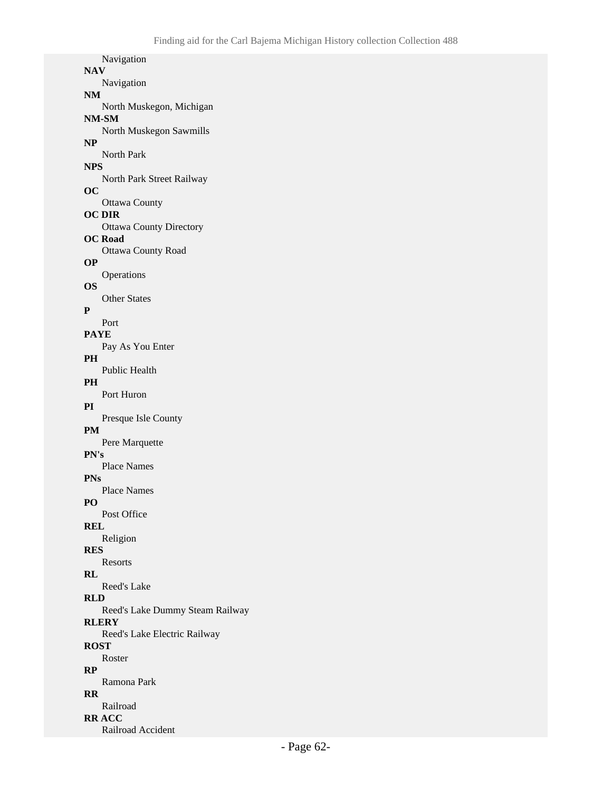Navigation **NAV** Navigation **NM** North Muskegon, Michigan **NM-SM** North Muskegon Sawmills **NP** North Park **NPS** North Park Street Railway **OC** Ottawa County **OC DIR** Ottawa County Directory **OC Road** Ottawa County Road **OP** Operations **OS** Other States **P** Port **PAYE** Pay As You Enter **PH** Public Health **PH** Port Huron **PI** Presque Isle County **PM** Pere Marquette **PN's** Place Names **PNs** Place Names **PO** Post Office **REL** Religion **RES** Resorts **RL** Reed's Lake **RLD** Reed's Lake Dummy Steam Railway **RLERY** Reed's Lake Electric Railway **ROST** Roster **RP** Ramona Park **RR** Railroad **RR ACC**

```
Railroad Accident
```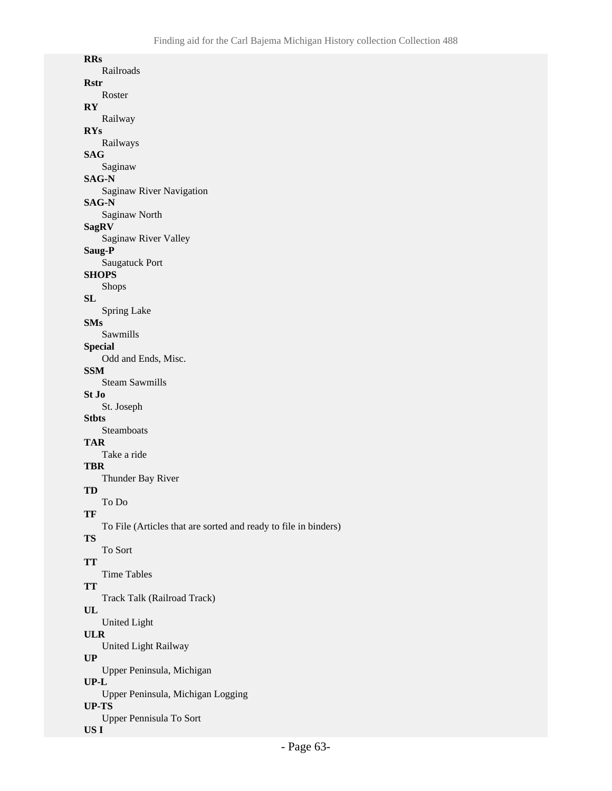| <b>RRs</b>                                                      |
|-----------------------------------------------------------------|
| Railroads                                                       |
| Rstr                                                            |
| Roster                                                          |
| RY                                                              |
| Railway                                                         |
| <b>RYs</b>                                                      |
| Railways                                                        |
| SAG                                                             |
| Saginaw                                                         |
| SAG-N                                                           |
| Saginaw River Navigation                                        |
| <b>SAG-N</b>                                                    |
| Saginaw North                                                   |
| SagRV                                                           |
| Saginaw River Valley                                            |
| Saug-P                                                          |
| Saugatuck Port                                                  |
| SHOPS                                                           |
| Shops                                                           |
| SL                                                              |
| <b>Spring Lake</b>                                              |
| SMs                                                             |
| Sawmills                                                        |
| Special                                                         |
| Odd and Ends, Misc.                                             |
| SSM                                                             |
| <b>Steam Sawmills</b>                                           |
| St Jo                                                           |
| St. Joseph                                                      |
| Stbts                                                           |
| Steamboats                                                      |
| TAR                                                             |
| Take a ride                                                     |
| TBR                                                             |
| Thunder Bay River                                               |
| TD                                                              |
| To Do                                                           |
| TF                                                              |
| To File (Articles that are sorted and ready to file in binders) |
| <b>TS</b>                                                       |
| To Sort                                                         |
| <b>TT</b>                                                       |
| <b>Time Tables</b>                                              |
| <b>TT</b>                                                       |
| Track Talk (Railroad Track)                                     |
| UL                                                              |
| <b>United Light</b>                                             |
|                                                                 |
| <b>ULR</b>                                                      |
| United Light Railway                                            |
| UP                                                              |
| Upper Peninsula, Michigan                                       |
| $UP-L$                                                          |
| Upper Peninsula, Michigan Logging                               |
| UP-TS<br><b>Upper Pennisula To Sort</b>                         |

#### **US I**